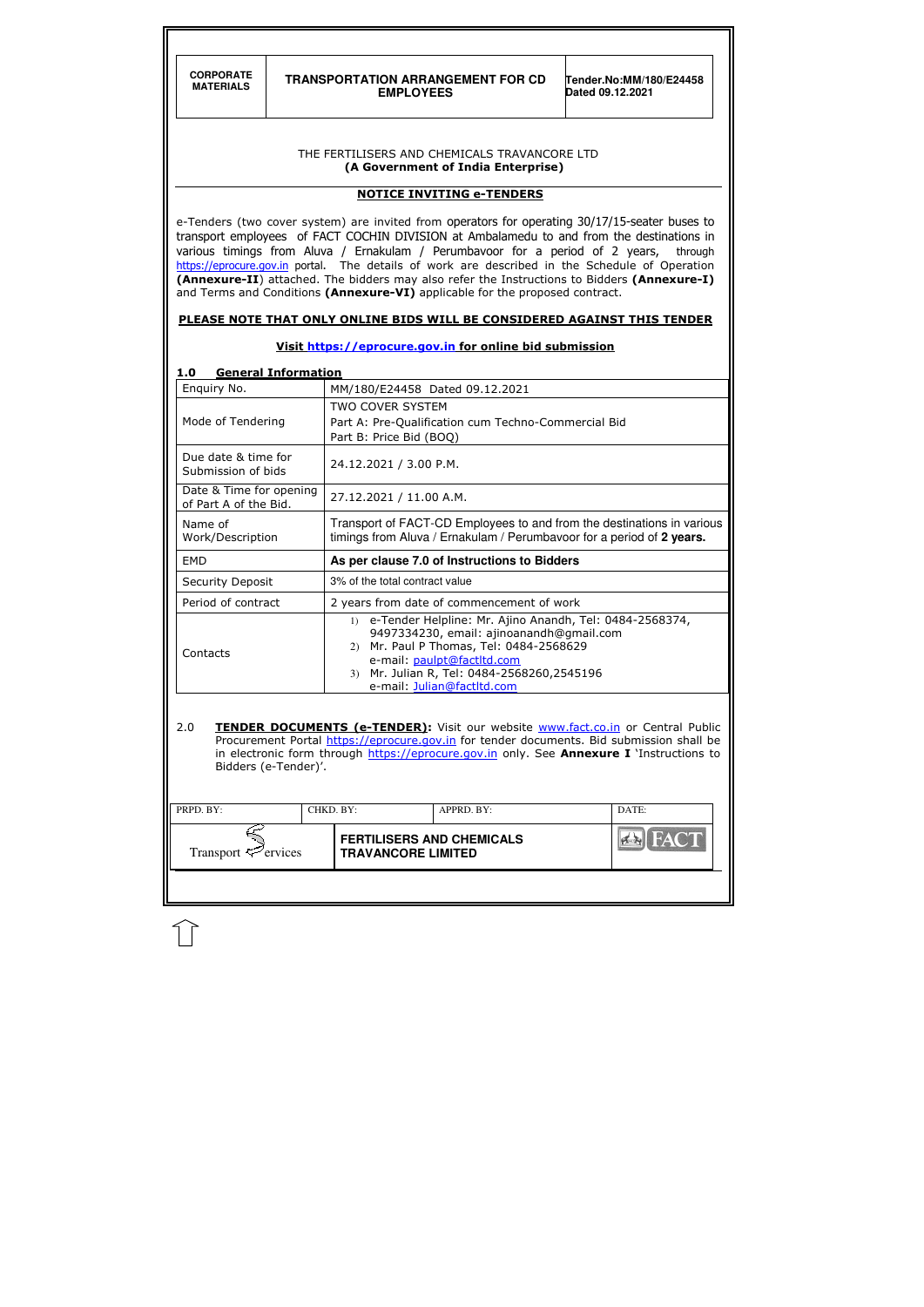| PRPD. BY:<br>CHKD. BY:   |  |                                                               | APPRD. BY: | DATE: |
|--------------------------|--|---------------------------------------------------------------|------------|-------|
| Transport $\leq$ ervices |  | <b>FERTILISERS AND CHEMICALS</b><br><b>TRAVANCORE LIMITED</b> |            | HAN   |
|                          |  |                                                               |            |       |

| <b>CORPORATE</b><br><b>MATERIALS</b>                                                                                                                                            |  | <b>TRANSPORTATION ARRANGEMENT FOR CD</b><br><b>EMPLOYEES</b>                                                                                                                                                                                                                                                                                                                                                                                                                                                                                                                                                                                                                                         | Tender.No:MM/180/E24458<br>Dated 09.12.2021 |
|---------------------------------------------------------------------------------------------------------------------------------------------------------------------------------|--|------------------------------------------------------------------------------------------------------------------------------------------------------------------------------------------------------------------------------------------------------------------------------------------------------------------------------------------------------------------------------------------------------------------------------------------------------------------------------------------------------------------------------------------------------------------------------------------------------------------------------------------------------------------------------------------------------|---------------------------------------------|
|                                                                                                                                                                                 |  | THE FERTILISERS AND CHEMICALS TRAVANCORE LTD<br>(A Government of India Enterprise)                                                                                                                                                                                                                                                                                                                                                                                                                                                                                                                                                                                                                   |                                             |
|                                                                                                                                                                                 |  | <b>NOTICE INVITING e-TENDERS</b>                                                                                                                                                                                                                                                                                                                                                                                                                                                                                                                                                                                                                                                                     |                                             |
|                                                                                                                                                                                 |  | e-Tenders (two cover system) are invited from operators for operating 30/17/15-seater buses to<br>transport employees of FACT COCHIN DIVISION at Ambalamedu to and from the destinations in<br>various timings from Aluva / Ernakulam / Perumbavoor for a period of 2 years,<br>https://eprocure.gov.in portal. The details of work are described in the Schedule of Operation<br>(Annexure-II) attached. The bidders may also refer the Instructions to Bidders (Annexure-I)<br>and Terms and Conditions (Annexure-VI) applicable for the proposed contract.<br>PLEASE NOTE THAT ONLY ONLINE BIDS WILL BE CONSIDERED AGAINST THIS TENDER<br>Visit https://eprocure.gov.in for online bid submission | through                                     |
| <b>General Information</b><br>1.0                                                                                                                                               |  |                                                                                                                                                                                                                                                                                                                                                                                                                                                                                                                                                                                                                                                                                                      |                                             |
| Enquiry No.<br>MM/180/E24458 Dated 09.12.2021<br><b>TWO COVER SYSTEM</b><br>Mode of Tendering<br>Part A: Pre-Qualification cum Techno-Commercial Bid<br>Part B: Price Bid (BOQ) |  |                                                                                                                                                                                                                                                                                                                                                                                                                                                                                                                                                                                                                                                                                                      |                                             |
| Due date & time for<br>Submission of bids                                                                                                                                       |  | 24.12.2021 / 3.00 P.M.                                                                                                                                                                                                                                                                                                                                                                                                                                                                                                                                                                                                                                                                               |                                             |
| Date & Time for opening<br>of Part A of the Bid.                                                                                                                                |  | 27.12.2021 / 11.00 A.M.                                                                                                                                                                                                                                                                                                                                                                                                                                                                                                                                                                                                                                                                              |                                             |
| Name of<br>Work/Description                                                                                                                                                     |  | Transport of FACT-CD Employees to and from the destinations in various<br>timings from Aluva / Ernakulam / Perumbavoor for a period of 2 years.                                                                                                                                                                                                                                                                                                                                                                                                                                                                                                                                                      |                                             |
| <b>EMD</b>                                                                                                                                                                      |  | As per clause 7.0 of Instructions to Bidders                                                                                                                                                                                                                                                                                                                                                                                                                                                                                                                                                                                                                                                         |                                             |
| Security Deposit                                                                                                                                                                |  | 3% of the total contract value                                                                                                                                                                                                                                                                                                                                                                                                                                                                                                                                                                                                                                                                       |                                             |
| Period of contract                                                                                                                                                              |  | 2 years from date of commencement of work                                                                                                                                                                                                                                                                                                                                                                                                                                                                                                                                                                                                                                                            |                                             |
| Contacts                                                                                                                                                                        |  | e-Tender Helpline: Mr. Ajino Anandh, Tel: 0484-2568374,<br>$\left( \frac{1}{2} \right)$<br>9497334230, email: ajinoanandh@gmail.com<br>Mr. Paul P Thomas, Tel: 0484-2568629<br>2)<br>e-mail: paulpt@factltd.com<br>Mr. Julian R, Tel: 0484-2568260,2545196<br>3)                                                                                                                                                                                                                                                                                                                                                                                                                                     |                                             |

2.0 TENDER DOCUMENTS (e-TENDER): Visit our website www.fact.co.in or Central Public Procurement Portal https://eprocure.gov.in for tender documents. Bid submission shall be in electronic form through <u>https://eprocure.gov.in</u> only. See **Annexure I** `Instructions to Bidders (e-Tender)'.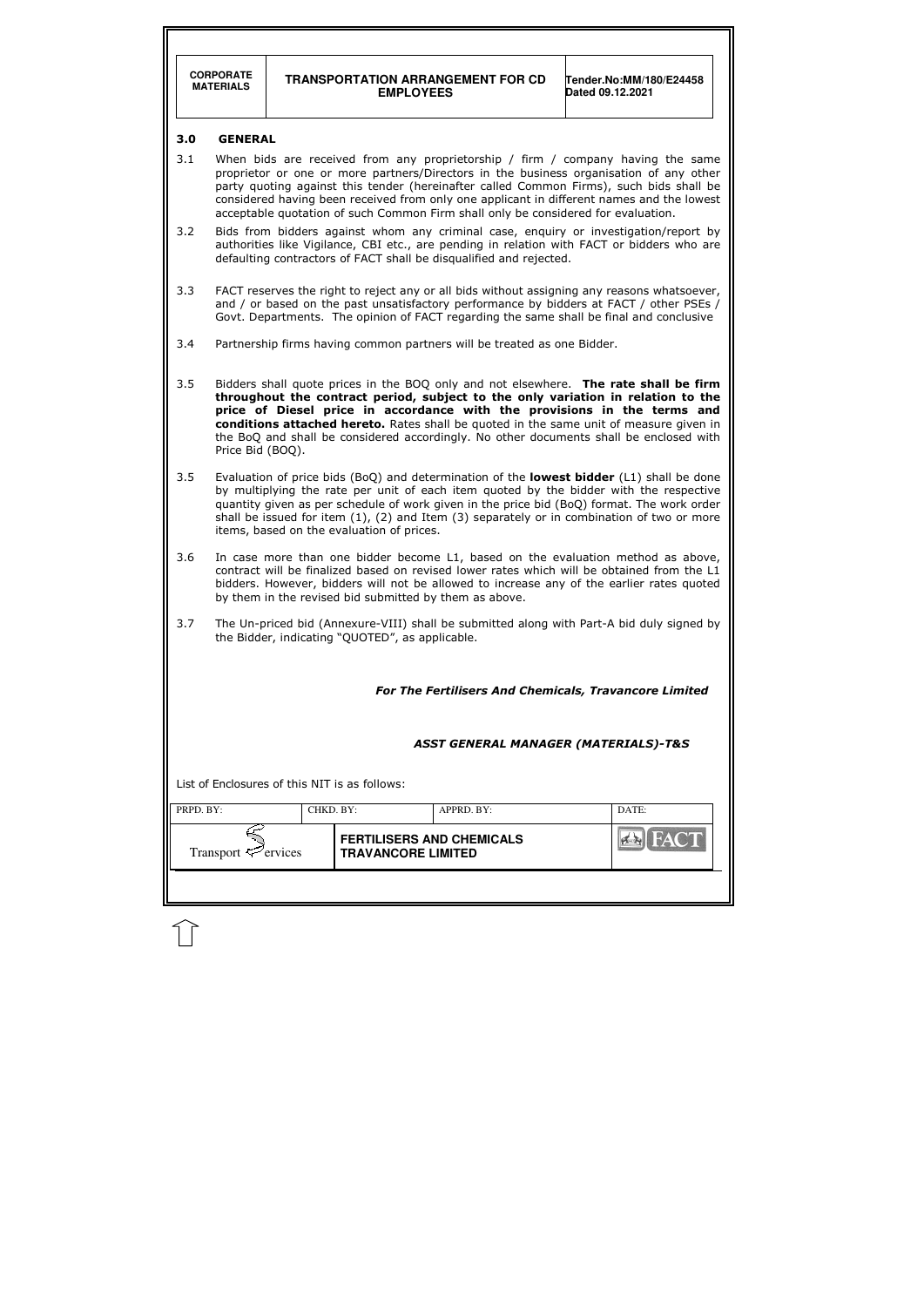|                                                                                                                                                                                                                                                                                                                                                                                                                                                                     | <b>CORPORATE</b><br><b>MATERIALS</b>                                                                                                                                                                                                                                                                                                                                                                                        | <b>TRANSPORTATION ARRANGEMENT FOR CD</b><br>Tender.No:MM/180/E24458<br>Dated 09.12.2021<br><b>EMPLOYEES</b> |                                                               |                                                                         |                                                                                                                                                                                    |  |  |
|---------------------------------------------------------------------------------------------------------------------------------------------------------------------------------------------------------------------------------------------------------------------------------------------------------------------------------------------------------------------------------------------------------------------------------------------------------------------|-----------------------------------------------------------------------------------------------------------------------------------------------------------------------------------------------------------------------------------------------------------------------------------------------------------------------------------------------------------------------------------------------------------------------------|-------------------------------------------------------------------------------------------------------------|---------------------------------------------------------------|-------------------------------------------------------------------------|------------------------------------------------------------------------------------------------------------------------------------------------------------------------------------|--|--|
| 3.0                                                                                                                                                                                                                                                                                                                                                                                                                                                                 | <b>GENERAL</b>                                                                                                                                                                                                                                                                                                                                                                                                              |                                                                                                             |                                                               |                                                                         |                                                                                                                                                                                    |  |  |
| 3.1<br>When bids are received from any proprietorship / firm / company having the same<br>proprietor or one or more partners/Directors in the business organisation of any other<br>party quoting against this tender (hereinafter called Common Firms), such bids shall be<br>considered having been received from only one applicant in different names and the lowest<br>acceptable quotation of such Common Firm shall only be considered for evaluation.       |                                                                                                                                                                                                                                                                                                                                                                                                                             |                                                                                                             |                                                               |                                                                         |                                                                                                                                                                                    |  |  |
| 3.2                                                                                                                                                                                                                                                                                                                                                                                                                                                                 |                                                                                                                                                                                                                                                                                                                                                                                                                             |                                                                                                             |                                                               | defaulting contractors of FACT shall be disqualified and rejected.      | Bids from bidders against whom any criminal case, enguiry or investigation/report by<br>authorities like Vigilance, CBI etc., are pending in relation with FACT or bidders who are |  |  |
| 3.3                                                                                                                                                                                                                                                                                                                                                                                                                                                                 | FACT reserves the right to reject any or all bids without assigning any reasons whatsoever,<br>and / or based on the past unsatisfactory performance by bidders at FACT / other PSEs /<br>Govt. Departments. The opinion of FACT regarding the same shall be final and conclusive                                                                                                                                           |                                                                                                             |                                                               |                                                                         |                                                                                                                                                                                    |  |  |
| 3.4                                                                                                                                                                                                                                                                                                                                                                                                                                                                 |                                                                                                                                                                                                                                                                                                                                                                                                                             |                                                                                                             |                                                               | Partnership firms having common partners will be treated as one Bidder. |                                                                                                                                                                                    |  |  |
| 3.5<br>Bidders shall quote prices in the BOQ only and not elsewhere. The rate shall be firm<br>throughout the contract period, subject to the only variation in relation to the<br>price of Diesel price in accordance with the provisions in the terms and<br>conditions attached hereto. Rates shall be quoted in the same unit of measure given in<br>the BoQ and shall be considered accordingly. No other documents shall be enclosed with<br>Price Bid (BOQ). |                                                                                                                                                                                                                                                                                                                                                                                                                             |                                                                                                             |                                                               |                                                                         |                                                                                                                                                                                    |  |  |
| 3.5                                                                                                                                                                                                                                                                                                                                                                                                                                                                 | Evaluation of price bids (BoQ) and determination of the lowest bidder (L1) shall be done<br>by multiplying the rate per unit of each item quoted by the bidder with the respective<br>quantity given as per schedule of work given in the price bid (BoQ) format. The work order<br>shall be issued for item (1), (2) and Item (3) separately or in combination of two or more<br>items, based on the evaluation of prices. |                                                                                                             |                                                               |                                                                         |                                                                                                                                                                                    |  |  |
| 3.6                                                                                                                                                                                                                                                                                                                                                                                                                                                                 | In case more than one bidder become L1, based on the evaluation method as above,<br>contract will be finalized based on revised lower rates which will be obtained from the L1<br>bidders. However, bidders will not be allowed to increase any of the earlier rates quoted<br>by them in the revised bid submitted by them as above.                                                                                       |                                                                                                             |                                                               |                                                                         |                                                                                                                                                                                    |  |  |
| 3.7                                                                                                                                                                                                                                                                                                                                                                                                                                                                 | The Un-priced bid (Annexure-VIII) shall be submitted along with Part-A bid duly signed by<br>the Bidder, indicating "QUOTED", as applicable.                                                                                                                                                                                                                                                                                |                                                                                                             |                                                               |                                                                         |                                                                                                                                                                                    |  |  |
| For The Fertilisers And Chemicals, Travancore Limited                                                                                                                                                                                                                                                                                                                                                                                                               |                                                                                                                                                                                                                                                                                                                                                                                                                             |                                                                                                             |                                                               |                                                                         |                                                                                                                                                                                    |  |  |
| <b>ASST GENERAL MANAGER (MATERIALS)-T&amp;S</b>                                                                                                                                                                                                                                                                                                                                                                                                                     |                                                                                                                                                                                                                                                                                                                                                                                                                             |                                                                                                             |                                                               |                                                                         |                                                                                                                                                                                    |  |  |
|                                                                                                                                                                                                                                                                                                                                                                                                                                                                     |                                                                                                                                                                                                                                                                                                                                                                                                                             |                                                                                                             | List of Enclosures of this NIT is as follows:                 |                                                                         |                                                                                                                                                                                    |  |  |
| PRPD. BY:                                                                                                                                                                                                                                                                                                                                                                                                                                                           |                                                                                                                                                                                                                                                                                                                                                                                                                             | CHKD. BY:                                                                                                   |                                                               | APPRD. BY:                                                              | DATE:                                                                                                                                                                              |  |  |
|                                                                                                                                                                                                                                                                                                                                                                                                                                                                     | Transport $\leq$ ervices                                                                                                                                                                                                                                                                                                                                                                                                    |                                                                                                             | <b>FERTILISERS AND CHEMICALS</b><br><b>TRAVANCORE LIMITED</b> |                                                                         |                                                                                                                                                                                    |  |  |
|                                                                                                                                                                                                                                                                                                                                                                                                                                                                     |                                                                                                                                                                                                                                                                                                                                                                                                                             |                                                                                                             |                                                               |                                                                         |                                                                                                                                                                                    |  |  |

 $\mathbb{U}$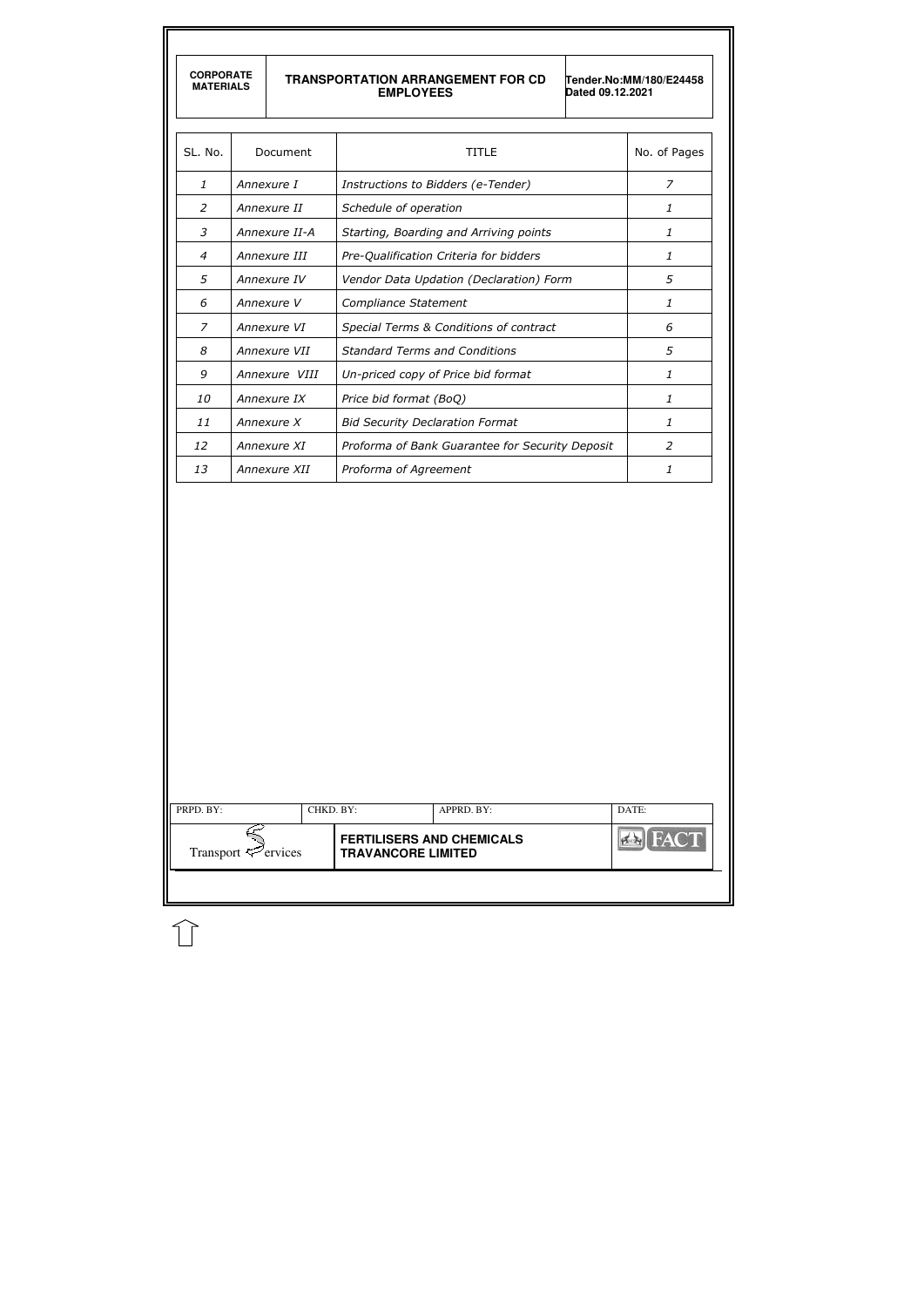| <b>MATERIALS</b> | <b>CORPORATE</b>                                    |                                                                | <b>TRANSPORTATION ARRANGEMENT FOR CD</b><br><b>EMPLOYEES</b><br>Dated 09.12.2021 | Tender.No:MM/180/E24458 |  |  |
|------------------|-----------------------------------------------------|----------------------------------------------------------------|----------------------------------------------------------------------------------|-------------------------|--|--|
| SL. No.          |                                                     | Document                                                       | <b>TITLE</b>                                                                     | No. of Pages            |  |  |
| $\mathbf{1}$     |                                                     | Annexure I                                                     | Instructions to Bidders (e-Tender)                                               | $\overline{z}$          |  |  |
| $\overline{2}$   |                                                     | Annexure II                                                    | Schedule of operation                                                            | 1                       |  |  |
| 3                |                                                     | Annexure II-A                                                  | Starting, Boarding and Arriving points                                           | $\mathbf{1}$            |  |  |
| 4                |                                                     | Annexure III                                                   | Pre-Qualification Criteria for bidders                                           | 1                       |  |  |
| 5                |                                                     | Vendor Data Updation (Declaration) Form<br>Annexure IV         |                                                                                  |                         |  |  |
| 6                |                                                     | Annexure V                                                     | Compliance Statement                                                             |                         |  |  |
| 7                |                                                     | Annexure VI                                                    | Special Terms & Conditions of contract                                           | 6                       |  |  |
| 8                |                                                     | Annexure VII                                                   | <b>Standard Terms and Conditions</b>                                             |                         |  |  |
| 9                | Annexure VIII<br>Un-priced copy of Price bid format |                                                                |                                                                                  | 1                       |  |  |
| 10               |                                                     | Annexure IX<br>Price bid format (BoQ)                          |                                                                                  |                         |  |  |
| 11               | Annexure X                                          |                                                                | <b>Bid Security Declaration Format</b>                                           | 1                       |  |  |
| 12               |                                                     | Proforma of Bank Guarantee for Security Deposit<br>Annexure XI |                                                                                  |                         |  |  |
| 13               |                                                     | Annexure XII                                                   | Proforma of Agreement                                                            | 1                       |  |  |
|                  |                                                     |                                                                |                                                                                  |                         |  |  |
|                  |                                                     |                                                                |                                                                                  |                         |  |  |
| PRPD. BY:        |                                                     |                                                                | CHKD. BY:<br>APPRD. BY:                                                          | DATE:                   |  |  |

 $\widehat{\mathbb{U}}$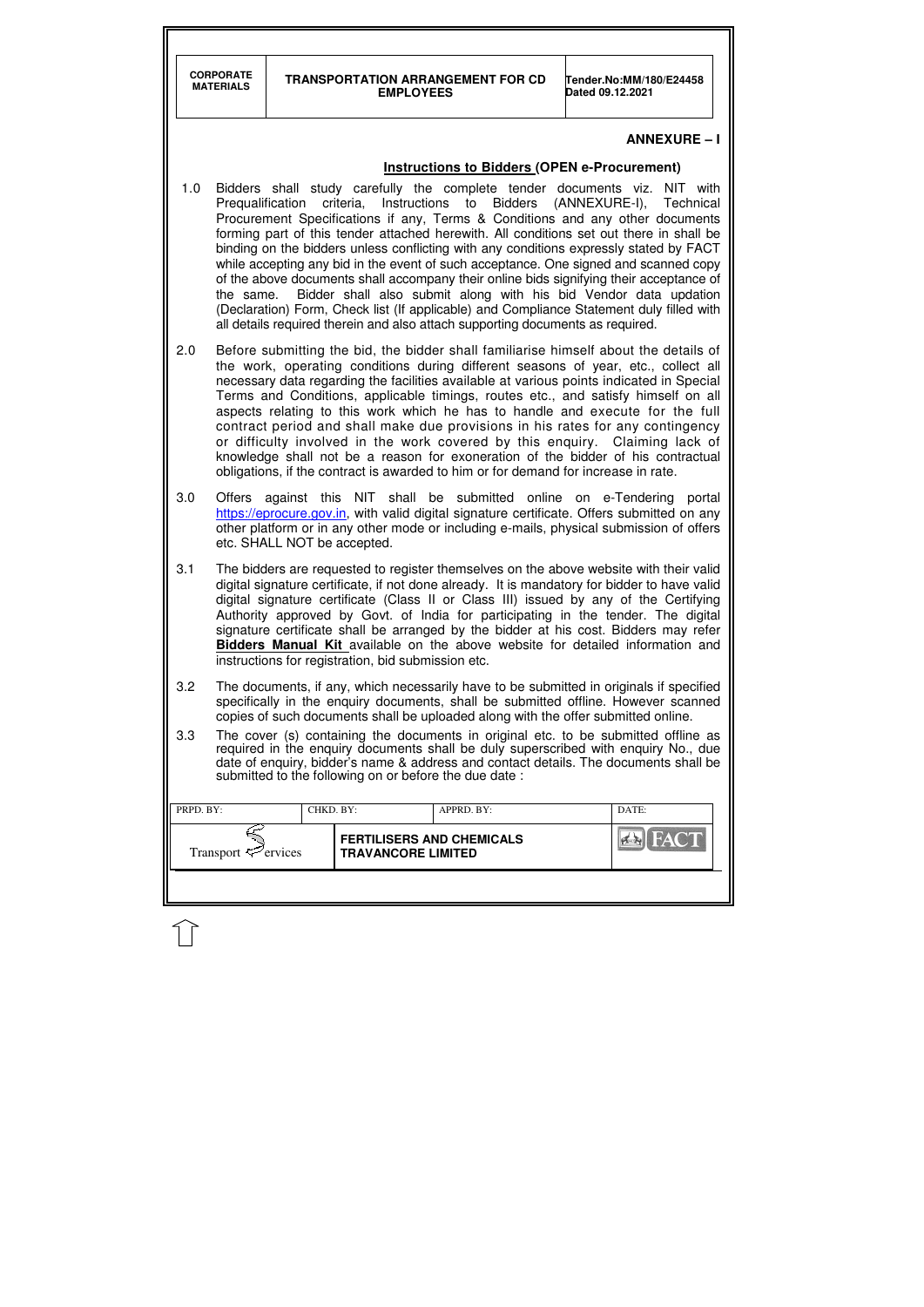| <b>CORPORATE</b> |
|------------------|
| <b>MATERIALS</b> |
|                  |

| PRPD. BY:<br>CHKD. BY:   |  |                                                               | $APPRD$ . BY: | DATE: |
|--------------------------|--|---------------------------------------------------------------|---------------|-------|
| Transport $\leq$ ervices |  | <b>FERTILISERS AND CHEMICALS</b><br><b>TRAVANCORE LIMITED</b> |               | FACT  |
|                          |  |                                                               |               |       |

## **ANNEXURE – I**

## **Instructions to Bidders (OPEN e-Procurement)**

- 1.0 Bidders shall study carefully the complete tender documents viz. NIT with Prequalification criteria, Instructions to Bidders (ANNEXURE-I), Technical Procurement Specifications if any, Terms & Conditions and any other documents forming part of this tender attached herewith. All conditions set out there in shall be binding on the bidders unless conflicting with any conditions expressly stated by FACT while accepting any bid in the event of such acceptance. One signed and scanned copy of the above documents shall accompany their online bids signifying their acceptance of the same. Bidder shall also submit along with his bid Vendor data updation (Declaration) Form, Check list (If applicable) and Compliance Statement duly filled with all details required therein and also attach supporting documents as required.
- 2.0 Before submitting the bid, the bidder shall familiarise himself about the details of the work, operating conditions during different seasons of year, etc., collect all necessary data regarding the facilities available at various points indicated in Special Terms and Conditions, applicable timings, routes etc., and satisfy himself on all aspects relating to this work which he has to handle and execute for the full contract period and shall make due provisions in his rates for any contingency or difficulty involved in the work covered by this enquiry. Claiming lack of knowledge shall not be a reason for exoneration of the bidder of his contractual obligations, if the contract is awarded to him or for demand for increase in rate.
- 3.0 Offers against this NIT shall be submitted online on e-Tendering portal https://eprocure.gov.in, with valid digital signature certificate. Offers submitted on any other platform or in any other mode or including e-mails, physical submission of offers etc. SHALL NOT be accepted.
- 3.1 The bidders are requested to register themselves on the above website with their valid digital signature certificate, if not done already. It is mandatory for bidder to have valid digital signature certificate (Class II or Class III) issued by any of the Certifying Authority approved by Govt. of India for participating in the tender. The digital signature certificate shall be arranged by the bidder at his cost. Bidders may refer **Bidders Manual Kit** available on the above website for detailed information and instructions for registration, bid submission etc.
- 3.2 The documents, if any, which necessarily have to be submitted in originals if specified specifically in the enquiry documents, shall be submitted offline. However scanned copies of such documents shall be uploaded along with the offer submitted online.
- 3.3 The cover (s) containing the documents in original etc. to be submitted offline as required in the enquiry documents shall be duly superscribed with enquiry No., due date of enquiry, bidder's name & address and contact details. The documents shall be submitted to the following on or before the due date :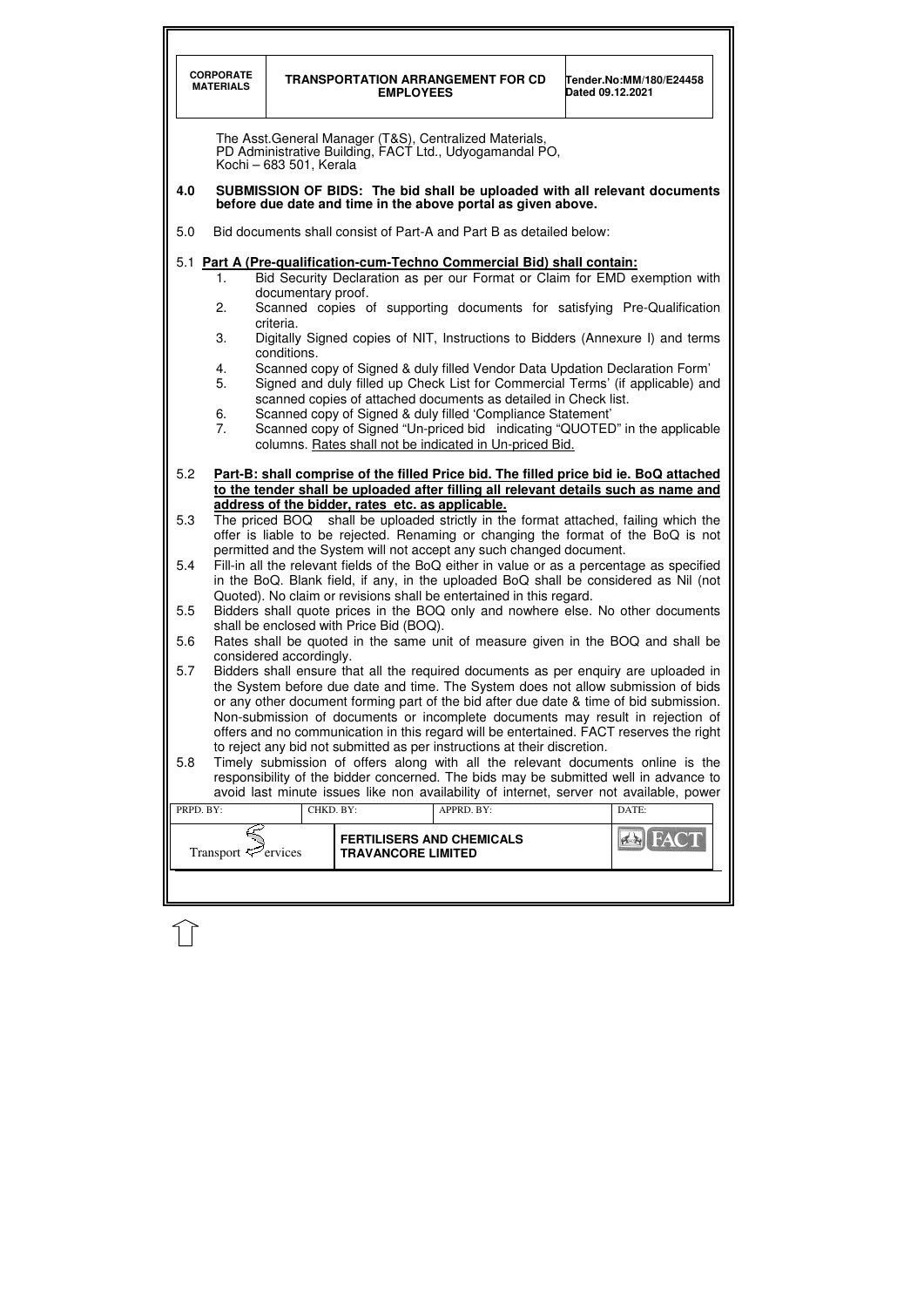|           | <b>CORPORATE</b><br><b>MATERIALS</b>                                                                                                                                                                                                                                                                                                                                                                                                                                                                                                                                           |                                 | <b>EMPLOYEES</b>                                              | <b>TRANSPORTATION ARRANGEMENT FOR CD</b>                                                                                                                                                                                                                                                                                                                                                                                                                                                                                    | Dated 09.12.2021 | Tender.No:MM/180/E24458 |  |
|-----------|--------------------------------------------------------------------------------------------------------------------------------------------------------------------------------------------------------------------------------------------------------------------------------------------------------------------------------------------------------------------------------------------------------------------------------------------------------------------------------------------------------------------------------------------------------------------------------|---------------------------------|---------------------------------------------------------------|-----------------------------------------------------------------------------------------------------------------------------------------------------------------------------------------------------------------------------------------------------------------------------------------------------------------------------------------------------------------------------------------------------------------------------------------------------------------------------------------------------------------------------|------------------|-------------------------|--|
|           |                                                                                                                                                                                                                                                                                                                                                                                                                                                                                                                                                                                | Kochi - 683 501, Kerala         |                                                               | The Asst. General Manager (T&S), Centralized Materials,<br>PD Administrative Building, FACT Ltd., Udyogamandal PO,                                                                                                                                                                                                                                                                                                                                                                                                          |                  |                         |  |
| 4.0       |                                                                                                                                                                                                                                                                                                                                                                                                                                                                                                                                                                                |                                 |                                                               | SUBMISSION OF BIDS: The bid shall be uploaded with all relevant documents<br>before due date and time in the above portal as given above.                                                                                                                                                                                                                                                                                                                                                                                   |                  |                         |  |
| 5.0       |                                                                                                                                                                                                                                                                                                                                                                                                                                                                                                                                                                                |                                 |                                                               | Bid documents shall consist of Part-A and Part B as detailed below:                                                                                                                                                                                                                                                                                                                                                                                                                                                         |                  |                         |  |
|           | 1.<br>2.<br>3.                                                                                                                                                                                                                                                                                                                                                                                                                                                                                                                                                                 | documentary proof.<br>criteria. |                                                               | 5.1 Part A (Pre-qualification-cum-Techno Commercial Bid) shall contain:<br>Bid Security Declaration as per our Format or Claim for EMD exemption with<br>Scanned copies of supporting documents for satisfying Pre-Qualification                                                                                                                                                                                                                                                                                            |                  |                         |  |
|           | Digitally Signed copies of NIT, Instructions to Bidders (Annexure I) and terms<br>conditions.<br>Scanned copy of Signed & duly filled Vendor Data Updation Declaration Form'<br>4.<br>5.<br>Signed and duly filled up Check List for Commercial Terms' (if applicable) and<br>scanned copies of attached documents as detailed in Check list.<br>Scanned copy of Signed & duly filled 'Compliance Statement'<br>6.<br>7 <sub>1</sub><br>Scanned copy of Signed "Un-priced bid indicating "QUOTED" in the applicable<br>columns. Rates shall not be indicated in Un-priced Bid. |                                 |                                                               |                                                                                                                                                                                                                                                                                                                                                                                                                                                                                                                             |                  |                         |  |
| 5.2       |                                                                                                                                                                                                                                                                                                                                                                                                                                                                                                                                                                                |                                 | address of the bidder, rates etc. as applicable.              | Part-B: shall comprise of the filled Price bid. The filled price bid ie. BoQ attached<br>to the tender shall be uploaded after filling all relevant details such as name and                                                                                                                                                                                                                                                                                                                                                |                  |                         |  |
| 5.3       |                                                                                                                                                                                                                                                                                                                                                                                                                                                                                                                                                                                |                                 |                                                               | The priced BOQ shall be uploaded strictly in the format attached, failing which the<br>offer is liable to be rejected. Renaming or changing the format of the BoQ is not                                                                                                                                                                                                                                                                                                                                                    |                  |                         |  |
| 5.4       | permitted and the System will not accept any such changed document.<br>Fill-in all the relevant fields of the BoQ either in value or as a percentage as specified<br>in the BoQ. Blank field, if any, in the uploaded BoQ shall be considered as Nil (not<br>Quoted). No claim or revisions shall be entertained in this regard.                                                                                                                                                                                                                                               |                                 |                                                               |                                                                                                                                                                                                                                                                                                                                                                                                                                                                                                                             |                  |                         |  |
| 5.5       |                                                                                                                                                                                                                                                                                                                                                                                                                                                                                                                                                                                |                                 | shall be enclosed with Price Bid (BOQ).                       | Bidders shall quote prices in the BOQ only and nowhere else. No other documents                                                                                                                                                                                                                                                                                                                                                                                                                                             |                  |                         |  |
| 5.6       |                                                                                                                                                                                                                                                                                                                                                                                                                                                                                                                                                                                | considered accordingly.         |                                                               | Rates shall be quoted in the same unit of measure given in the BOQ and shall be                                                                                                                                                                                                                                                                                                                                                                                                                                             |                  |                         |  |
| 5.7       |                                                                                                                                                                                                                                                                                                                                                                                                                                                                                                                                                                                |                                 |                                                               | Bidders shall ensure that all the required documents as per enquiry are uploaded in<br>the System before due date and time. The System does not allow submission of bids<br>or any other document forming part of the bid after due date & time of bid submission.<br>Non-submission of documents or incomplete documents may result in rejection of<br>offers and no communication in this regard will be entertained. FACT reserves the right<br>to reject any bid not submitted as per instructions at their discretion. |                  |                         |  |
| 5.8       |                                                                                                                                                                                                                                                                                                                                                                                                                                                                                                                                                                                |                                 |                                                               | Timely submission of offers along with all the relevant documents online is the<br>responsibility of the bidder concerned. The bids may be submitted well in advance to<br>avoid last minute issues like non availability of internet, server not available, power                                                                                                                                                                                                                                                          |                  |                         |  |
| PRPD. BY: |                                                                                                                                                                                                                                                                                                                                                                                                                                                                                                                                                                                | CHKD. BY:                       |                                                               | APPRD. BY:                                                                                                                                                                                                                                                                                                                                                                                                                                                                                                                  |                  | DATE:                   |  |
|           | Transport $\mathcal{F}$ ervices                                                                                                                                                                                                                                                                                                                                                                                                                                                                                                                                                |                                 | <b>FERTILISERS AND CHEMICALS</b><br><b>TRAVANCORE LIMITED</b> |                                                                                                                                                                                                                                                                                                                                                                                                                                                                                                                             |                  |                         |  |
|           |                                                                                                                                                                                                                                                                                                                                                                                                                                                                                                                                                                                |                                 |                                                               |                                                                                                                                                                                                                                                                                                                                                                                                                                                                                                                             |                  |                         |  |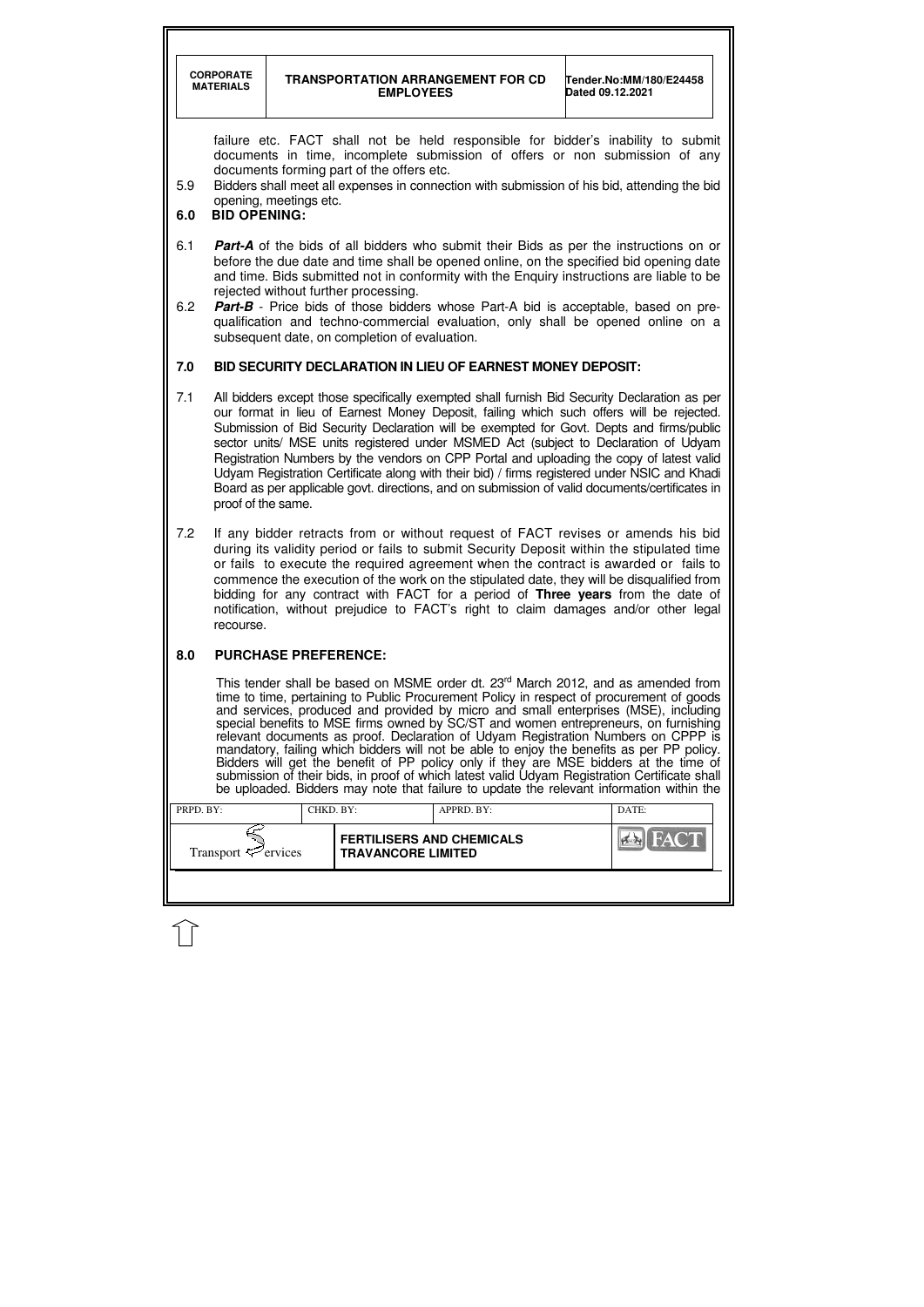|                                                                                                                                                                                                                                                                                                                                                                                                                                                                                                                                                                                                                                                                                                                                                                                                                                                 | <b>CORPORATE</b><br><b>MATERIALS</b>                                                                                                                                                                                                                                                                                                                                                                                                                                                                                                                                                                                                                                                            |                             | <b>EMPLOYEES</b>                                                                      | <b>TRANSPORTATION ARRANGEMENT FOR CD</b>                                                                                                                                                                                                                                                                                                                                                                                                                             | Dated 09.12.2021 | Tender.No:MM/180/E24458 |
|-------------------------------------------------------------------------------------------------------------------------------------------------------------------------------------------------------------------------------------------------------------------------------------------------------------------------------------------------------------------------------------------------------------------------------------------------------------------------------------------------------------------------------------------------------------------------------------------------------------------------------------------------------------------------------------------------------------------------------------------------------------------------------------------------------------------------------------------------|-------------------------------------------------------------------------------------------------------------------------------------------------------------------------------------------------------------------------------------------------------------------------------------------------------------------------------------------------------------------------------------------------------------------------------------------------------------------------------------------------------------------------------------------------------------------------------------------------------------------------------------------------------------------------------------------------|-----------------------------|---------------------------------------------------------------------------------------|----------------------------------------------------------------------------------------------------------------------------------------------------------------------------------------------------------------------------------------------------------------------------------------------------------------------------------------------------------------------------------------------------------------------------------------------------------------------|------------------|-------------------------|
| 5.9<br>6.0                                                                                                                                                                                                                                                                                                                                                                                                                                                                                                                                                                                                                                                                                                                                                                                                                                      | <b>BID OPENING:</b>                                                                                                                                                                                                                                                                                                                                                                                                                                                                                                                                                                                                                                                                             | opening, meetings etc.      | documents forming part of the offers etc.                                             | failure etc. FACT shall not be held responsible for bidder's inability to submit<br>documents in time, incomplete submission of offers or non submission of any<br>Bidders shall meet all expenses in connection with submission of his bid, attending the bid                                                                                                                                                                                                       |                  |                         |
| 6.1<br>6.2                                                                                                                                                                                                                                                                                                                                                                                                                                                                                                                                                                                                                                                                                                                                                                                                                                      |                                                                                                                                                                                                                                                                                                                                                                                                                                                                                                                                                                                                                                                                                                 |                             | rejected without further processing.<br>subsequent date, on completion of evaluation. | <b>Part-A</b> of the bids of all bidders who submit their Bids as per the instructions on or<br>before the due date and time shall be opened online, on the specified bid opening date<br>and time. Bids submitted not in conformity with the Enquiry instructions are liable to be<br><b>Part-B</b> - Price bids of those bidders whose Part-A bid is acceptable, based on pre-<br>qualification and techno-commercial evaluation, only shall be opened online on a |                  |                         |
| 7.0                                                                                                                                                                                                                                                                                                                                                                                                                                                                                                                                                                                                                                                                                                                                                                                                                                             |                                                                                                                                                                                                                                                                                                                                                                                                                                                                                                                                                                                                                                                                                                 |                             |                                                                                       | BID SECURITY DECLARATION IN LIEU OF EARNEST MONEY DEPOSIT:                                                                                                                                                                                                                                                                                                                                                                                                           |                  |                         |
| 7.1                                                                                                                                                                                                                                                                                                                                                                                                                                                                                                                                                                                                                                                                                                                                                                                                                                             | All bidders except those specifically exempted shall furnish Bid Security Declaration as per<br>our format in lieu of Earnest Money Deposit, failing which such offers will be rejected.<br>Submission of Bid Security Declaration will be exempted for Govt. Depts and firms/public<br>sector units/ MSE units registered under MSMED Act (subject to Declaration of Udyam<br>Registration Numbers by the vendors on CPP Portal and uploading the copy of latest valid<br>Udyam Registration Certificate along with their bid) / firms registered under NSIC and Khadi<br>Board as per applicable govt. directions, and on submission of valid documents/certificates in<br>proof of the same. |                             |                                                                                       |                                                                                                                                                                                                                                                                                                                                                                                                                                                                      |                  |                         |
| 7.2                                                                                                                                                                                                                                                                                                                                                                                                                                                                                                                                                                                                                                                                                                                                                                                                                                             | If any bidder retracts from or without request of FACT revises or amends his bid<br>during its validity period or fails to submit Security Deposit within the stipulated time<br>or fails to execute the required agreement when the contract is awarded or fails to<br>commence the execution of the work on the stipulated date, they will be disqualified from<br>bidding for any contract with FACT for a period of Three years from the date of<br>notification, without prejudice to FACT's right to claim damages and/or other legal<br>recourse.                                                                                                                                        |                             |                                                                                       |                                                                                                                                                                                                                                                                                                                                                                                                                                                                      |                  |                         |
| 8.0                                                                                                                                                                                                                                                                                                                                                                                                                                                                                                                                                                                                                                                                                                                                                                                                                                             |                                                                                                                                                                                                                                                                                                                                                                                                                                                                                                                                                                                                                                                                                                 | <b>PURCHASE PREFERENCE:</b> |                                                                                       |                                                                                                                                                                                                                                                                                                                                                                                                                                                                      |                  |                         |
| This tender shall be based on MSME order dt. 23 <sup>rd</sup> March 2012, and as amended from<br>time to time, pertaining to Public Procurement Policy in respect of procurement of goods<br>and services, produced and provided by micro and small enterprises (MSE), including<br>special benefits to MSE firms owned by SC/ST and women entrepreneurs, on furnishing<br>relevant documents as proof. Declaration of Udyam Registration Numbers on CPPP is<br>mandatory, failing which bidders will not be able to enjoy the benefits as per PP policy.<br>Bidders will get the benefit of PP policy only if they are MSE bidders at the time of<br>submission of their bids, in proof of which latest valid Udyam Registration Certificate shall<br>be uploaded. Bidders may note that failure to update the relevant information within the |                                                                                                                                                                                                                                                                                                                                                                                                                                                                                                                                                                                                                                                                                                 |                             |                                                                                       |                                                                                                                                                                                                                                                                                                                                                                                                                                                                      |                  |                         |
| PRPD. BY:                                                                                                                                                                                                                                                                                                                                                                                                                                                                                                                                                                                                                                                                                                                                                                                                                                       |                                                                                                                                                                                                                                                                                                                                                                                                                                                                                                                                                                                                                                                                                                 | CHKD. BY:                   |                                                                                       | APPRD. BY:                                                                                                                                                                                                                                                                                                                                                                                                                                                           |                  | DATE:                   |
|                                                                                                                                                                                                                                                                                                                                                                                                                                                                                                                                                                                                                                                                                                                                                                                                                                                 | Transport $\mathcal{P}$ ervices                                                                                                                                                                                                                                                                                                                                                                                                                                                                                                                                                                                                                                                                 |                             | <b>FERTILISERS AND CHEMICALS</b><br><b>TRAVANCORE LIMITED</b>                         |                                                                                                                                                                                                                                                                                                                                                                                                                                                                      |                  |                         |
|                                                                                                                                                                                                                                                                                                                                                                                                                                                                                                                                                                                                                                                                                                                                                                                                                                                 |                                                                                                                                                                                                                                                                                                                                                                                                                                                                                                                                                                                                                                                                                                 |                             |                                                                                       |                                                                                                                                                                                                                                                                                                                                                                                                                                                                      |                  |                         |

 $\bigcup$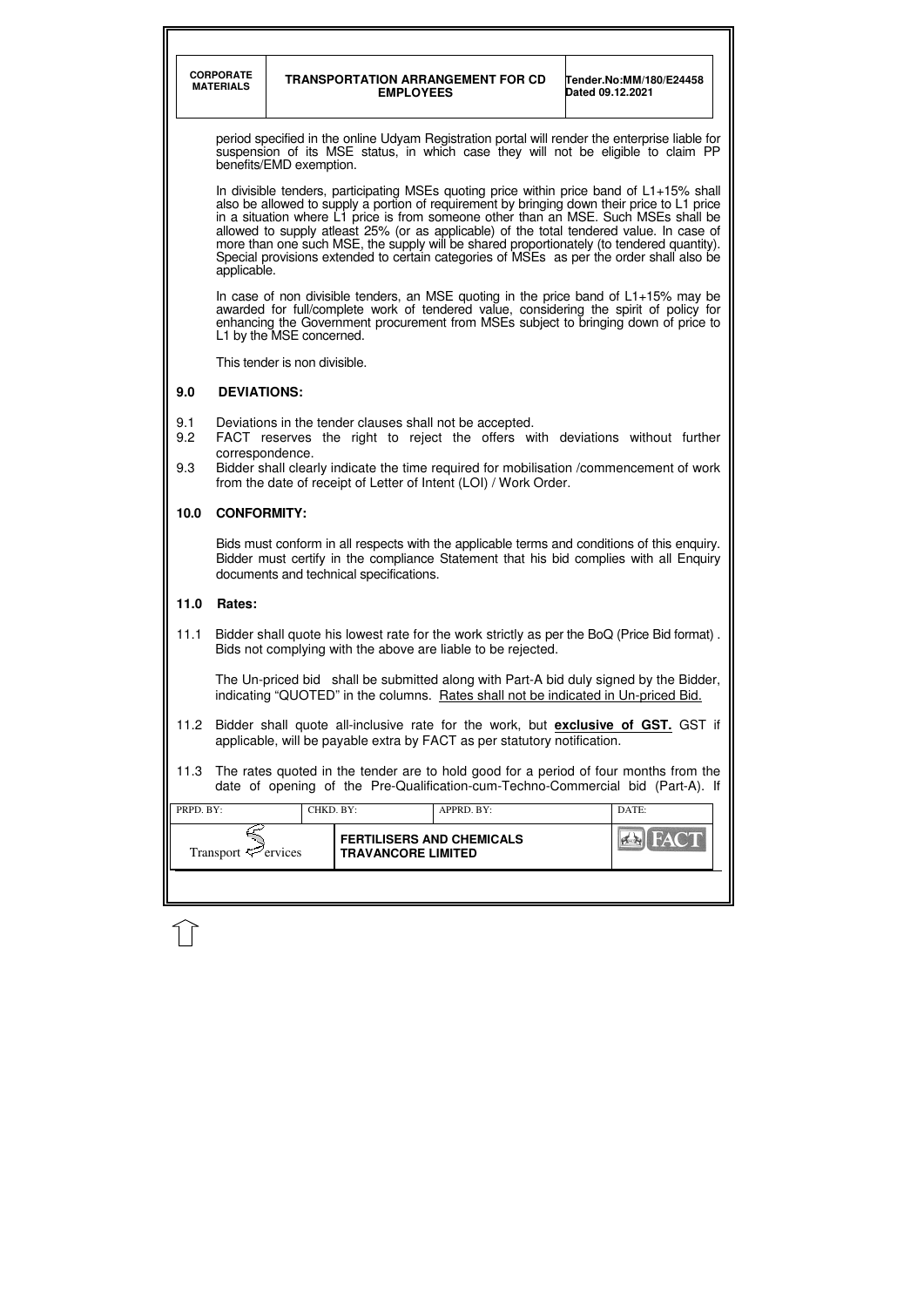|                   | <b>CORPORATE</b><br><b>MATERIALS</b>                                                                                                                                                                                                                                                                                     |                         | <b>EMPLOYEES</b>          | <b>TRANSPORTATION ARRANGEMENT FOR CD</b>                                                                                                                                                                                                                                                                                                                                                                                                                                                                                                                            | Dated 09.12.2021 | Tender.No:MM/180/E24458 |  |
|-------------------|--------------------------------------------------------------------------------------------------------------------------------------------------------------------------------------------------------------------------------------------------------------------------------------------------------------------------|-------------------------|---------------------------|---------------------------------------------------------------------------------------------------------------------------------------------------------------------------------------------------------------------------------------------------------------------------------------------------------------------------------------------------------------------------------------------------------------------------------------------------------------------------------------------------------------------------------------------------------------------|------------------|-------------------------|--|
|                   |                                                                                                                                                                                                                                                                                                                          | benefits/EMD exemption. |                           | period specified in the online Udyam Registration portal will render the enterprise liable for<br>suspension of its MSE status, in which case they will not be eligible to claim PP                                                                                                                                                                                                                                                                                                                                                                                 |                  |                         |  |
|                   | applicable.                                                                                                                                                                                                                                                                                                              |                         |                           | In divisible tenders, participating MSEs quoting price within price band of L1+15% shall<br>also be allowed to supply a portion of requirement by bringing down their price to L1 price<br>in a situation where L1 price is from someone other than an MSE. Such MSEs shall be<br>allowed to supply atleast 25% (or as applicable) of the total tendered value. In case of<br>more than one such MSE, the supply will be shared proportionately (to tendered quantity).<br>Special provisions extended to certain categories of MSEs as per the order shall also be |                  |                         |  |
|                   | In case of non divisible tenders, an MSE quoting in the price band of $L1+15\%$ may be<br>awarded for full/complete work of tendered value, considering the spirit of policy for<br>enhancing the Government procurement from MSEs subject to bringing down of price to<br>L1 by the MSE concerned.                      |                         |                           |                                                                                                                                                                                                                                                                                                                                                                                                                                                                                                                                                                     |                  |                         |  |
|                   | This tender is non divisible.                                                                                                                                                                                                                                                                                            |                         |                           |                                                                                                                                                                                                                                                                                                                                                                                                                                                                                                                                                                     |                  |                         |  |
| 9.0               | <b>DEVIATIONS:</b>                                                                                                                                                                                                                                                                                                       |                         |                           |                                                                                                                                                                                                                                                                                                                                                                                                                                                                                                                                                                     |                  |                         |  |
| 9.1<br>9.2<br>9.3 | Deviations in the tender clauses shall not be accepted.<br>FACT reserves the right to reject the offers with deviations without further<br>correspondence.<br>Bidder shall clearly indicate the time required for mobilisation /commencement of work<br>from the date of receipt of Letter of Intent (LOI) / Work Order. |                         |                           |                                                                                                                                                                                                                                                                                                                                                                                                                                                                                                                                                                     |                  |                         |  |
| 10.0              | <b>CONFORMITY:</b>                                                                                                                                                                                                                                                                                                       |                         |                           |                                                                                                                                                                                                                                                                                                                                                                                                                                                                                                                                                                     |                  |                         |  |
|                   | Bids must conform in all respects with the applicable terms and conditions of this enquiry.<br>Bidder must certify in the compliance Statement that his bid complies with all Enquiry<br>documents and technical specifications.                                                                                         |                         |                           |                                                                                                                                                                                                                                                                                                                                                                                                                                                                                                                                                                     |                  |                         |  |
| 11.0              | Rates:                                                                                                                                                                                                                                                                                                                   |                         |                           |                                                                                                                                                                                                                                                                                                                                                                                                                                                                                                                                                                     |                  |                         |  |
| 11.1              |                                                                                                                                                                                                                                                                                                                          |                         |                           | Bidder shall quote his lowest rate for the work strictly as per the BoQ (Price Bid format).<br>Bids not complying with the above are liable to be rejected.                                                                                                                                                                                                                                                                                                                                                                                                         |                  |                         |  |
|                   | The Un-priced bid shall be submitted along with Part-A bid duly signed by the Bidder,<br>indicating "QUOTED" in the columns. Rates shall not be indicated in Un-priced Bid.                                                                                                                                              |                         |                           |                                                                                                                                                                                                                                                                                                                                                                                                                                                                                                                                                                     |                  |                         |  |
| 11.2              |                                                                                                                                                                                                                                                                                                                          |                         |                           | Bidder shall quote all-inclusive rate for the work, but <b>exclusive of GST</b> . GST if<br>applicable, will be payable extra by FACT as per statutory notification.                                                                                                                                                                                                                                                                                                                                                                                                |                  |                         |  |
| 11.3              |                                                                                                                                                                                                                                                                                                                          |                         |                           | The rates quoted in the tender are to hold good for a period of four months from the<br>date of opening of the Pre-Qualification-cum-Techno-Commercial bid (Part-A). If                                                                                                                                                                                                                                                                                                                                                                                             |                  |                         |  |
| PRPD. BY:         |                                                                                                                                                                                                                                                                                                                          | CHKD. BY:               |                           | APPRD. BY:                                                                                                                                                                                                                                                                                                                                                                                                                                                                                                                                                          |                  | DATE:                   |  |
|                   | Transport $\leq$ ervices                                                                                                                                                                                                                                                                                                 |                         | <b>TRAVANCORE LIMITED</b> | <b>FERTILISERS AND CHEMICALS</b>                                                                                                                                                                                                                                                                                                                                                                                                                                                                                                                                    |                  |                         |  |
|                   |                                                                                                                                                                                                                                                                                                                          |                         |                           |                                                                                                                                                                                                                                                                                                                                                                                                                                                                                                                                                                     |                  |                         |  |

 $\widehat{\mathbb{U}}$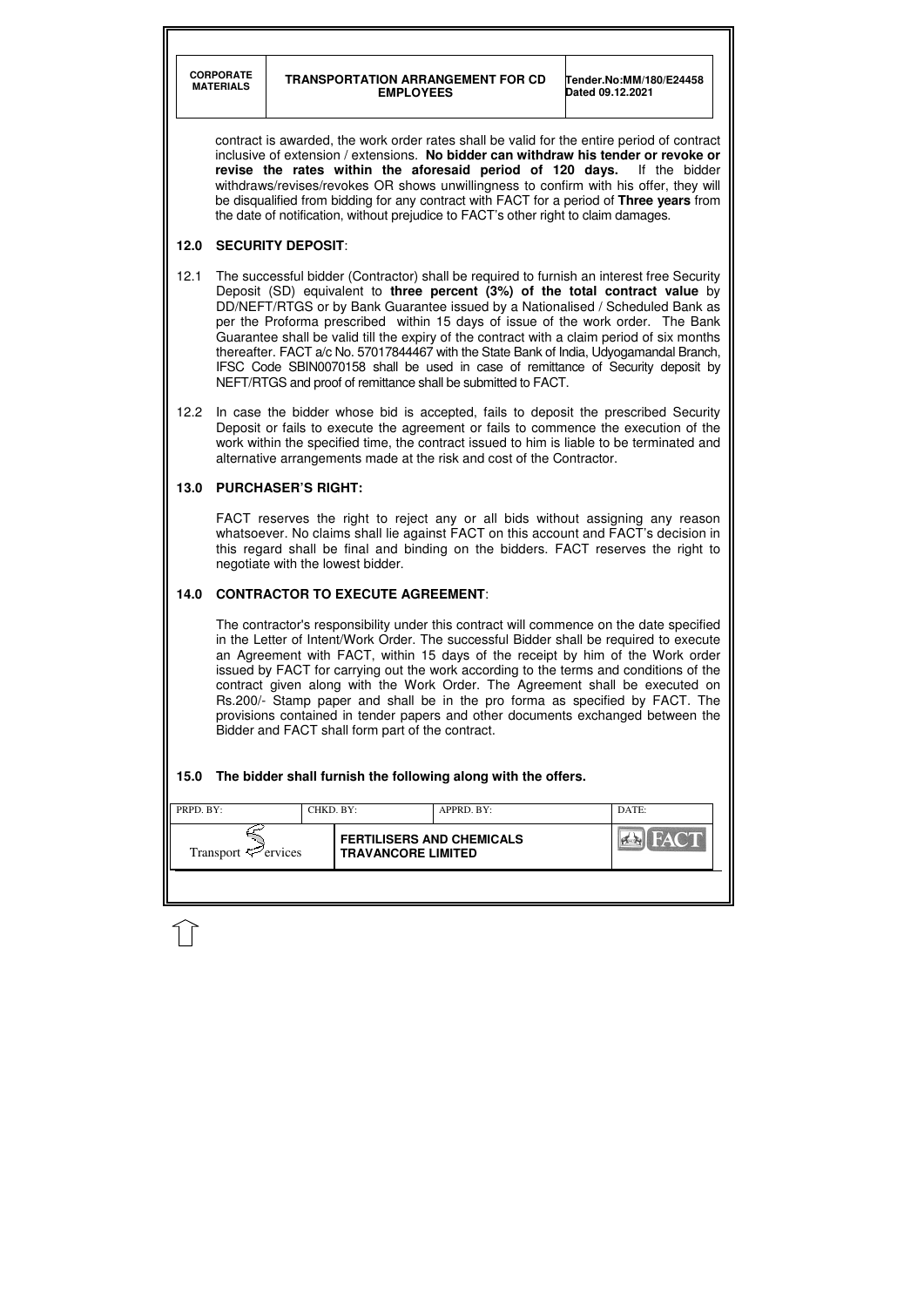| <b>FERTILISERS AND CHEMICALS</b>                     | <b>PRPD.</b> BY: | CHKD. BY: | APPRD. BY: | DATE:       |
|------------------------------------------------------|------------------|-----------|------------|-------------|
| Transport $\ll$ ervices<br><b>TRAVANCORE LIMITED</b> |                  |           |            | <b>HACT</b> |

contract is awarded, the work order rates shall be valid for the entire period of contract inclusive of extension / extensions. **No bidder can withdraw his tender or revoke or revise the rates within the aforesaid period of 120 days.** If the bidder withdraws/revises/revokes OR shows unwillingness to confirm with his offer, they will be disqualified from bidding for any contract with FACT for a period of **Three years** from the date of notification, without prejudice to FACT's other right to claim damages.

# **12.0 SECURITY DEPOSIT**:

- 12.1 The successful bidder (Contractor) shall be required to furnish an interest free Security Deposit (SD) equivalent to **three percent (3%) of the total contract value** by DD/NEFT/RTGS or by Bank Guarantee issued by a Nationalised / Scheduled Bank as per the Proforma prescribed within 15 days of issue of the work order. The Bank Guarantee shall be valid till the expiry of the contract with a claim period of six months thereafter. FACT a/c No. 57017844467 with the State Bank of India, Udyogamandal Branch, IFSC Code SBIN0070158 shall be used in case of remittance of Security deposit by NEFT/RTGS and proof of remittance shall be submitted to FACT.
- 12.2 In case the bidder whose bid is accepted, fails to deposit the prescribed Security Deposit or fails to execute the agreement or fails to commence the execution of the work within the specified time, the contract issued to him is liable to be terminated and alternative arrangements made at the risk and cost of the Contractor.

# **13.0 PURCHASER'S RIGHT:**

 FACT reserves the right to reject any or all bids without assigning any reason whatsoever. No claims shall lie against FACT on this account and FACT's decision in this regard shall be final and binding on the bidders. FACT reserves the right to negotiate with the lowest bidder.

# **14.0 CONTRACTOR TO EXECUTE AGREEMENT**:

 The contractor's responsibility under this contract will commence on the date specified in the Letter of Intent/Work Order. The successful Bidder shall be required to execute an Agreement with FACT, within 15 days of the receipt by him of the Work order issued by FACT for carrying out the work according to the terms and conditions of the contract given along with the Work Order. The Agreement shall be executed on Rs.200/- Stamp paper and shall be in the pro forma as specified by FACT. The provisions contained in tender papers and other documents exchanged between the Bidder and FACT shall form part of the contract.

# **15.0 The bidder shall furnish the following along with the offers.**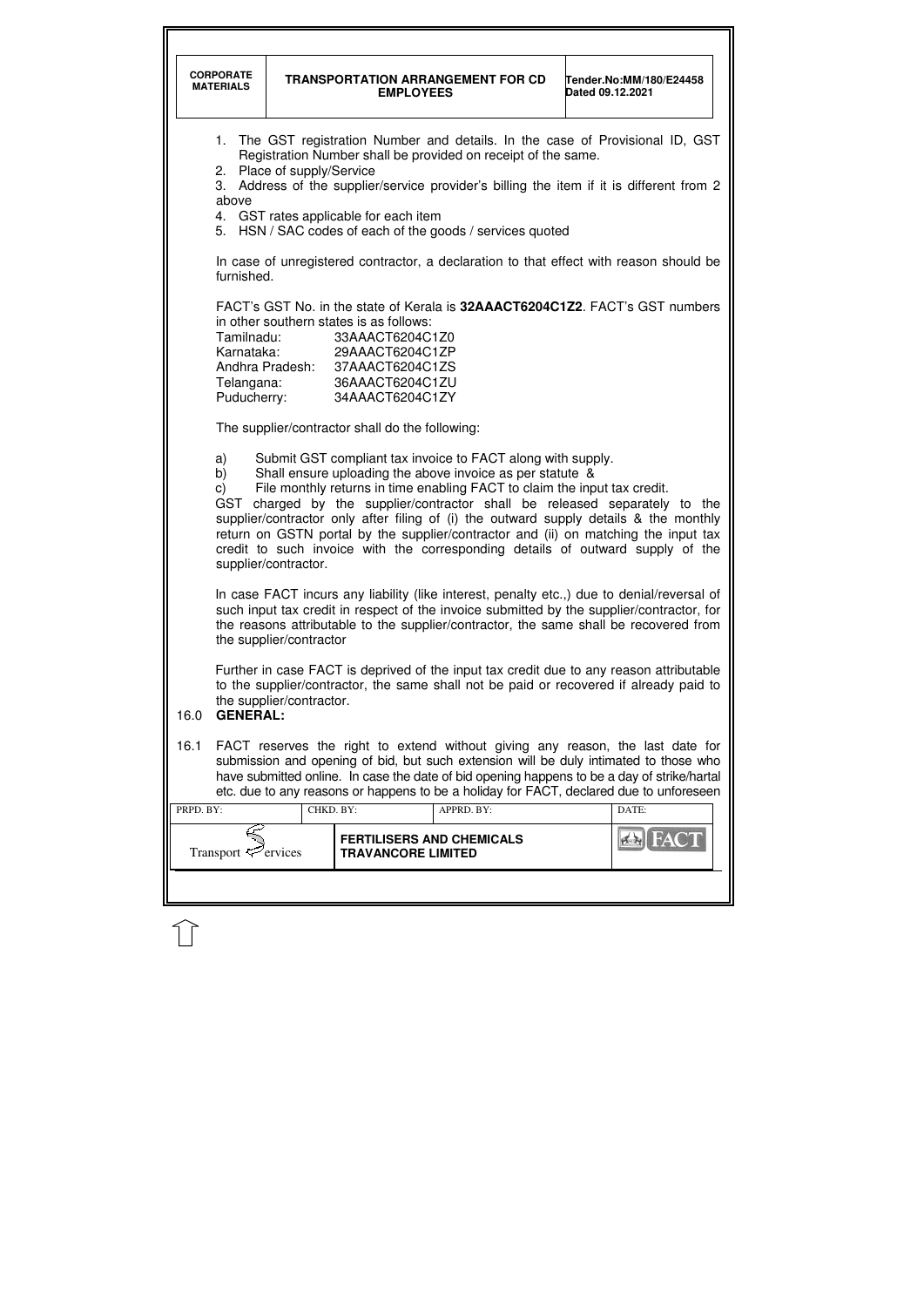|           | <b>CORPORATE</b><br><b>MATERIALS</b>                                                                                                                                                                                                                                                                        |                            | <b>EMPLOYEES</b>                                                                                                                                                              | <b>TRANSPORTATION ARRANGEMENT FOR CD</b>                                                                                                                                                              | Tender.No:MM/180/E24458<br>Dated 09.12.2021                                                                                                                                                                                                                                                                                                                       |  |
|-----------|-------------------------------------------------------------------------------------------------------------------------------------------------------------------------------------------------------------------------------------------------------------------------------------------------------------|----------------------------|-------------------------------------------------------------------------------------------------------------------------------------------------------------------------------|-------------------------------------------------------------------------------------------------------------------------------------------------------------------------------------------------------|-------------------------------------------------------------------------------------------------------------------------------------------------------------------------------------------------------------------------------------------------------------------------------------------------------------------------------------------------------------------|--|
|           | 1.<br>above                                                                                                                                                                                                                                                                                                 | 2. Place of supply/Service | 4. GST rates applicable for each item                                                                                                                                         | Registration Number shall be provided on receipt of the same.<br>5. HSN / SAC codes of each of the goods / services quoted                                                                            | The GST registration Number and details. In the case of Provisional ID, GST<br>3. Address of the supplier/service provider's billing the item if it is different from 2                                                                                                                                                                                           |  |
|           | furnished.                                                                                                                                                                                                                                                                                                  |                            |                                                                                                                                                                               |                                                                                                                                                                                                       | In case of unregistered contractor, a declaration to that effect with reason should be                                                                                                                                                                                                                                                                            |  |
|           | Tamilnadu:<br>Telangana:                                                                                                                                                                                                                                                                                    |                            | in other southern states is as follows:<br>33AAACT6204C1Z0<br>Karnataka: 29AAACT6204C1ZP<br>Andhra Pradesh: 37AAACT6204C1ZS<br>36AAACT6204C1ZU<br>Puducherry: 34AAACT6204C1ZY |                                                                                                                                                                                                       | FACT's GST No. in the state of Kerala is 32AAACT6204C1Z2. FACT's GST numbers                                                                                                                                                                                                                                                                                      |  |
|           | The supplier/contractor shall do the following:                                                                                                                                                                                                                                                             |                            |                                                                                                                                                                               |                                                                                                                                                                                                       |                                                                                                                                                                                                                                                                                                                                                                   |  |
|           | a)<br>b)<br>$\mathsf{C}$<br>GST                                                                                                                                                                                                                                                                             | supplier/contractor.       |                                                                                                                                                                               | Submit GST compliant tax invoice to FACT along with supply.<br>Shall ensure uploading the above invoice as per statute &<br>File monthly returns in time enabling FACT to claim the input tax credit. | charged by the supplier/contractor shall be released separately to the<br>supplier/contractor only after filing of (i) the outward supply details & the monthly<br>return on GSTN portal by the supplier/contractor and (ii) on matching the input tax<br>credit to such invoice with the corresponding details of outward supply of the                          |  |
|           | In case FACT incurs any liability (like interest, penalty etc.,) due to denial/reversal of<br>such input tax credit in respect of the invoice submitted by the supplier/contractor, for<br>the reasons attributable to the supplier/contractor, the same shall be recovered from<br>the supplier/contractor |                            |                                                                                                                                                                               |                                                                                                                                                                                                       |                                                                                                                                                                                                                                                                                                                                                                   |  |
| 16.0      | <b>GENERAL:</b>                                                                                                                                                                                                                                                                                             | the supplier/contractor.   |                                                                                                                                                                               |                                                                                                                                                                                                       | Further in case FACT is deprived of the input tax credit due to any reason attributable<br>to the supplier/contractor, the same shall not be paid or recovered if already paid to                                                                                                                                                                                 |  |
| 16.1      |                                                                                                                                                                                                                                                                                                             |                            |                                                                                                                                                                               |                                                                                                                                                                                                       | FACT reserves the right to extend without giving any reason, the last date for<br>submission and opening of bid, but such extension will be duly intimated to those who<br>have submitted online. In case the date of bid opening happens to be a day of strike/hartal<br>etc. due to any reasons or happens to be a holiday for FACT, declared due to unforeseen |  |
| PRPD. BY: |                                                                                                                                                                                                                                                                                                             | CHKD. BY:                  |                                                                                                                                                                               | APPRD. BY:                                                                                                                                                                                            | DATE:                                                                                                                                                                                                                                                                                                                                                             |  |
|           | Transport $\epsilon$ <sup>2</sup> ervices                                                                                                                                                                                                                                                                   |                            | <b>FERTILISERS AND CHEMICALS</b><br><b>TRAVANCORE LIMITED</b>                                                                                                                 |                                                                                                                                                                                                       |                                                                                                                                                                                                                                                                                                                                                                   |  |
|           |                                                                                                                                                                                                                                                                                                             |                            |                                                                                                                                                                               |                                                                                                                                                                                                       |                                                                                                                                                                                                                                                                                                                                                                   |  |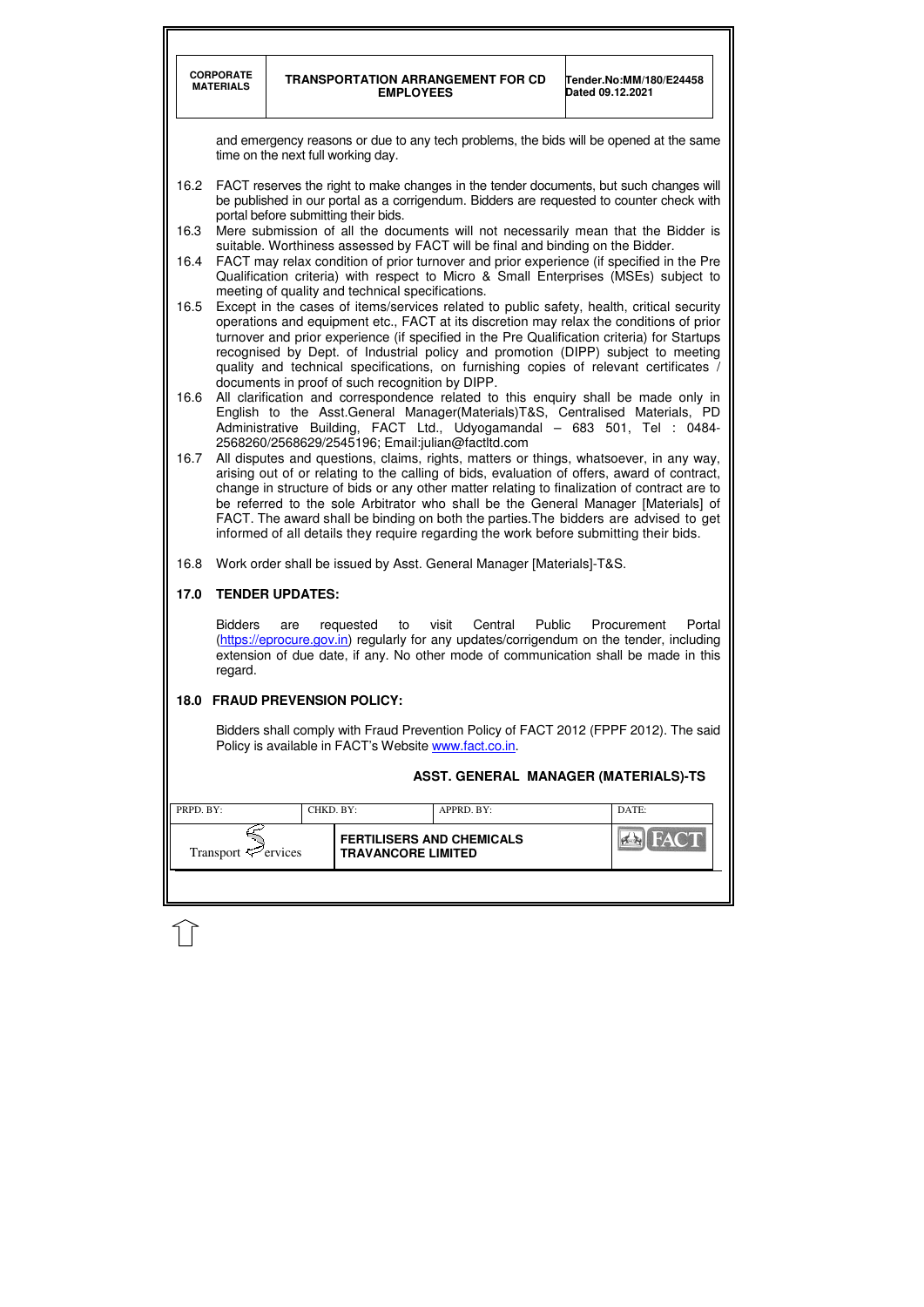|           | <b>CORPORATE</b><br><b>MATERIALS</b>                                                                                                                                                                                                                                                                                                                                                                                                                                                                                                                        |                                    | <b>EMPLOYEES</b>          | <b>TRANSPORTATION ARRANGEMENT FOR CD</b>                                               | Dated 09.12.2021 | Tender.No:MM/180/E24458 |  |  |  |
|-----------|-------------------------------------------------------------------------------------------------------------------------------------------------------------------------------------------------------------------------------------------------------------------------------------------------------------------------------------------------------------------------------------------------------------------------------------------------------------------------------------------------------------------------------------------------------------|------------------------------------|---------------------------|----------------------------------------------------------------------------------------|------------------|-------------------------|--|--|--|
|           |                                                                                                                                                                                                                                                                                                                                                                                                                                                                                                                                                             | time on the next full working day. |                           | and emergency reasons or due to any tech problems, the bids will be opened at the same |                  |                         |  |  |  |
| 16.2      | FACT reserves the right to make changes in the tender documents, but such changes will<br>be published in our portal as a corrigendum. Bidders are requested to counter check with<br>portal before submitting their bids.                                                                                                                                                                                                                                                                                                                                  |                                    |                           |                                                                                        |                  |                         |  |  |  |
| 16.3      | Mere submission of all the documents will not necessarily mean that the Bidder is<br>suitable. Worthiness assessed by FACT will be final and binding on the Bidder.                                                                                                                                                                                                                                                                                                                                                                                         |                                    |                           |                                                                                        |                  |                         |  |  |  |
| 16.4      | FACT may relax condition of prior turnover and prior experience (if specified in the Pre<br>Qualification criteria) with respect to Micro & Small Enterprises (MSEs) subject to<br>meeting of quality and technical specifications.                                                                                                                                                                                                                                                                                                                         |                                    |                           |                                                                                        |                  |                         |  |  |  |
| 16.5      | Except in the cases of items/services related to public safety, health, critical security<br>operations and equipment etc., FACT at its discretion may relax the conditions of prior<br>turnover and prior experience (if specified in the Pre Qualification criteria) for Startups<br>recognised by Dept. of Industrial policy and promotion (DIPP) subject to meeting<br>quality and technical specifications, on furnishing copies of relevant certificates /<br>documents in proof of such recognition by DIPP.                                         |                                    |                           |                                                                                        |                  |                         |  |  |  |
| 16.6      | All clarification and correspondence related to this enquiry shall be made only in<br>English to the Asst.General Manager(Materials)T&S, Centralised Materials, PD<br>Administrative Building, FACT Ltd., Udyogamandal - 683 501, Tel : 0484-<br>2568260/2568629/2545196; Email:julian@factltd.com                                                                                                                                                                                                                                                          |                                    |                           |                                                                                        |                  |                         |  |  |  |
| 16.7      | All disputes and questions, claims, rights, matters or things, whatsoever, in any way,<br>arising out of or relating to the calling of bids, evaluation of offers, award of contract,<br>change in structure of bids or any other matter relating to finalization of contract are to<br>be referred to the sole Arbitrator who shall be the General Manager [Materials] of<br>FACT. The award shall be binding on both the parties. The bidders are advised to get<br>informed of all details they require regarding the work before submitting their bids. |                                    |                           |                                                                                        |                  |                         |  |  |  |
| 16.8      |                                                                                                                                                                                                                                                                                                                                                                                                                                                                                                                                                             |                                    |                           | Work order shall be issued by Asst. General Manager [Materials]-T&S.                   |                  |                         |  |  |  |
| 17.0      | <b>TENDER UPDATES:</b>                                                                                                                                                                                                                                                                                                                                                                                                                                                                                                                                      |                                    |                           |                                                                                        |                  |                         |  |  |  |
|           | <b>Bidders</b><br>Central<br>Public<br>Procurement<br>Portal<br>requested<br>visit<br>to<br>are<br>(https://eprocure.gov.in) regularly for any updates/corrigendum on the tender, including<br>extension of due date, if any. No other mode of communication shall be made in this<br>regard.                                                                                                                                                                                                                                                               |                                    |                           |                                                                                        |                  |                         |  |  |  |
| 18.0      |                                                                                                                                                                                                                                                                                                                                                                                                                                                                                                                                                             | <b>FRAUD PREVENSION POLICY:</b>    |                           |                                                                                        |                  |                         |  |  |  |
|           | Bidders shall comply with Fraud Prevention Policy of FACT 2012 (FPPF 2012). The said<br>Policy is available in FACT's Website www.fact.co.in.                                                                                                                                                                                                                                                                                                                                                                                                               |                                    |                           |                                                                                        |                  |                         |  |  |  |
|           |                                                                                                                                                                                                                                                                                                                                                                                                                                                                                                                                                             |                                    |                           | ASST. GENERAL MANAGER (MATERIALS)-TS                                                   |                  |                         |  |  |  |
| PRPD. BY: |                                                                                                                                                                                                                                                                                                                                                                                                                                                                                                                                                             | CHKD. BY:                          |                           | APPRD. BY:                                                                             |                  | DATE:                   |  |  |  |
|           | Transport $\mathcal{P}$ ervices                                                                                                                                                                                                                                                                                                                                                                                                                                                                                                                             |                                    | <b>TRAVANCORE LIMITED</b> | <b>FERTILISERS AND CHEMICALS</b>                                                       |                  |                         |  |  |  |
|           |                                                                                                                                                                                                                                                                                                                                                                                                                                                                                                                                                             |                                    |                           |                                                                                        |                  |                         |  |  |  |

 $\bigcap$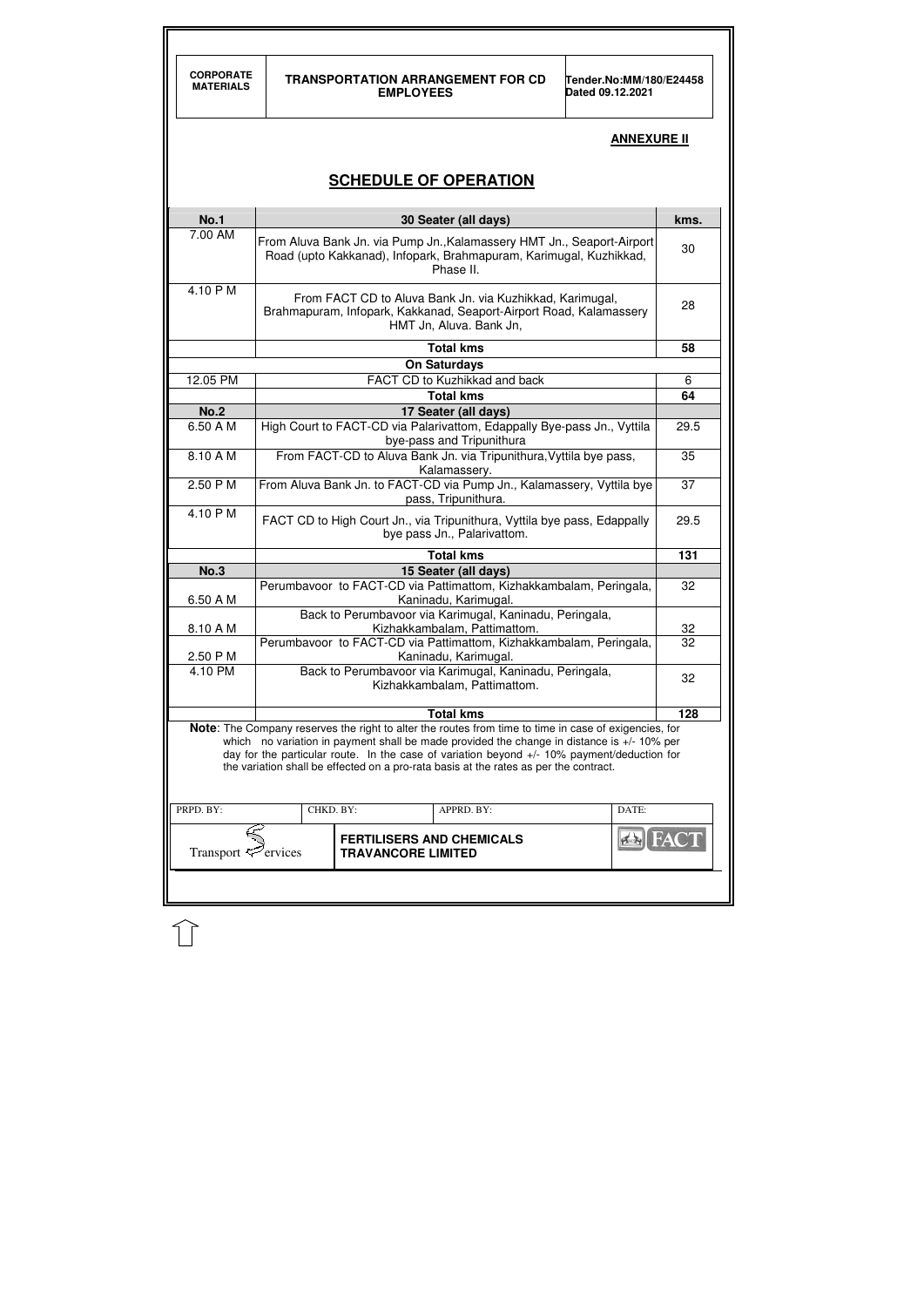| <b>CORPORATE</b><br><b>MATERIALS</b> | <b>TRANSPORTATION ARRANGEMENT FOR CD</b><br>Tender.No:MM/180/E24458<br><b>EMPLOYEES</b><br>Dated 09.12.2021 |                                                                                                                                                                                                                                                                                                                                                                                                                   |  |                    |      |  |  |  |
|--------------------------------------|-------------------------------------------------------------------------------------------------------------|-------------------------------------------------------------------------------------------------------------------------------------------------------------------------------------------------------------------------------------------------------------------------------------------------------------------------------------------------------------------------------------------------------------------|--|--------------------|------|--|--|--|
|                                      |                                                                                                             |                                                                                                                                                                                                                                                                                                                                                                                                                   |  | <b>ANNEXURE II</b> |      |  |  |  |
|                                      |                                                                                                             | <b>SCHEDULE OF OPERATION</b>                                                                                                                                                                                                                                                                                                                                                                                      |  |                    |      |  |  |  |
| <b>No.1</b>                          |                                                                                                             | 30 Seater (all days)                                                                                                                                                                                                                                                                                                                                                                                              |  |                    | kms. |  |  |  |
| 7.00 AM                              |                                                                                                             | From Aluva Bank Jn. via Pump Jn., Kalamassery HMT Jn., Seaport-Airport<br>Road (upto Kakkanad), Infopark, Brahmapuram, Karimugal, Kuzhikkad,<br>Phase II.                                                                                                                                                                                                                                                         |  |                    |      |  |  |  |
| 4.10 PM                              |                                                                                                             | From FACT CD to Aluva Bank Jn. via Kuzhikkad, Karimugal,<br>Brahmapuram, Infopark, Kakkanad, Seaport-Airport Road, Kalamassery<br>HMT Jn, Aluva. Bank Jn,                                                                                                                                                                                                                                                         |  |                    |      |  |  |  |
|                                      |                                                                                                             | <b>Total kms</b>                                                                                                                                                                                                                                                                                                                                                                                                  |  |                    | 58   |  |  |  |
|                                      |                                                                                                             | <b>On Saturdays</b>                                                                                                                                                                                                                                                                                                                                                                                               |  |                    |      |  |  |  |
| 12.05 PM                             | FACT CD to Kuzhikkad and back                                                                               |                                                                                                                                                                                                                                                                                                                                                                                                                   |  |                    |      |  |  |  |
| <b>No.2</b>                          | <b>Total kms</b><br>64                                                                                      |                                                                                                                                                                                                                                                                                                                                                                                                                   |  |                    |      |  |  |  |
| 6.50 A M                             |                                                                                                             | 17 Seater (all days)<br>High Court to FACT-CD via Palarivattom, Edappally Bye-pass Jn., Vyttila<br>bye-pass and Tripunithura                                                                                                                                                                                                                                                                                      |  |                    | 29.5 |  |  |  |
| 8.10 A M                             | From FACT-CD to Aluva Bank Jn. via Tripunithura, Vyttila bye pass,<br>Kalamassery.                          |                                                                                                                                                                                                                                                                                                                                                                                                                   |  |                    |      |  |  |  |
| 2.50 P M                             | From Aluva Bank Jn. to FACT-CD via Pump Jn., Kalamassery, Vyttila bye<br>37<br>pass, Tripunithura.          |                                                                                                                                                                                                                                                                                                                                                                                                                   |  |                    |      |  |  |  |
| 4.10 P M                             | FACT CD to High Court Jn., via Tripunithura, Vyttila bye pass, Edappally<br>bye pass Jn., Palarivattom.     |                                                                                                                                                                                                                                                                                                                                                                                                                   |  |                    |      |  |  |  |
|                                      |                                                                                                             | <b>Total kms</b>                                                                                                                                                                                                                                                                                                                                                                                                  |  |                    | 131  |  |  |  |
| <b>No.3</b>                          |                                                                                                             | 15 Seater (all days)                                                                                                                                                                                                                                                                                                                                                                                              |  |                    |      |  |  |  |
| 6.50 A M                             |                                                                                                             | Perumbavoor to FACT-CD via Pattimattom, Kizhakkambalam, Peringala,<br>Kaninadu, Karimugal.<br>Back to Perumbavoor via Karimugal, Kaninadu, Peringala,                                                                                                                                                                                                                                                             |  |                    | 32   |  |  |  |
| 8.10 A M                             |                                                                                                             | Kizhakkambalam, Pattimattom.                                                                                                                                                                                                                                                                                                                                                                                      |  |                    | 32   |  |  |  |
|                                      |                                                                                                             | Perumbavoor to FACT-CD via Pattimattom, Kizhakkambalam, Peringala,                                                                                                                                                                                                                                                                                                                                                |  |                    | 32   |  |  |  |
| 2.50 P M                             |                                                                                                             | Kaninadu, Karimugal.                                                                                                                                                                                                                                                                                                                                                                                              |  |                    |      |  |  |  |
| 4.10 PM                              |                                                                                                             | Back to Perumbavoor via Karimugal, Kaninadu, Peringala,<br>Kizhakkambalam, Pattimattom.                                                                                                                                                                                                                                                                                                                           |  |                    | 32   |  |  |  |
|                                      |                                                                                                             | <b>Total kms</b><br>Note: The Company reserves the right to alter the routes from time to time in case of exigencies, for<br>which no variation in payment shall be made provided the change in distance is +/- 10% per<br>day for the particular route. In the case of variation beyond $+/-10\%$ payment/deduction for<br>the variation shall be effected on a pro-rata basis at the rates as per the contract. |  |                    | 128  |  |  |  |
| PRPD. BY:                            | CHKD. BY:                                                                                                   | APPRD. BY:                                                                                                                                                                                                                                                                                                                                                                                                        |  | DATE:              |      |  |  |  |
| Transport $\mathcal{P}$ ervices      |                                                                                                             | <b>FERTILISERS AND CHEMICALS</b><br><b>TRAVANCORE LIMITED</b>                                                                                                                                                                                                                                                                                                                                                     |  |                    |      |  |  |  |

 $\bigcup$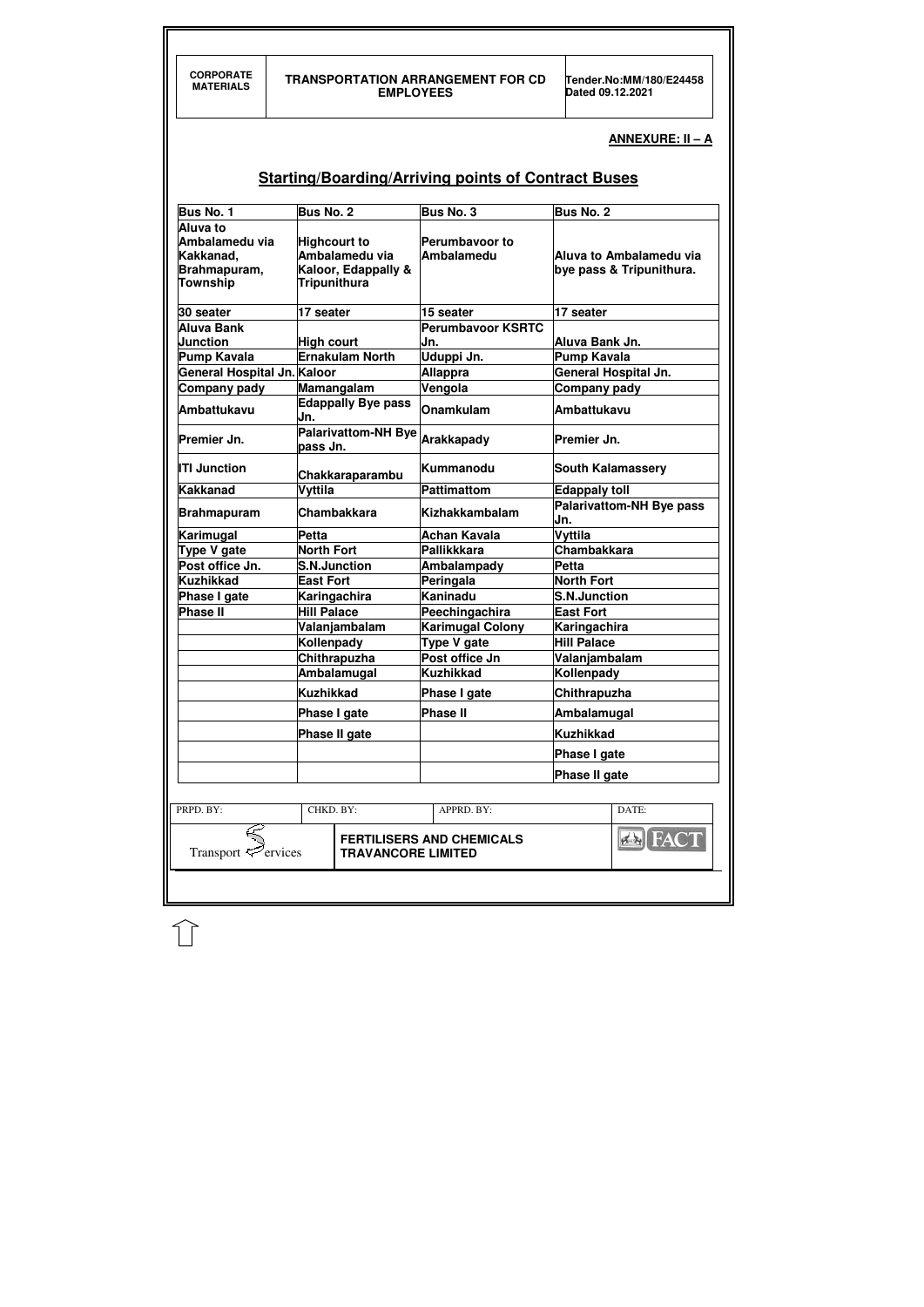| <b>CORPORATE</b><br><b>MATERIALS</b>                                       | <b>EMPLOYEES</b>                                                                    | <b>TRANSPORTATION ARRANGEMENT FOR CD</b>                   | Tender.No:MM/180/E24458<br>Dated 09.12.2021         |  |
|----------------------------------------------------------------------------|-------------------------------------------------------------------------------------|------------------------------------------------------------|-----------------------------------------------------|--|
|                                                                            |                                                                                     |                                                            | ANNEXURE: II - A                                    |  |
|                                                                            |                                                                                     | <b>Starting/Boarding/Arriving points of Contract Buses</b> |                                                     |  |
| Bus No. 1                                                                  | <b>Bus No. 2</b>                                                                    | Bus No. 3                                                  | <b>Bus No. 2</b>                                    |  |
| Aluva to<br>Ambalamedu via<br>Kakkanad,<br>Brahmapuram,<br><b>Township</b> | <b>Highcourt to</b><br>Ambalamedu via<br>Kaloor, Edappally &<br><b>Tripunithura</b> | <b>Perumbavoor to</b><br>Ambalamedu                        | Aluva to Ambalamedu via<br>bye pass & Tripunithura. |  |
| 30 seater                                                                  | 17 seater                                                                           | 15 seater                                                  | 17 seater                                           |  |
| <b>Aluva Bank</b>                                                          |                                                                                     | <b>Perumbavoor KSRTC</b>                                   |                                                     |  |
| <b>Junction</b>                                                            | <b>High court</b>                                                                   | IJn.                                                       | Aluva Bank Jn.                                      |  |
| <b>Pump Kavala</b><br>General Hospital Jn. Kaloor                          | <b>Ernakulam North</b>                                                              | Uduppi Jn.                                                 | <b>Pump Kavala</b><br><b>General Hospital Jn.</b>   |  |
| Company pady                                                               | Mamangalam                                                                          | Allappra<br>Vengola                                        | Company pady                                        |  |
| <b>Ambattukavu</b>                                                         | <b>Edappally Bye pass</b><br>Jn.                                                    | <b>Onamkulam</b>                                           | <b>Ambattukavu</b>                                  |  |
| Premier Jn.                                                                | <b>Palarivattom-NH Bye</b><br>pass Jn.                                              | Arakkapady                                                 | Premier Jn.                                         |  |
| <b>ITI Junction</b>                                                        | Chakkaraparambu                                                                     | Kummanodu                                                  | <b>South Kalamassery</b>                            |  |
| Kakkanad                                                                   | Vyttila                                                                             | Pattimattom                                                | <b>Edappaly toll</b><br>Palarivattom-NH Bye pass    |  |
| <b>Brahmapuram</b>                                                         | <b>Chambakkara</b><br>Petta                                                         | Kizhakkambalam<br>Achan Kavala                             | IJn.<br>Vyttila                                     |  |
| Karimugal<br>Type V gate                                                   | <b>North Fort</b>                                                                   | Pallikkkara                                                | <b>Chambakkara</b>                                  |  |
| Post office Jn.                                                            | <b>S.N.Junction</b>                                                                 | Ambalampady                                                | <b>Petta</b>                                        |  |
| <b>Kuzhikkad</b>                                                           | <b>East Fort</b>                                                                    | Peringala                                                  | <b>North Fort</b>                                   |  |
| Phase I gate                                                               | Karingachira                                                                        | Kaninadu                                                   | <b>S.N.Junction</b>                                 |  |
| <b>Phase II</b>                                                            | <b>Hill Palace</b>                                                                  | Peechingachira                                             | <b>East Fort</b>                                    |  |
|                                                                            | Valanjambalam                                                                       | <b>Karimugal Colony</b>                                    | Karingachira                                        |  |
|                                                                            | Kollenpady                                                                          | <b>Type V gate</b>                                         | <b>Hill Palace</b>                                  |  |
|                                                                            | Chithrapuzha                                                                        | Post office Jn                                             | Valanjambalam                                       |  |
|                                                                            | Ambalamugal                                                                         | Kuzhikkad                                                  | Kollenpady                                          |  |
|                                                                            | <b>Kuzhikkad</b>                                                                    | Phase I gate                                               | Chithrapuzha                                        |  |
|                                                                            | Phase I gate                                                                        | <b>Phase II</b>                                            | Ambalamugal                                         |  |
|                                                                            | Phase II gate                                                                       |                                                            | Kuzhikkad                                           |  |
|                                                                            |                                                                                     |                                                            | Phase I gate                                        |  |
|                                                                            |                                                                                     |                                                            | Phase II gate                                       |  |
| PRPD. BY:                                                                  | CHKD. BY:                                                                           | APPRD. BY:                                                 | DATE:                                               |  |
| Transport $\mathcal{P}$ ervices                                            | <b>TRAVANCORE LIMITED</b>                                                           | <b>FERTILISERS AND CHEMICALS</b>                           | <b>EX FACT</b>                                      |  |
|                                                                            |                                                                                     |                                                            |                                                     |  |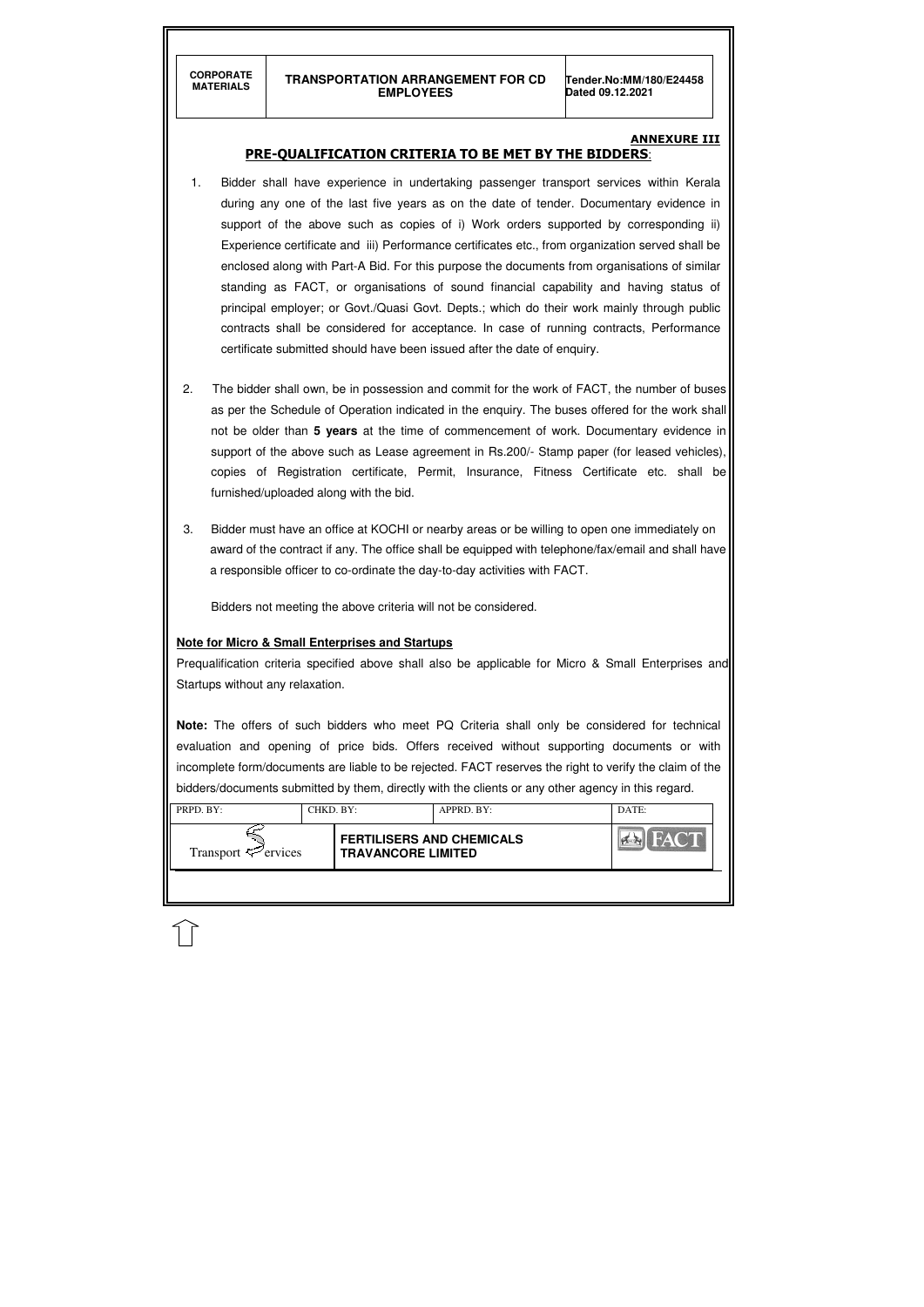#### **ANNEXURE III**

| <b>Y AND THE</b><br><b>FERTILISERS AND CHEMICALS</b><br>Transport $\mathcal{F}$ ervices<br><b>TRAVANCORE LIMITED</b> | PRPD. BY: | CHKD. BY: | APPRD. BY: | DATE: |
|----------------------------------------------------------------------------------------------------------------------|-----------|-----------|------------|-------|
|                                                                                                                      |           |           |            |       |

#### PRE-QUALIFICATION CRITERIA TO BE MET BY THE BIDDERS:

- 1. Bidder shall have experience in undertaking passenger transport services within Kerala during any one of the last five years as on the date of tender. Documentary evidence in support of the above such as copies of i) Work orders supported by corresponding ii) Experience certificate and iii) Performance certificates etc., from organization served shall be enclosed along with Part-A Bid. For this purpose the documents from organisations of similar standing as FACT, or organisations of sound financial capability and having status of principal employer; or Govt./Quasi Govt. Depts.; which do their work mainly through public contracts shall be considered for acceptance. In case of running contracts, Performance certificate submitted should have been issued after the date of enquiry.
- 2. The bidder shall own, be in possession and commit for the work of FACT, the number of buses as per the Schedule of Operation indicated in the enquiry. The buses offered for the work shall not be older than **5 years** at the time of commencement of work. Documentary evidence in support of the above such as Lease agreement in Rs.200/- Stamp paper (for leased vehicles), copies of Registration certificate, Permit, Insurance, Fitness Certificate etc. shall be furnished/uploaded along with the bid.
- 3. Bidder must have an office at KOCHI or nearby areas or be willing to open one immediately on award of the contract if any. The office shall be equipped with telephone/fax/email and shall have a responsible officer to co-ordinate the day-to-day activities with FACT.

Bidders not meeting the above criteria will not be considered.

#### **Note for Micro & Small Enterprises and Startups**

Prequalification criteria specified above shall also be applicable for Micro & Small Enterprises and Startups without any relaxation.

**Note:** The offers of such bidders who meet PQ Criteria shall only be considered for technical evaluation and opening of price bids. Offers received without supporting documents or with incomplete form/documents are liable to be rejected. FACT reserves the right to verify the claim of the bidders/documents submitted by them, directly with the clients or any other agency in this regard.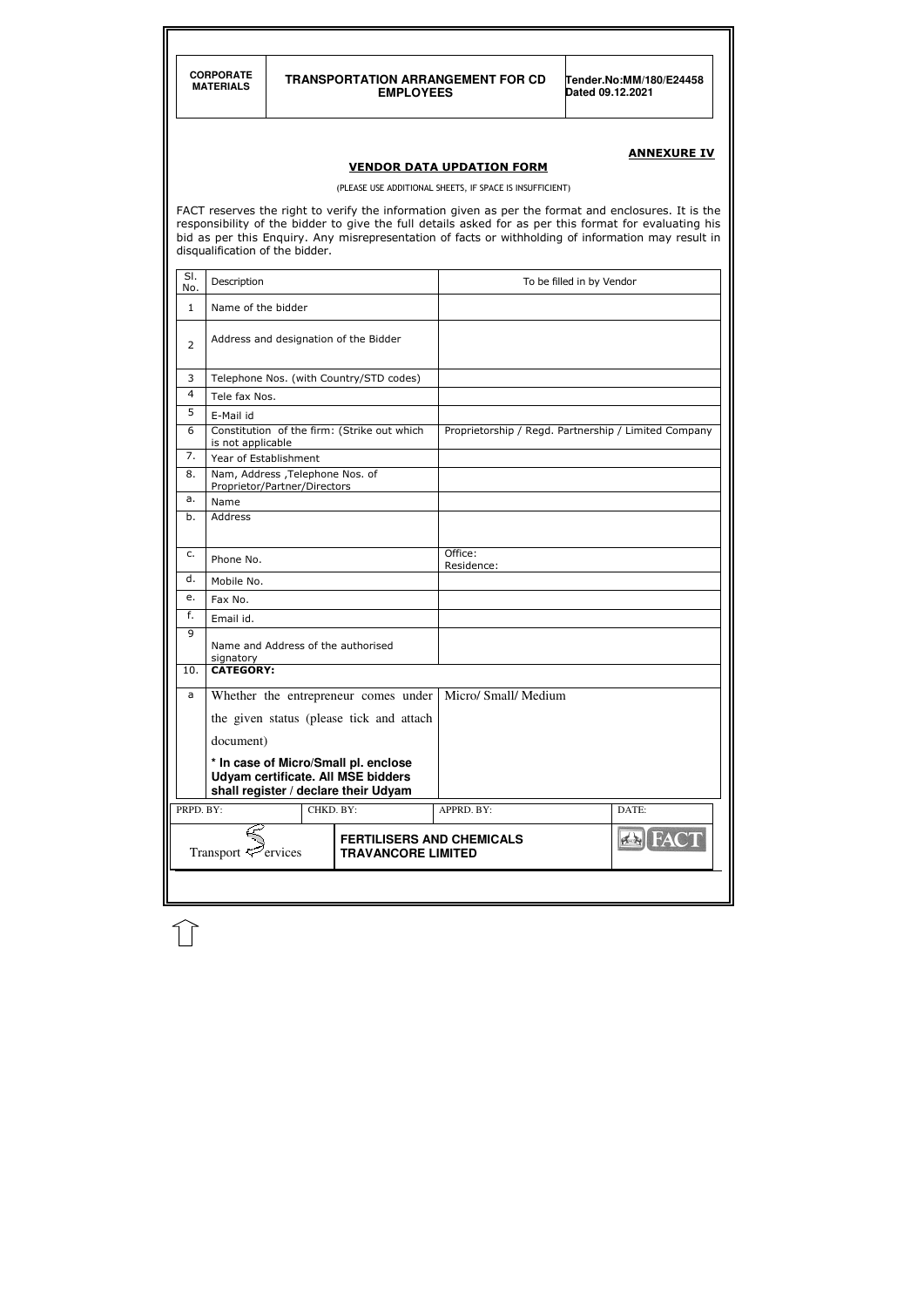**CORPORATE** 

#### **MATERIALS TRANSPORTATION ARRANGEMENT FOR CD EMPLOYEES**

**Tender.No:MM/180/E24458 Dated 09.12.2021** 

# ANNEXURE IV

#### VENDOR DATA UPDATION FORM

(PLEASE USE ADDITIONAL SHEETS, IF SPACE IS INSUFFICIENT)

FACT reserves the right to verify the information given as per the format and enclosures. It is the responsibility of the bidder to give the full details asked for as per this format for evaluating his bid as per this Enquiry. Any misrepresentation of facts or withholding of information may result in disqualification of the bidder.

| SI.<br>No.     | Description                                                                                                               |           |                           | To be filled in by Vendor                            |                |
|----------------|---------------------------------------------------------------------------------------------------------------------------|-----------|---------------------------|------------------------------------------------------|----------------|
| $\mathbf{1}$   | Name of the bidder                                                                                                        |           |                           |                                                      |                |
| $\overline{2}$ | Address and designation of the Bidder                                                                                     |           |                           |                                                      |                |
| 3              | Telephone Nos. (with Country/STD codes)                                                                                   |           |                           |                                                      |                |
| 4              | Tele fax Nos.                                                                                                             |           |                           |                                                      |                |
| 5              | E-Mail id                                                                                                                 |           |                           |                                                      |                |
| 6              | Constitution of the firm: (Strike out which<br>is not applicable                                                          |           |                           | Proprietorship / Regd. Partnership / Limited Company |                |
| 7.             | Year of Establishment                                                                                                     |           |                           |                                                      |                |
| 8.             | Nam, Address , Telephone Nos. of<br>Proprietor/Partner/Directors                                                          |           |                           |                                                      |                |
| a.             | Name                                                                                                                      |           |                           |                                                      |                |
| b.             | Address                                                                                                                   |           |                           |                                                      |                |
| c.             | Phone No.                                                                                                                 |           |                           | Office:<br>Residence:                                |                |
| d.             | Mobile No.                                                                                                                |           |                           |                                                      |                |
| е.             | Fax No.                                                                                                                   |           |                           |                                                      |                |
| f.             | Email id.                                                                                                                 |           |                           |                                                      |                |
| 9              | Name and Address of the authorised<br>signatory                                                                           |           |                           |                                                      |                |
| 10.            | <b>CATEGORY:</b>                                                                                                          |           |                           |                                                      |                |
| a              | Whether the entrepreneur comes under                                                                                      |           |                           | Micro/ Small/ Medium                                 |                |
|                | the given status (please tick and attach                                                                                  |           |                           |                                                      |                |
|                |                                                                                                                           |           |                           |                                                      |                |
|                | document)                                                                                                                 |           |                           |                                                      |                |
|                | * In case of Micro/Small pl. enclose<br><b>Udyam certificate. All MSE bidders</b><br>shall register / declare their Udyam |           |                           |                                                      |                |
| PRPD. BY:      |                                                                                                                           | CHKD. BY: |                           | APPRD. BY:                                           | DATE:          |
|                | Transport $\leq$ ervices                                                                                                  |           | <b>TRAVANCORE LIMITED</b> | <b>FERTILISERS AND CHEMICALS</b>                     | <b>EN FACT</b> |
|                |                                                                                                                           |           |                           |                                                      |                |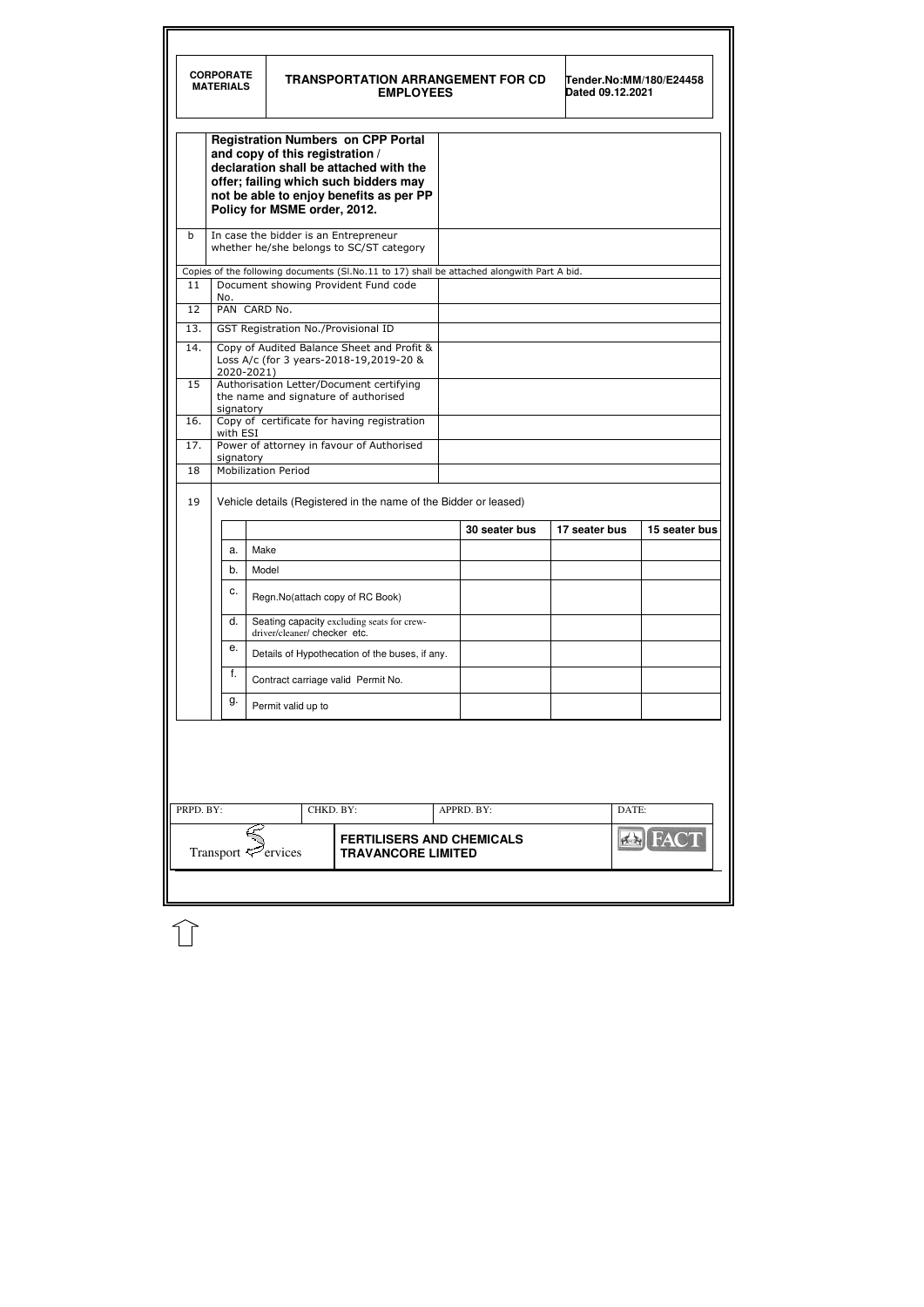|     | <b>CORPORATE</b><br><b>MATERIALS</b> |                                                                 | <b>TRANSPORTATION ARRANGEMENT FOR CD</b><br><b>EMPLOYEES</b>                                                                                                            |               | Dated 09.12.2021 | Tender.No:MM/180/E24458 |
|-----|--------------------------------------|-----------------------------------------------------------------|-------------------------------------------------------------------------------------------------------------------------------------------------------------------------|---------------|------------------|-------------------------|
|     |                                      | and copy of this registration /<br>Policy for MSME order, 2012. | <b>Registration Numbers on CPP Portal</b><br>declaration shall be attached with the<br>offer; failing which such bidders may<br>not be able to enjoy benefits as per PP |               |                  |                         |
| b   |                                      |                                                                 | In case the bidder is an Entrepreneur<br>whether he/she belongs to SC/ST category                                                                                       |               |                  |                         |
|     |                                      |                                                                 | Copies of the following documents (Sl.No.11 to 17) shall be attached alongwith Part A bid.                                                                              |               |                  |                         |
| 11  |                                      |                                                                 | Document showing Provident Fund code                                                                                                                                    |               |                  |                         |
| 12  | No.                                  | PAN CARD No.                                                    |                                                                                                                                                                         |               |                  |                         |
| 13. |                                      |                                                                 | GST Registration No./Provisional ID                                                                                                                                     |               |                  |                         |
| 14. | 2020-2021)                           |                                                                 | Copy of Audited Balance Sheet and Profit &<br>Loss A/c (for 3 years-2018-19,2019-20 &                                                                                   |               |                  |                         |
| 15  | signatory                            |                                                                 | Authorisation Letter/Document certifying<br>the name and signature of authorised                                                                                        |               |                  |                         |
| 16. |                                      |                                                                 | Copy of certificate for having registration                                                                                                                             |               |                  |                         |
| 17. | with ESI                             |                                                                 | Power of attorney in favour of Authorised                                                                                                                               |               |                  |                         |
| 18  | signatory                            | <b>Mobilization Period</b>                                      |                                                                                                                                                                         |               |                  |                         |
| 19  |                                      |                                                                 | Vehicle details (Registered in the name of the Bidder or leased)                                                                                                        | 30 seater bus | 17 seater bus    | 15 seater bus           |
|     | a.                                   | Make                                                            |                                                                                                                                                                         |               |                  |                         |
|     | b.                                   | Model                                                           |                                                                                                                                                                         |               |                  |                         |
|     | с.                                   |                                                                 | Regn.No(attach copy of RC Book)                                                                                                                                         |               |                  |                         |
|     | d.                                   | driver/cleaner/ checker etc.                                    | Seating capacity excluding seats for crew-                                                                                                                              |               |                  |                         |
|     | е.                                   |                                                                 | Details of Hypothecation of the buses, if any.                                                                                                                          |               |                  |                         |
|     | f.                                   |                                                                 |                                                                                                                                                                         |               |                  |                         |
|     | g.                                   |                                                                 | Contract carriage valid Permit No.                                                                                                                                      |               |                  |                         |
|     |                                      | Permit valid up to                                              |                                                                                                                                                                         |               |                  |                         |

 $\bigcap$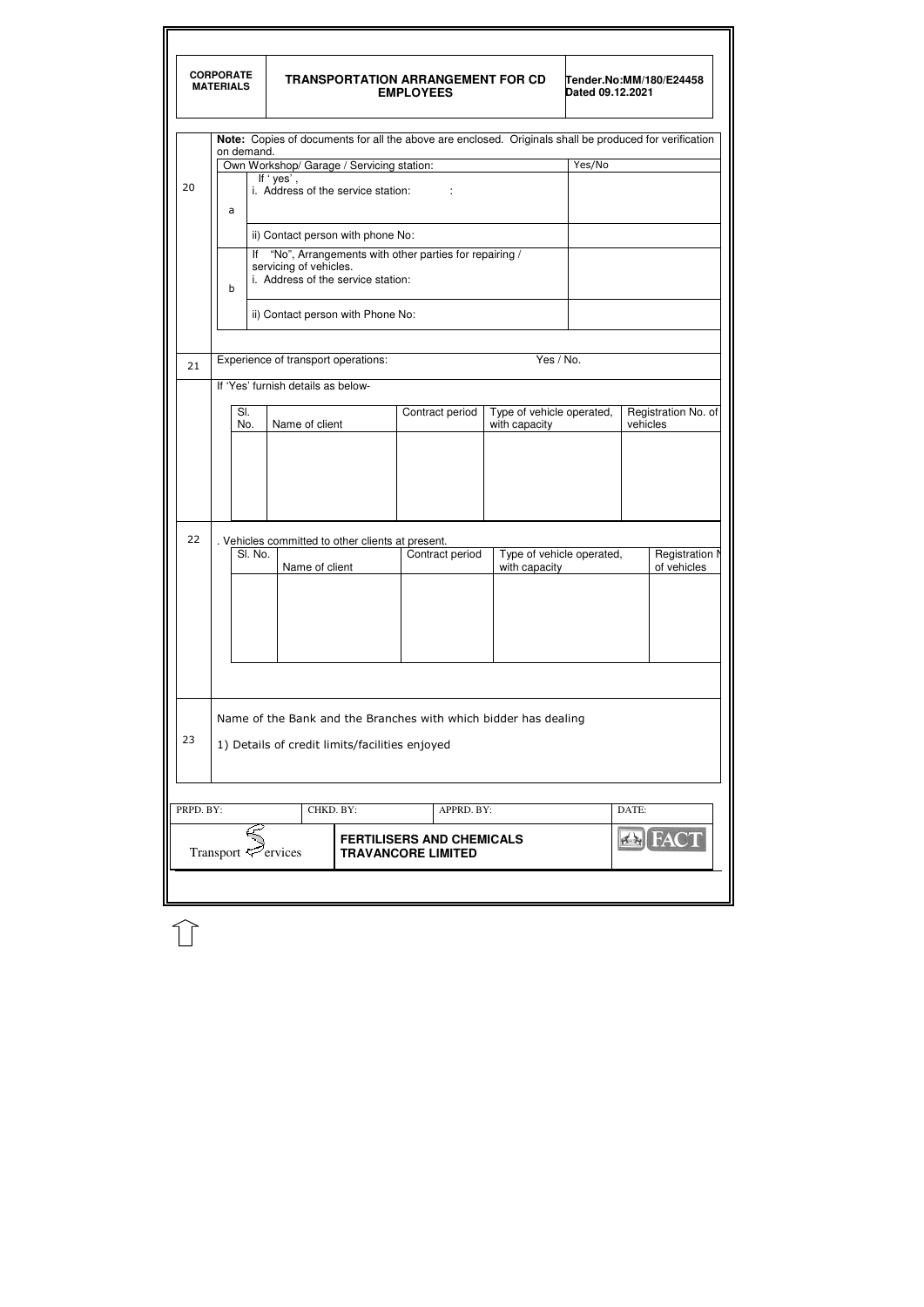|           | <b>CORPORATE</b><br><b>MATERIALS</b> |                                                                                                                                  |                                    |                |                                           | <b>EMPLOYEES</b>                                              |            | <b>TRANSPORTATION ARRANGEMENT FOR CD</b>                        | Dated 09.12.2021          | Tender.No:MM/180/E24458                                                                                |
|-----------|--------------------------------------|----------------------------------------------------------------------------------------------------------------------------------|------------------------------------|----------------|-------------------------------------------|---------------------------------------------------------------|------------|-----------------------------------------------------------------|---------------------------|--------------------------------------------------------------------------------------------------------|
|           |                                      | on demand.                                                                                                                       |                                    |                |                                           |                                                               |            |                                                                 |                           | Note: Copies of documents for all the above are enclosed. Originals shall be produced for verification |
|           |                                      |                                                                                                                                  |                                    |                | Own Workshop/ Garage / Servicing station: |                                                               |            |                                                                 | Yes/No                    |                                                                                                        |
| 20        | a                                    | If 'yes',<br>i. Address of the service station:                                                                                  |                                    |                |                                           |                                                               |            |                                                                 |                           |                                                                                                        |
|           | ii) Contact person with phone No:    |                                                                                                                                  |                                    |                |                                           |                                                               |            |                                                                 |                           |                                                                                                        |
|           | b                                    | "No", Arrangements with other parties for repairing /<br>lf<br>servicing of vehicles.<br>i. Address of the service station:      |                                    |                |                                           |                                                               |            |                                                                 |                           |                                                                                                        |
|           |                                      |                                                                                                                                  |                                    |                | ii) Contact person with Phone No:         |                                                               |            |                                                                 |                           |                                                                                                        |
|           |                                      |                                                                                                                                  |                                    |                | Experience of transport operations:       |                                                               |            | Yes / No.                                                       |                           |                                                                                                        |
| 21        |                                      |                                                                                                                                  | If 'Yes' furnish details as below- |                |                                           |                                                               |            |                                                                 |                           |                                                                                                        |
|           |                                      |                                                                                                                                  |                                    |                |                                           |                                                               |            |                                                                 |                           |                                                                                                        |
|           |                                      | Type of vehicle operated,<br>Registration No. of<br>SI.<br>Contract period<br>Name of client<br>vehicles<br>No.<br>with capacity |                                    |                |                                           |                                                               |            |                                                                 |                           |                                                                                                        |
|           |                                      |                                                                                                                                  |                                    |                |                                           |                                                               |            |                                                                 |                           |                                                                                                        |
| 22        |                                      |                                                                                                                                  |                                    |                |                                           | . Vehicles committed to other clients at present.             |            |                                                                 |                           |                                                                                                        |
|           |                                      | SI. No.                                                                                                                          |                                    | Name of client |                                           | Contract period                                               |            | with capacity                                                   | Type of vehicle operated, | Registration N<br>of vehicles                                                                          |
| 23        |                                      |                                                                                                                                  |                                    |                |                                           | 1) Details of credit limits/facilities enjoyed                |            | Name of the Bank and the Branches with which bidder has dealing |                           |                                                                                                        |
|           |                                      |                                                                                                                                  |                                    |                |                                           |                                                               |            |                                                                 |                           |                                                                                                        |
| PRPD. BY: |                                      |                                                                                                                                  |                                    | CHKD. BY:      |                                           |                                                               | APPRD. BY: |                                                                 |                           | DATE:                                                                                                  |
|           |                                      |                                                                                                                                  | Transport $\mathcal{F}$ ervices    |                |                                           | <b>FERTILISERS AND CHEMICALS</b><br><b>TRAVANCORE LIMITED</b> |            |                                                                 |                           | $f_{\rm{A}}$                                                                                           |

 $\mathbb{\hat{}}$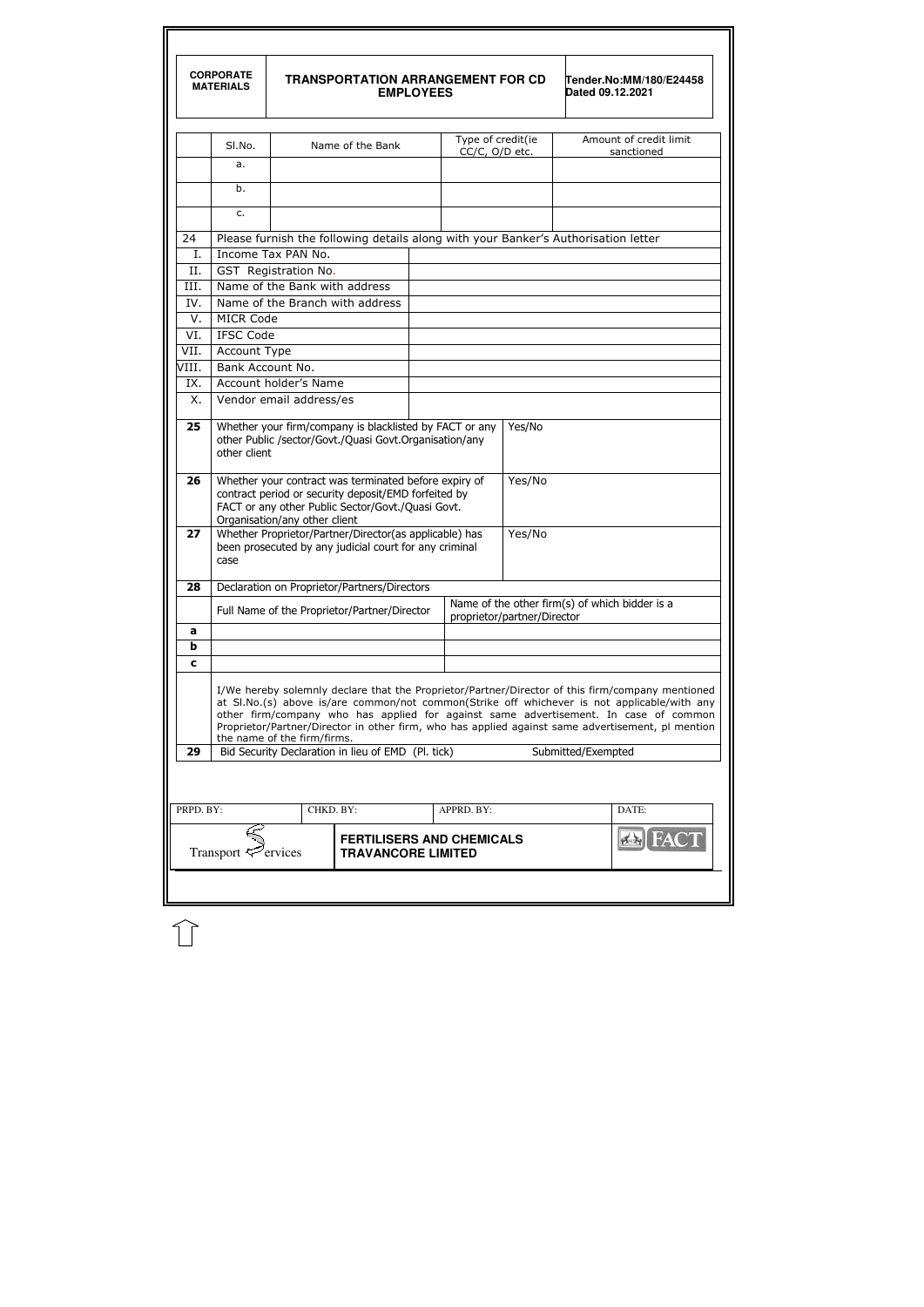|             | <b>CORPORATE</b><br><b>MATERIALS</b>                                                                                                                                                                                                                                                                                                                                                                                        |                               | <b>TRANSPORTATION ARRANGEMENT FOR CD</b>                                                                         | <b>EMPLOYEES</b> |                                     |        | Dated 09.12.2021   | Tender.No:MM/180/E24458                        |  |  |
|-------------|-----------------------------------------------------------------------------------------------------------------------------------------------------------------------------------------------------------------------------------------------------------------------------------------------------------------------------------------------------------------------------------------------------------------------------|-------------------------------|------------------------------------------------------------------------------------------------------------------|------------------|-------------------------------------|--------|--------------------|------------------------------------------------|--|--|
|             | SI.No.                                                                                                                                                                                                                                                                                                                                                                                                                      |                               | Name of the Bank                                                                                                 |                  | Type of credit(ie<br>CC/C, O/D etc. |        |                    | Amount of credit limit<br>sanctioned           |  |  |
|             | a.                                                                                                                                                                                                                                                                                                                                                                                                                          |                               |                                                                                                                  |                  |                                     |        |                    |                                                |  |  |
|             | b.                                                                                                                                                                                                                                                                                                                                                                                                                          |                               |                                                                                                                  |                  |                                     |        |                    |                                                |  |  |
|             | c.                                                                                                                                                                                                                                                                                                                                                                                                                          |                               |                                                                                                                  |                  |                                     |        |                    |                                                |  |  |
| 24          | Please furnish the following details along with your Banker's Authorisation letter                                                                                                                                                                                                                                                                                                                                          |                               |                                                                                                                  |                  |                                     |        |                    |                                                |  |  |
| Ι.          |                                                                                                                                                                                                                                                                                                                                                                                                                             | Income Tax PAN No.            |                                                                                                                  |                  |                                     |        |                    |                                                |  |  |
| II.         |                                                                                                                                                                                                                                                                                                                                                                                                                             | GST Registration No.          |                                                                                                                  |                  |                                     |        |                    |                                                |  |  |
| III.        |                                                                                                                                                                                                                                                                                                                                                                                                                             | Name of the Bank with address |                                                                                                                  |                  |                                     |        |                    |                                                |  |  |
| IV.         |                                                                                                                                                                                                                                                                                                                                                                                                                             |                               | Name of the Branch with address                                                                                  |                  |                                     |        |                    |                                                |  |  |
| V.          | <b>MICR Code</b>                                                                                                                                                                                                                                                                                                                                                                                                            |                               |                                                                                                                  |                  |                                     |        |                    |                                                |  |  |
| VI.         | <b>IFSC Code</b>                                                                                                                                                                                                                                                                                                                                                                                                            |                               |                                                                                                                  |                  |                                     |        |                    |                                                |  |  |
| VII.        | Account Type                                                                                                                                                                                                                                                                                                                                                                                                                |                               |                                                                                                                  |                  |                                     |        |                    |                                                |  |  |
| VIII.       | Bank Account No.                                                                                                                                                                                                                                                                                                                                                                                                            |                               |                                                                                                                  |                  |                                     |        |                    |                                                |  |  |
| IX.         |                                                                                                                                                                                                                                                                                                                                                                                                                             |                               |                                                                                                                  |                  |                                     |        |                    |                                                |  |  |
| Χ.          | Account holder's Name<br>Vendor email address/es                                                                                                                                                                                                                                                                                                                                                                            |                               |                                                                                                                  |                  |                                     |        |                    |                                                |  |  |
| 25<br>26    | Whether your firm/company is blacklisted by FACT or any<br>Yes/No<br>other Public /sector/Govt./Quasi Govt.Organisation/any<br>other client<br>Whether your contract was terminated before expiry of<br>Yes/No                                                                                                                                                                                                              |                               |                                                                                                                  |                  |                                     |        |                    |                                                |  |  |
|             | contract period or security deposit/EMD forfeited by<br>FACT or any other Public Sector/Govt./Quasi Govt.<br>Organisation/any other client                                                                                                                                                                                                                                                                                  |                               |                                                                                                                  |                  |                                     |        |                    |                                                |  |  |
| 27          | case                                                                                                                                                                                                                                                                                                                                                                                                                        |                               | Whether Proprietor/Partner/Director(as applicable) has<br>been prosecuted by any judicial court for any criminal |                  |                                     | Yes/No |                    |                                                |  |  |
| 28          |                                                                                                                                                                                                                                                                                                                                                                                                                             |                               | Declaration on Proprietor/Partners/Directors                                                                     |                  |                                     |        |                    |                                                |  |  |
|             |                                                                                                                                                                                                                                                                                                                                                                                                                             |                               | Full Name of the Proprietor/Partner/Director                                                                     |                  | proprietor/partner/Director         |        |                    | Name of the other firm(s) of which bidder is a |  |  |
| a           |                                                                                                                                                                                                                                                                                                                                                                                                                             |                               |                                                                                                                  |                  |                                     |        |                    |                                                |  |  |
| $\mathbf b$ |                                                                                                                                                                                                                                                                                                                                                                                                                             |                               |                                                                                                                  |                  |                                     |        |                    |                                                |  |  |
| C           |                                                                                                                                                                                                                                                                                                                                                                                                                             |                               |                                                                                                                  |                  |                                     |        |                    |                                                |  |  |
|             | I/We hereby solemnly declare that the Proprietor/Partner/Director of this firm/company mentioned<br>at SI.No.(s) above is/are common/not common(Strike off whichever is not applicable/with any<br>other firm/company who has applied for against same advertisement. In case of common<br>Proprietor/Partner/Director in other firm, who has applied against same advertisement, pl mention<br>the name of the firm/firms. |                               |                                                                                                                  |                  |                                     |        |                    |                                                |  |  |
| 29          |                                                                                                                                                                                                                                                                                                                                                                                                                             |                               | Bid Security Declaration in lieu of EMD (Pl. tick)                                                               |                  |                                     |        | Submitted/Exempted |                                                |  |  |
|             |                                                                                                                                                                                                                                                                                                                                                                                                                             |                               |                                                                                                                  |                  |                                     |        |                    |                                                |  |  |
| PRPD. BY:   |                                                                                                                                                                                                                                                                                                                                                                                                                             | CHKD. BY:                     |                                                                                                                  |                  | APPRD. BY:                          |        |                    | DATE:                                          |  |  |
|             | Transport $\mathcal{F}$ ervices                                                                                                                                                                                                                                                                                                                                                                                             |                               | <b>FERTILISERS AND CHEMICALS</b><br><b>TRAVANCORE LIMITED</b>                                                    |                  |                                     |        |                    | <b>AN FACT</b>                                 |  |  |
|             |                                                                                                                                                                                                                                                                                                                                                                                                                             |                               |                                                                                                                  |                  |                                     |        |                    |                                                |  |  |

 $\mathbb{\hat{}}$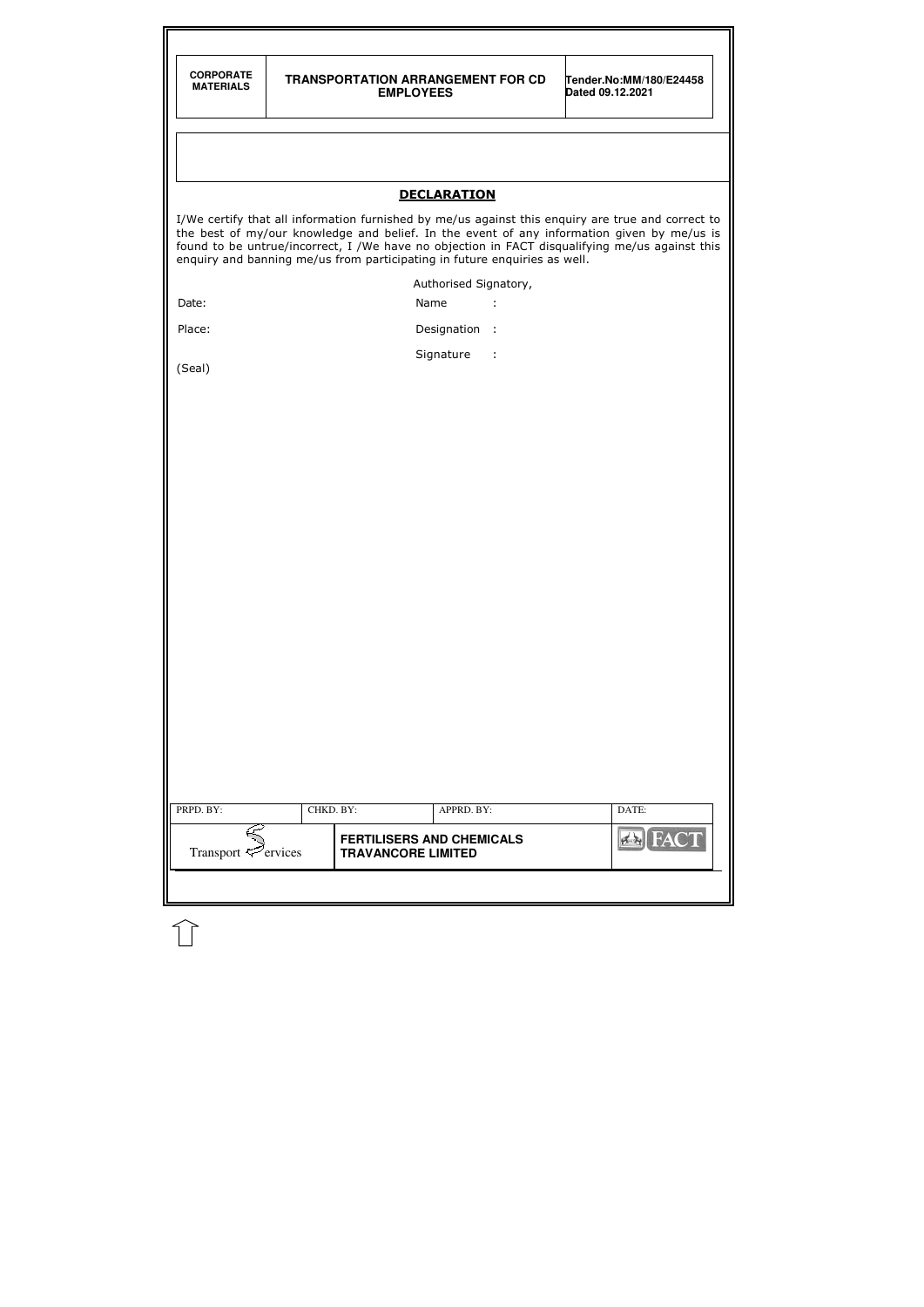| <b>CORPORATE</b><br><b>MATERIALS</b>                                                                                                                                                                                                                                                                                                                                           |           | <b>TRANSPORTATION ARRANGEMENT FOR CD</b><br><b>EMPLOYEES</b> | Tender.No:MM/180/E24458<br>Dated 09.12.2021 |  |  |  |  |  |
|--------------------------------------------------------------------------------------------------------------------------------------------------------------------------------------------------------------------------------------------------------------------------------------------------------------------------------------------------------------------------------|-----------|--------------------------------------------------------------|---------------------------------------------|--|--|--|--|--|
|                                                                                                                                                                                                                                                                                                                                                                                |           |                                                              |                                             |  |  |  |  |  |
|                                                                                                                                                                                                                                                                                                                                                                                |           | <b>DECLARATION</b>                                           |                                             |  |  |  |  |  |
| I/We certify that all information furnished by me/us against this enquiry are true and correct to<br>the best of my/our knowledge and belief. In the event of any information given by me/us is<br>found to be untrue/incorrect, I /We have no objection in FACT disqualifying me/us against this<br>enquiry and banning me/us from participating in future enquiries as well. |           |                                                              |                                             |  |  |  |  |  |
|                                                                                                                                                                                                                                                                                                                                                                                |           | Authorised Signatory,                                        |                                             |  |  |  |  |  |
| Date:                                                                                                                                                                                                                                                                                                                                                                          |           | Name<br>÷                                                    |                                             |  |  |  |  |  |
| Place:                                                                                                                                                                                                                                                                                                                                                                         |           | Designation :                                                |                                             |  |  |  |  |  |
| (Seal)                                                                                                                                                                                                                                                                                                                                                                         |           | Signature<br>$\sim$ 1                                        |                                             |  |  |  |  |  |
|                                                                                                                                                                                                                                                                                                                                                                                |           |                                                              |                                             |  |  |  |  |  |
|                                                                                                                                                                                                                                                                                                                                                                                |           |                                                              |                                             |  |  |  |  |  |
|                                                                                                                                                                                                                                                                                                                                                                                |           |                                                              |                                             |  |  |  |  |  |
|                                                                                                                                                                                                                                                                                                                                                                                |           |                                                              |                                             |  |  |  |  |  |
|                                                                                                                                                                                                                                                                                                                                                                                |           |                                                              |                                             |  |  |  |  |  |
|                                                                                                                                                                                                                                                                                                                                                                                |           |                                                              |                                             |  |  |  |  |  |
|                                                                                                                                                                                                                                                                                                                                                                                |           |                                                              |                                             |  |  |  |  |  |
|                                                                                                                                                                                                                                                                                                                                                                                |           |                                                              |                                             |  |  |  |  |  |
|                                                                                                                                                                                                                                                                                                                                                                                |           |                                                              |                                             |  |  |  |  |  |
|                                                                                                                                                                                                                                                                                                                                                                                |           |                                                              |                                             |  |  |  |  |  |
|                                                                                                                                                                                                                                                                                                                                                                                |           |                                                              |                                             |  |  |  |  |  |
|                                                                                                                                                                                                                                                                                                                                                                                |           |                                                              |                                             |  |  |  |  |  |
|                                                                                                                                                                                                                                                                                                                                                                                |           |                                                              |                                             |  |  |  |  |  |
|                                                                                                                                                                                                                                                                                                                                                                                |           |                                                              |                                             |  |  |  |  |  |
|                                                                                                                                                                                                                                                                                                                                                                                |           |                                                              |                                             |  |  |  |  |  |
|                                                                                                                                                                                                                                                                                                                                                                                |           |                                                              |                                             |  |  |  |  |  |
|                                                                                                                                                                                                                                                                                                                                                                                |           |                                                              |                                             |  |  |  |  |  |
|                                                                                                                                                                                                                                                                                                                                                                                |           |                                                              |                                             |  |  |  |  |  |
| PRPD. BY:                                                                                                                                                                                                                                                                                                                                                                      | CHKD. BY: | APPRD. BY:                                                   | DATE:                                       |  |  |  |  |  |
|                                                                                                                                                                                                                                                                                                                                                                                |           | <b>FERTILISERS AND CHEMICALS</b>                             | <b>FACT</b>                                 |  |  |  |  |  |

 $\bigcap$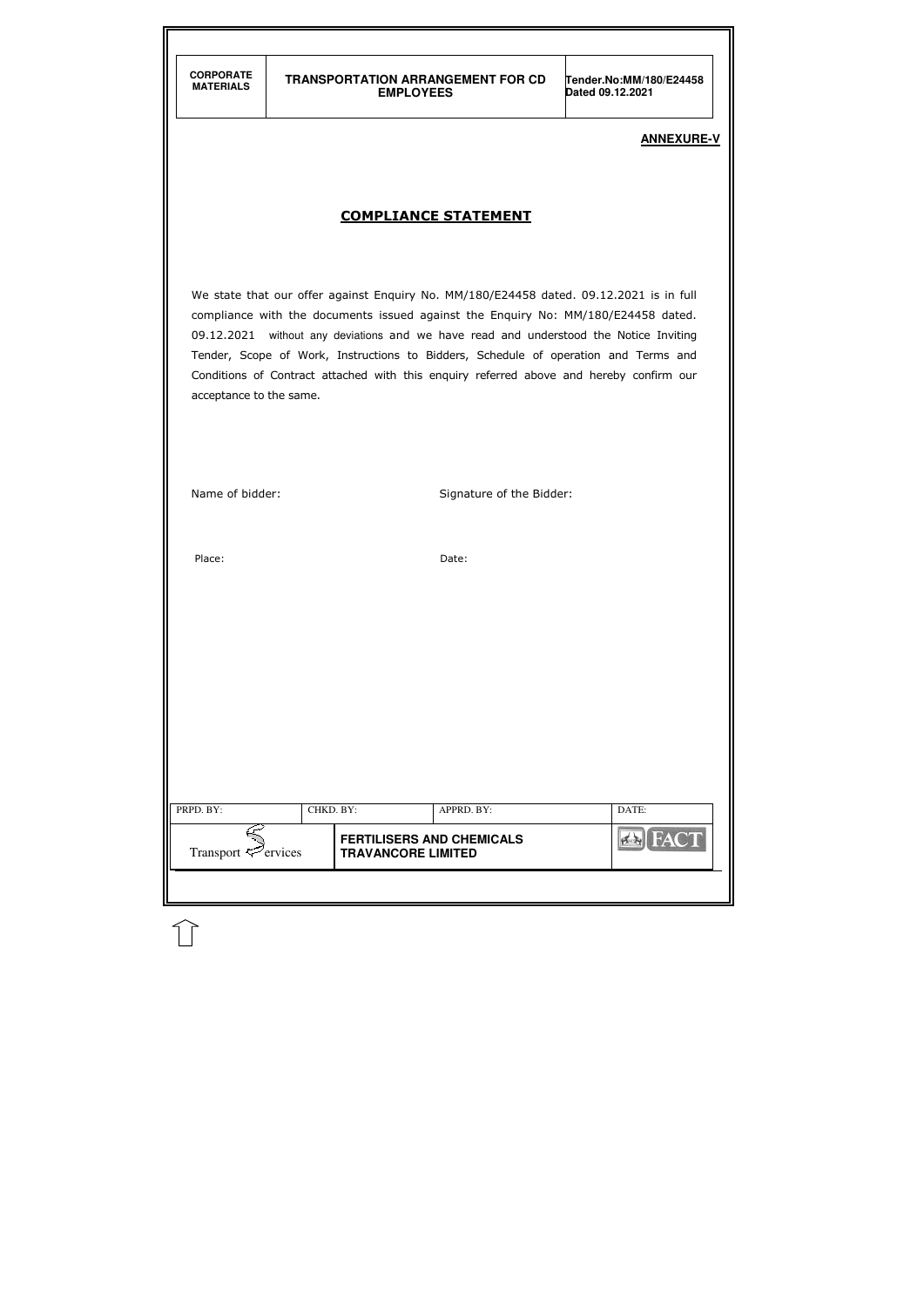| PRPD. BY:<br>CHKD. BY:   |  |                                                               | APPRD. BY: | DATE:          |
|--------------------------|--|---------------------------------------------------------------|------------|----------------|
| Transport $\leq$ ervices |  | <b>FERTILISERS AND CHEMICALS</b><br><b>TRAVANCORE LIMITED</b> |            | <b>EX FACT</b> |

## **ANNEXURE-V**

# COMPLIANCE STATEMENT

We state that our offer against Enquiry No. MM/180/E24458 dated. 09.12.2021 is in full compliance with the documents issued against the Enquiry No: MM/180/E24458 dated. 09.12.2021 without any deviations and we have read and understood the Notice Inviting Tender, Scope of Work, Instructions to Bidders, Schedule of operation and Terms and Conditions of Contract attached with this enquiry referred above and hereby confirm our acceptance to the same.

Name of bidder: Signature of the Bidder:

Place: Date: Date: Date: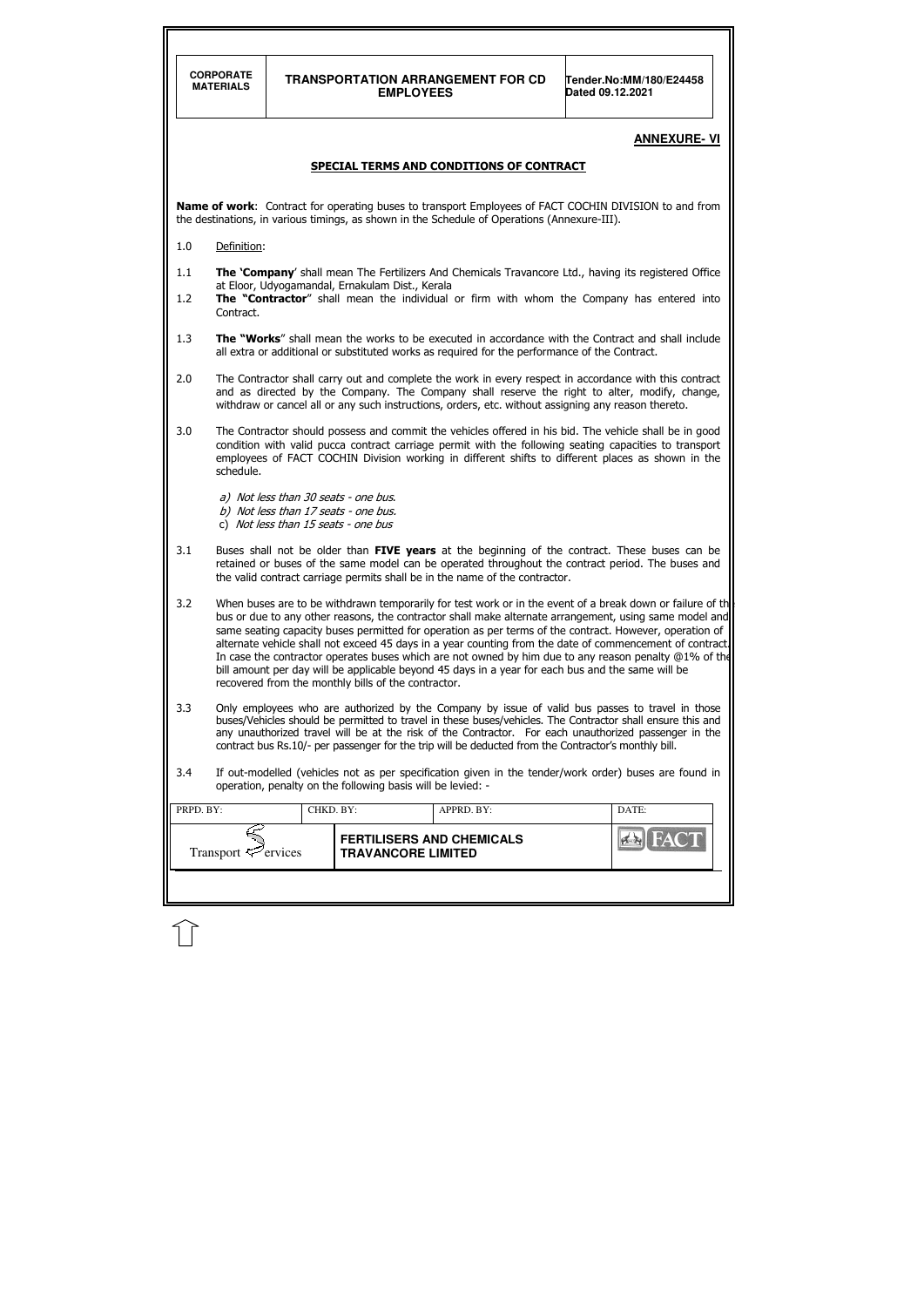|                                                                                                                                                                                                              | <b>CORPORATE</b><br><b>TRANSPORTATION ARRANGEMENT FOR CD</b><br>Tender.No:MM/180/E24458<br><b>MATERIALS</b><br><b>EMPLOYEES</b><br>Dated 09.12.2021                                                                                                                                                                                                                                                                                                                                                                                                                                                                                                                                                                |           |                                                             |                                                                                                      |                                                                                                                                                                                                                                                                                                                         |  |  |  |  |
|--------------------------------------------------------------------------------------------------------------------------------------------------------------------------------------------------------------|--------------------------------------------------------------------------------------------------------------------------------------------------------------------------------------------------------------------------------------------------------------------------------------------------------------------------------------------------------------------------------------------------------------------------------------------------------------------------------------------------------------------------------------------------------------------------------------------------------------------------------------------------------------------------------------------------------------------|-----------|-------------------------------------------------------------|------------------------------------------------------------------------------------------------------|-------------------------------------------------------------------------------------------------------------------------------------------------------------------------------------------------------------------------------------------------------------------------------------------------------------------------|--|--|--|--|
| <b>ANNEXURE- VI</b>                                                                                                                                                                                          |                                                                                                                                                                                                                                                                                                                                                                                                                                                                                                                                                                                                                                                                                                                    |           |                                                             |                                                                                                      |                                                                                                                                                                                                                                                                                                                         |  |  |  |  |
| <b>SPECIAL TERMS AND CONDITIONS OF CONTRACT</b>                                                                                                                                                              |                                                                                                                                                                                                                                                                                                                                                                                                                                                                                                                                                                                                                                                                                                                    |           |                                                             |                                                                                                      |                                                                                                                                                                                                                                                                                                                         |  |  |  |  |
| <b>Name of work:</b> Contract for operating buses to transport Employees of FACT COCHIN DIVISION to and from<br>the destinations, in various timings, as shown in the Schedule of Operations (Annexure-III). |                                                                                                                                                                                                                                                                                                                                                                                                                                                                                                                                                                                                                                                                                                                    |           |                                                             |                                                                                                      |                                                                                                                                                                                                                                                                                                                         |  |  |  |  |
| 1.0                                                                                                                                                                                                          | Definition:                                                                                                                                                                                                                                                                                                                                                                                                                                                                                                                                                                                                                                                                                                        |           |                                                             |                                                                                                      |                                                                                                                                                                                                                                                                                                                         |  |  |  |  |
| 1.1<br>1.2                                                                                                                                                                                                   | The 'Company' shall mean The Fertilizers And Chemicals Travancore Ltd., having its registered Office<br>at Eloor, Udyogamandal, Ernakulam Dist., Kerala<br>The "Contractor" shall mean the individual or firm with whom the Company has entered into                                                                                                                                                                                                                                                                                                                                                                                                                                                               |           |                                                             |                                                                                                      |                                                                                                                                                                                                                                                                                                                         |  |  |  |  |
|                                                                                                                                                                                                              | Contract.                                                                                                                                                                                                                                                                                                                                                                                                                                                                                                                                                                                                                                                                                                          |           |                                                             |                                                                                                      |                                                                                                                                                                                                                                                                                                                         |  |  |  |  |
| 1.3                                                                                                                                                                                                          | The "Works" shall mean the works to be executed in accordance with the Contract and shall include<br>all extra or additional or substituted works as required for the performance of the Contract.                                                                                                                                                                                                                                                                                                                                                                                                                                                                                                                 |           |                                                             |                                                                                                      |                                                                                                                                                                                                                                                                                                                         |  |  |  |  |
| 2.0                                                                                                                                                                                                          | The Contractor shall carry out and complete the work in every respect in accordance with this contract<br>and as directed by the Company. The Company shall reserve the right to alter, modify, change,<br>withdraw or cancel all or any such instructions, orders, etc. without assigning any reason thereto.                                                                                                                                                                                                                                                                                                                                                                                                     |           |                                                             |                                                                                                      |                                                                                                                                                                                                                                                                                                                         |  |  |  |  |
| 3.0                                                                                                                                                                                                          | The Contractor should possess and commit the vehicles offered in his bid. The vehicle shall be in good<br>condition with valid pucca contract carriage permit with the following seating capacities to transport<br>employees of FACT COCHIN Division working in different shifts to different places as shown in the<br>schedule.                                                                                                                                                                                                                                                                                                                                                                                 |           |                                                             |                                                                                                      |                                                                                                                                                                                                                                                                                                                         |  |  |  |  |
|                                                                                                                                                                                                              | a) Not less than 30 seats - one bus.<br>b) Not less than 17 seats - one bus.<br>c) Not less than 15 seats - one bus                                                                                                                                                                                                                                                                                                                                                                                                                                                                                                                                                                                                |           |                                                             |                                                                                                      |                                                                                                                                                                                                                                                                                                                         |  |  |  |  |
| 3.1                                                                                                                                                                                                          | Buses shall not be older than FIVE years at the beginning of the contract. These buses can be<br>retained or buses of the same model can be operated throughout the contract period. The buses and<br>the valid contract carriage permits shall be in the name of the contractor.                                                                                                                                                                                                                                                                                                                                                                                                                                  |           |                                                             |                                                                                                      |                                                                                                                                                                                                                                                                                                                         |  |  |  |  |
| 3.2                                                                                                                                                                                                          | When buses are to be withdrawn temporarily for test work or in the event of a break down or failure of th<br>bus or due to any other reasons, the contractor shall make alternate arrangement, using same model and<br>same seating capacity buses permitted for operation as per terms of the contract. However, operation of<br>alternate vehicle shall not exceed 45 days in a year counting from the date of commencement of contract.<br>In case the contractor operates buses which are not owned by him due to any reason penalty $@1\%$ of the<br>bill amount per day will be applicable beyond 45 days in a year for each bus and the same will be<br>recovered from the monthly bills of the contractor. |           |                                                             |                                                                                                      |                                                                                                                                                                                                                                                                                                                         |  |  |  |  |
| 3.3                                                                                                                                                                                                          |                                                                                                                                                                                                                                                                                                                                                                                                                                                                                                                                                                                                                                                                                                                    |           |                                                             | contract bus Rs.10/- per passenger for the trip will be deducted from the Contractor's monthly bill. | Only employees who are authorized by the Company by issue of valid bus passes to travel in those<br>buses/Vehicles should be permitted to travel in these buses/vehicles. The Contractor shall ensure this and<br>any unauthorized travel will be at the risk of the Contractor. For each unauthorized passenger in the |  |  |  |  |
| 3.4                                                                                                                                                                                                          |                                                                                                                                                                                                                                                                                                                                                                                                                                                                                                                                                                                                                                                                                                                    |           | operation, penalty on the following basis will be levied: - |                                                                                                      | If out-modelled (vehicles not as per specification given in the tender/work order) buses are found in                                                                                                                                                                                                                   |  |  |  |  |
| PRPD. BY:                                                                                                                                                                                                    |                                                                                                                                                                                                                                                                                                                                                                                                                                                                                                                                                                                                                                                                                                                    | CHKD. BY: |                                                             | APPRD. BY:                                                                                           | DATE:                                                                                                                                                                                                                                                                                                                   |  |  |  |  |
| <b>FERTILISERS AND CHEMICALS</b><br>$6 - 6$<br>Transport $\mathcal{P}$ ervices<br><b>TRAVANCORE LIMITED</b>                                                                                                  |                                                                                                                                                                                                                                                                                                                                                                                                                                                                                                                                                                                                                                                                                                                    |           |                                                             |                                                                                                      |                                                                                                                                                                                                                                                                                                                         |  |  |  |  |

 $\bigcap$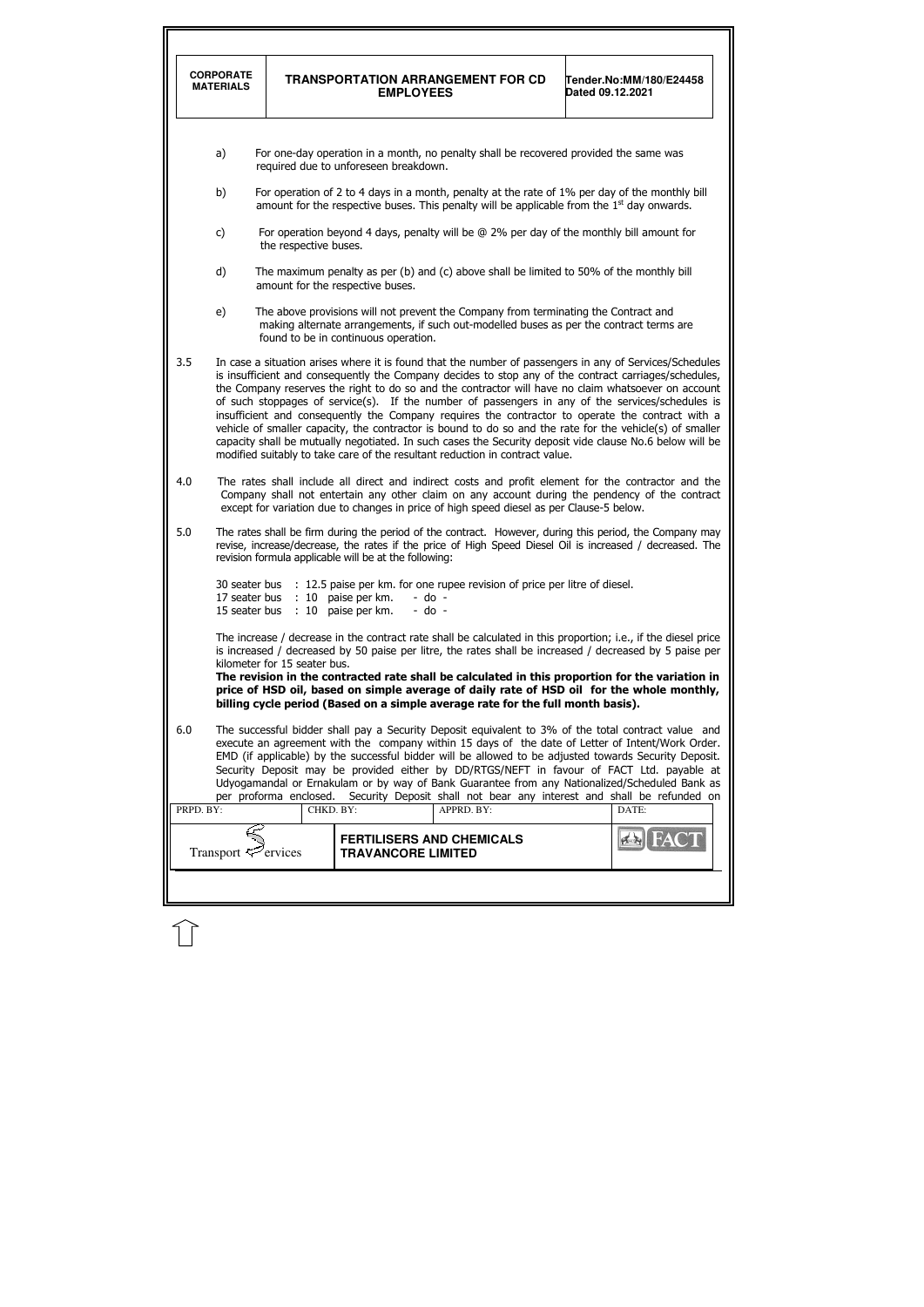| <b>CORPORATE</b><br><b>MATERIALS</b> |                                                                                                                                                                                                                                                                                                   |                              | <b>TRANSPORTATION ARRANGEMENT FOR CD</b><br><b>EMPLOYEES</b>                                                                                                                                                                                                                                                                                                                                                                                                                                                                                                                                                                                                                                                                                                                                                                            | Tender.No:MM/180/E24458<br>Dated 09.12.2021 |  |  |
|--------------------------------------|---------------------------------------------------------------------------------------------------------------------------------------------------------------------------------------------------------------------------------------------------------------------------------------------------|------------------------------|-----------------------------------------------------------------------------------------------------------------------------------------------------------------------------------------------------------------------------------------------------------------------------------------------------------------------------------------------------------------------------------------------------------------------------------------------------------------------------------------------------------------------------------------------------------------------------------------------------------------------------------------------------------------------------------------------------------------------------------------------------------------------------------------------------------------------------------------|---------------------------------------------|--|--|
| a)                                   |                                                                                                                                                                                                                                                                                                   |                              | For one-day operation in a month, no penalty shall be recovered provided the same was<br>required due to unforeseen breakdown.                                                                                                                                                                                                                                                                                                                                                                                                                                                                                                                                                                                                                                                                                                          |                                             |  |  |
| b)                                   |                                                                                                                                                                                                                                                                                                   |                              | For operation of 2 to 4 days in a month, penalty at the rate of 1% per day of the monthly bill<br>amount for the respective buses. This penalty will be applicable from the $1st$ day onwards.                                                                                                                                                                                                                                                                                                                                                                                                                                                                                                                                                                                                                                          |                                             |  |  |
| c)                                   |                                                                                                                                                                                                                                                                                                   | the respective buses.        | For operation beyond 4 days, penalty will be $@$ 2% per day of the monthly bill amount for                                                                                                                                                                                                                                                                                                                                                                                                                                                                                                                                                                                                                                                                                                                                              |                                             |  |  |
| d)                                   |                                                                                                                                                                                                                                                                                                   |                              | The maximum penalty as per (b) and (c) above shall be limited to 50% of the monthly bill<br>amount for the respective buses.                                                                                                                                                                                                                                                                                                                                                                                                                                                                                                                                                                                                                                                                                                            |                                             |  |  |
| e)                                   |                                                                                                                                                                                                                                                                                                   |                              | The above provisions will not prevent the Company from terminating the Contract and<br>making alternate arrangements, if such out-modelled buses as per the contract terms are<br>found to be in continuous operation.                                                                                                                                                                                                                                                                                                                                                                                                                                                                                                                                                                                                                  |                                             |  |  |
| 3.5                                  |                                                                                                                                                                                                                                                                                                   |                              | In case a situation arises where it is found that the number of passengers in any of Services/Schedules<br>is insufficient and consequently the Company decides to stop any of the contract carriages/schedules,<br>the Company reserves the right to do so and the contractor will have no claim whatsoever on account<br>of such stoppages of service(s). If the number of passengers in any of the services/schedules is<br>insufficient and consequently the Company requires the contractor to operate the contract with a<br>vehicle of smaller capacity, the contractor is bound to do so and the rate for the vehicle(s) of smaller<br>capacity shall be mutually negotiated. In such cases the Security deposit vide clause No.6 below will be<br>modified suitably to take care of the resultant reduction in contract value. |                                             |  |  |
| 4.0                                  | The rates shall include all direct and indirect costs and profit element for the contractor and the<br>Company shall not entertain any other claim on any account during the pendency of the contract<br>except for variation due to changes in price of high speed diesel as per Clause-5 below. |                              |                                                                                                                                                                                                                                                                                                                                                                                                                                                                                                                                                                                                                                                                                                                                                                                                                                         |                                             |  |  |
| 5.0                                  |                                                                                                                                                                                                                                                                                                   |                              | The rates shall be firm during the period of the contract. However, during this period, the Company may<br>revise, increase/decrease, the rates if the price of High Speed Diesel Oil is increased / decreased. The<br>revision formula applicable will be at the following:                                                                                                                                                                                                                                                                                                                                                                                                                                                                                                                                                            |                                             |  |  |
|                                      | 30 seater bus<br>17 seater bus<br>15 seater bus                                                                                                                                                                                                                                                   | : 10<br>: 10                 | : 12.5 paise per km. for one rupee revision of price per litre of diesel.<br>paise per km.<br>$-$ do $-$<br>$-$ do $-$<br>paise per km.                                                                                                                                                                                                                                                                                                                                                                                                                                                                                                                                                                                                                                                                                                 |                                             |  |  |
|                                      |                                                                                                                                                                                                                                                                                                   | kilometer for 15 seater bus. | The increase / decrease in the contract rate shall be calculated in this proportion; i.e., if the diesel price<br>is increased / decreased by 50 paise per litre, the rates shall be increased / decreased by 5 paise per<br>The revision in the contracted rate shall be calculated in this proportion for the variation in<br>price of HSD oil, based on simple average of daily rate of HSD oil for the whole monthly,<br>billing cycle period (Based on a simple average rate for the full month basis).                                                                                                                                                                                                                                                                                                                            |                                             |  |  |
| 6.0<br>PRPD. BY:                     |                                                                                                                                                                                                                                                                                                   | CHKD. BY:                    | The successful bidder shall pay a Security Deposit equivalent to 3% of the total contract value and<br>execute an agreement with the company within 15 days of the date of Letter of Intent/Work Order.<br>EMD (if applicable) by the successful bidder will be allowed to be adjusted towards Security Deposit.<br>Security Deposit may be provided either by DD/RTGS/NEFT in favour of FACT Ltd. payable at<br>Udyogamandal or Ernakulam or by way of Bank Guarantee from any Nationalized/Scheduled Bank as<br>per proforma enclosed. Security Deposit shall not bear any interest and shall be refunded on<br>APPRD. BY:                                                                                                                                                                                                            | DATE:                                       |  |  |
|                                      |                                                                                                                                                                                                                                                                                                   |                              | <b>FERTILISERS AND CHEMICALS</b>                                                                                                                                                                                                                                                                                                                                                                                                                                                                                                                                                                                                                                                                                                                                                                                                        |                                             |  |  |

 $\bigcap$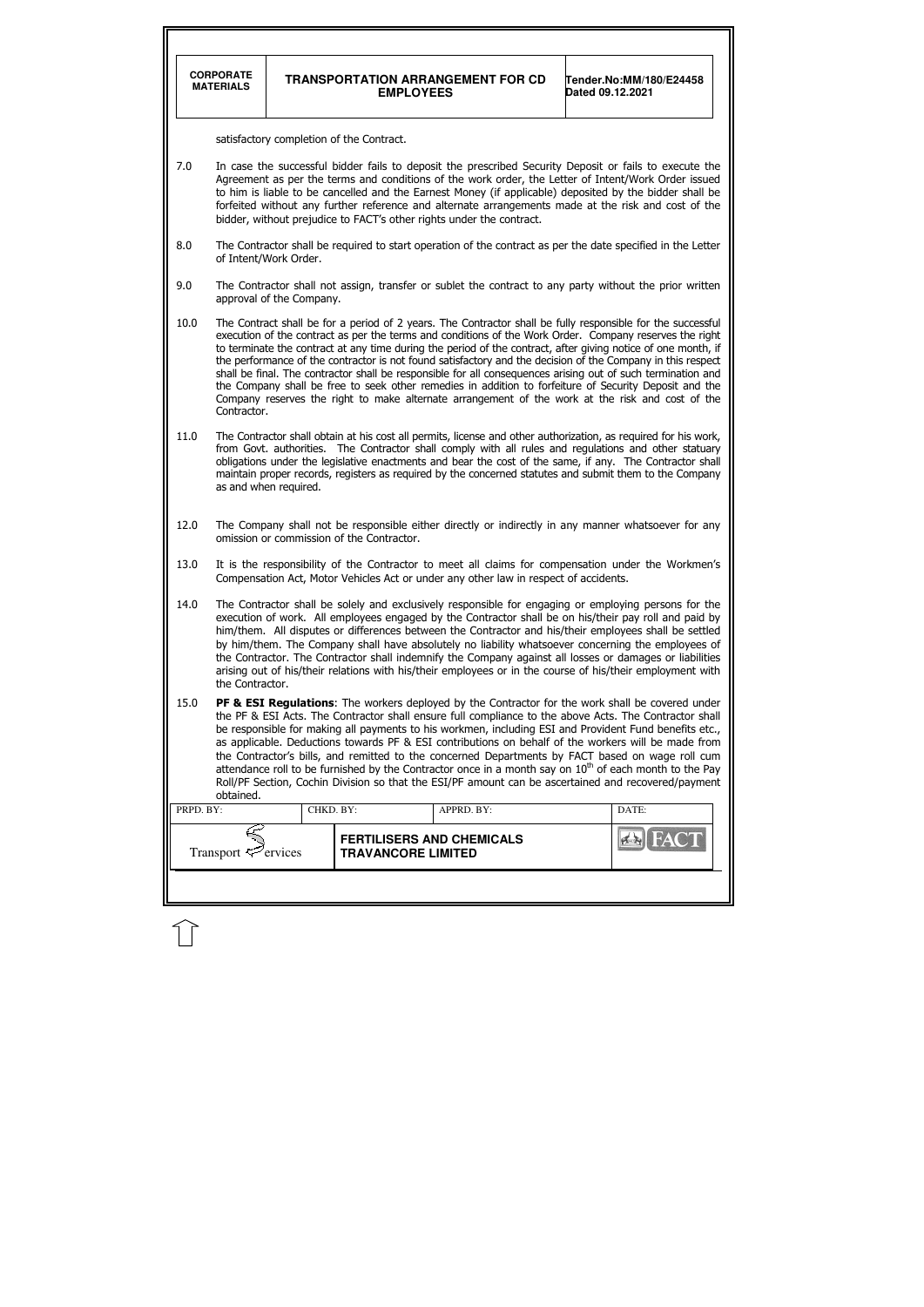|           | <b>CORPORATE</b><br><b>MATERIALS</b>                                                                                                                                                                                                                                                                                                                                                                                                                                                                                                                                                                                                                                                                                                                                                                |                          | <b>EMPLOYEES</b>                          | <b>TRANSPORTATION ARRANGEMENT FOR CD</b>                                             | Tender.No:MM/180/E24458<br>Dated 09.12.2021                                                                 |  |  |  |  |  |
|-----------|-----------------------------------------------------------------------------------------------------------------------------------------------------------------------------------------------------------------------------------------------------------------------------------------------------------------------------------------------------------------------------------------------------------------------------------------------------------------------------------------------------------------------------------------------------------------------------------------------------------------------------------------------------------------------------------------------------------------------------------------------------------------------------------------------------|--------------------------|-------------------------------------------|--------------------------------------------------------------------------------------|-------------------------------------------------------------------------------------------------------------|--|--|--|--|--|
|           | satisfactory completion of the Contract.                                                                                                                                                                                                                                                                                                                                                                                                                                                                                                                                                                                                                                                                                                                                                            |                          |                                           |                                                                                      |                                                                                                             |  |  |  |  |  |
| 7.0       | In case the successful bidder fails to deposit the prescribed Security Deposit or fails to execute the<br>Agreement as per the terms and conditions of the work order, the Letter of Intent/Work Order issued<br>to him is liable to be cancelled and the Earnest Money (if applicable) deposited by the bidder shall be<br>forfeited without any further reference and alternate arrangements made at the risk and cost of the<br>bidder, without prejudice to FACT's other rights under the contract.                                                                                                                                                                                                                                                                                             |                          |                                           |                                                                                      |                                                                                                             |  |  |  |  |  |
| 8.0       |                                                                                                                                                                                                                                                                                                                                                                                                                                                                                                                                                                                                                                                                                                                                                                                                     | of Intent/Work Order.    |                                           |                                                                                      | The Contractor shall be required to start operation of the contract as per the date specified in the Letter |  |  |  |  |  |
| 9.0       |                                                                                                                                                                                                                                                                                                                                                                                                                                                                                                                                                                                                                                                                                                                                                                                                     | approval of the Company. |                                           |                                                                                      | The Contractor shall not assign, transfer or sublet the contract to any party without the prior written     |  |  |  |  |  |
| 10.0      | The Contract shall be for a period of 2 years. The Contractor shall be fully responsible for the successful<br>execution of the contract as per the terms and conditions of the Work Order. Company reserves the right<br>to terminate the contract at any time during the period of the contract, after giving notice of one month, if<br>the performance of the contractor is not found satisfactory and the decision of the Company in this respect<br>shall be final. The contractor shall be responsible for all consequences arising out of such termination and<br>the Company shall be free to seek other remedies in addition to forfeiture of Security Deposit and the<br>Company reserves the right to make alternate arrangement of the work at the risk and cost of the<br>Contractor. |                          |                                           |                                                                                      |                                                                                                             |  |  |  |  |  |
| 11.0      | The Contractor shall obtain at his cost all permits, license and other authorization, as required for his work,<br>from Govt. authorities. The Contractor shall comply with all rules and regulations and other statuary<br>obligations under the legislative enactments and bear the cost of the same, if any. The Contractor shall<br>maintain proper records, registers as required by the concerned statutes and submit them to the Company<br>as and when required.                                                                                                                                                                                                                                                                                                                            |                          |                                           |                                                                                      |                                                                                                             |  |  |  |  |  |
| 12.0      |                                                                                                                                                                                                                                                                                                                                                                                                                                                                                                                                                                                                                                                                                                                                                                                                     |                          | omission or commission of the Contractor. |                                                                                      | The Company shall not be responsible either directly or indirectly in any manner whatsoever for any         |  |  |  |  |  |
| 13.0      |                                                                                                                                                                                                                                                                                                                                                                                                                                                                                                                                                                                                                                                                                                                                                                                                     |                          |                                           | Compensation Act, Motor Vehicles Act or under any other law in respect of accidents. | It is the responsibility of the Contractor to meet all claims for compensation under the Workmen's          |  |  |  |  |  |
| 14.0      | The Contractor shall be solely and exclusively responsible for engaging or employing persons for the<br>execution of work. All employees engaged by the Contractor shall be on his/their pay roll and paid by<br>him/them. All disputes or differences between the Contractor and his/their employees shall be settled<br>by him/them. The Company shall have absolutely no liability whatsoever concerning the employees of<br>the Contractor. The Contractor shall indemnify the Company against all losses or damages or liabilities<br>arising out of his/their relations with his/their employees or in the course of his/their employment with<br>the Contractor.                                                                                                                             |                          |                                           |                                                                                      |                                                                                                             |  |  |  |  |  |
| 15.0      | PF & ESI Regulations: The workers deployed by the Contractor for the work shall be covered under<br>the PF & ESI Acts. The Contractor shall ensure full compliance to the above Acts. The Contractor shall<br>be responsible for making all payments to his workmen, including ESI and Provident Fund benefits etc.,<br>as applicable. Deductions towards PF & ESI contributions on behalf of the workers will be made from<br>the Contractor's bills, and remitted to the concerned Departments by FACT based on wage roll cum<br>attendance roll to be furnished by the Contractor once in a month say on 10 <sup>th</sup> of each month to the Pay<br>Roll/PF Section, Cochin Division so that the ESI/PF amount can be ascertained and recovered/payment<br>obtained.                           |                          |                                           |                                                                                      |                                                                                                             |  |  |  |  |  |
| PRPD. BY: |                                                                                                                                                                                                                                                                                                                                                                                                                                                                                                                                                                                                                                                                                                                                                                                                     | CHKD. BY:                |                                           | APPRD. BY:                                                                           | DATE:                                                                                                       |  |  |  |  |  |
|           | Transport $\mathcal{P}$ ervices                                                                                                                                                                                                                                                                                                                                                                                                                                                                                                                                                                                                                                                                                                                                                                     |                          | <b>TRAVANCORE LIMITED</b>                 | <b>FERTILISERS AND CHEMICALS</b>                                                     |                                                                                                             |  |  |  |  |  |
|           |                                                                                                                                                                                                                                                                                                                                                                                                                                                                                                                                                                                                                                                                                                                                                                                                     |                          |                                           |                                                                                      |                                                                                                             |  |  |  |  |  |

 $\hat{L}$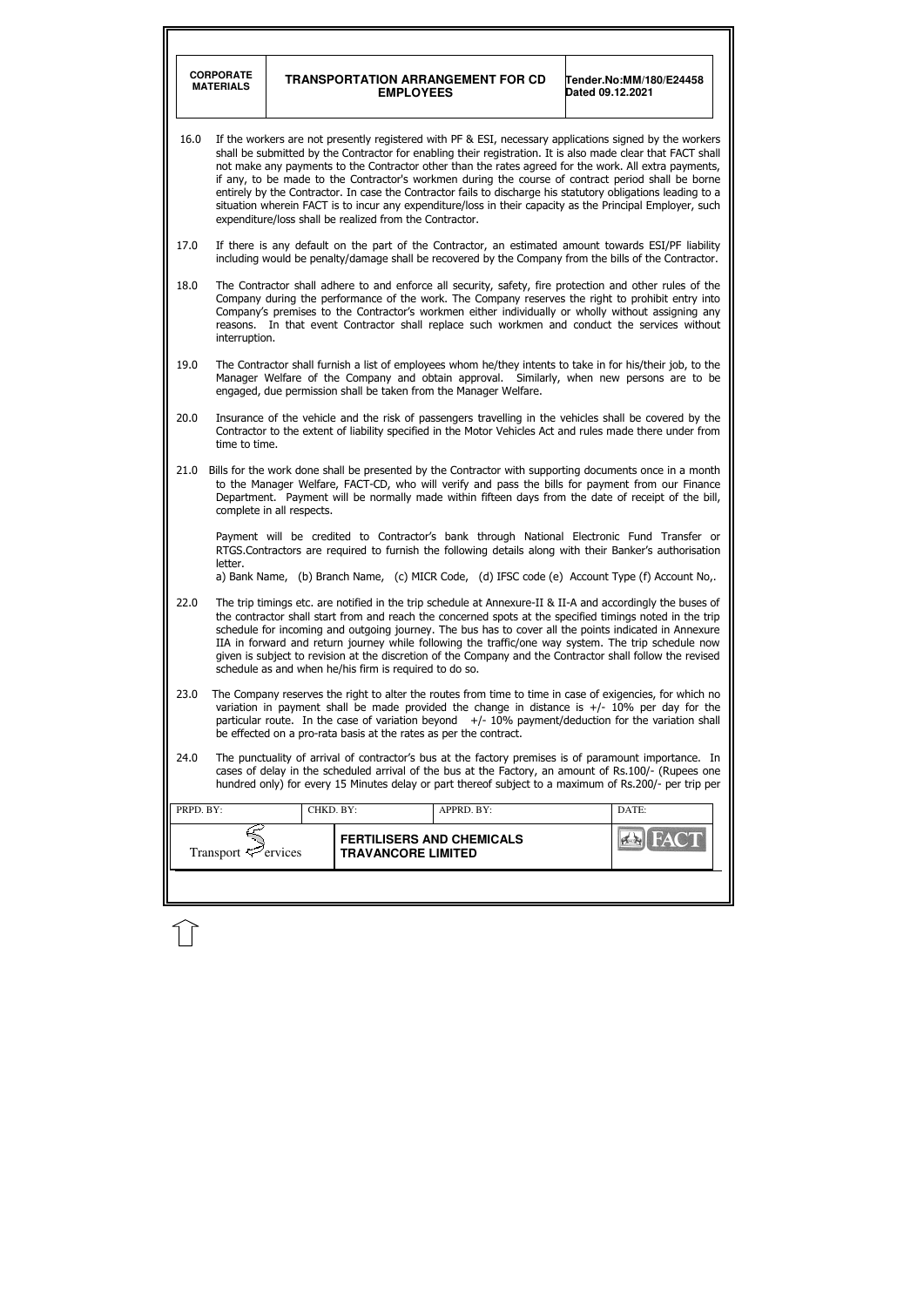|           | <b>CORPORATE</b><br><b>MATERIALS</b>                                                                                                                                                                                                                                                                                                                                                                                                                                                                                                                                                                                                                                                                                          |           | <b>EMPLOYEES</b>          | <b>TRANSPORTATION ARRANGEMENT FOR CD</b>                                                                                                                                                                                                                                                                                                                                                                            | Dated 09.12.2021 | Tender.No:MM/180/E24458 |
|-----------|-------------------------------------------------------------------------------------------------------------------------------------------------------------------------------------------------------------------------------------------------------------------------------------------------------------------------------------------------------------------------------------------------------------------------------------------------------------------------------------------------------------------------------------------------------------------------------------------------------------------------------------------------------------------------------------------------------------------------------|-----------|---------------------------|---------------------------------------------------------------------------------------------------------------------------------------------------------------------------------------------------------------------------------------------------------------------------------------------------------------------------------------------------------------------------------------------------------------------|------------------|-------------------------|
| 16.0      | If the workers are not presently registered with PF & ESI, necessary applications signed by the workers<br>shall be submitted by the Contractor for enabling their registration. It is also made clear that FACT shall<br>not make any payments to the Contractor other than the rates agreed for the work. All extra payments,<br>if any, to be made to the Contractor's workmen during the course of contract period shall be borne<br>entirely by the Contractor. In case the Contractor fails to discharge his statutory obligations leading to a<br>situation wherein FACT is to incur any expenditure/loss in their capacity as the Principal Employer, such<br>expenditure/loss shall be realized from the Contractor. |           |                           |                                                                                                                                                                                                                                                                                                                                                                                                                     |                  |                         |
| 17.0      |                                                                                                                                                                                                                                                                                                                                                                                                                                                                                                                                                                                                                                                                                                                               |           |                           | If there is any default on the part of the Contractor, an estimated amount towards ESI/PF liability<br>including would be penalty/damage shall be recovered by the Company from the bills of the Contractor.                                                                                                                                                                                                        |                  |                         |
| 18.0      | interruption.                                                                                                                                                                                                                                                                                                                                                                                                                                                                                                                                                                                                                                                                                                                 |           |                           | The Contractor shall adhere to and enforce all security, safety, fire protection and other rules of the<br>Company during the performance of the work. The Company reserves the right to prohibit entry into<br>Company's premises to the Contractor's workmen either individually or wholly without assigning any<br>reasons. In that event Contractor shall replace such workmen and conduct the services without |                  |                         |
| 19.0      | The Contractor shall furnish a list of employees whom he/they intents to take in for his/their job, to the<br>Manager Welfare of the Company and obtain approval. Similarly, when new persons are to be<br>engaged, due permission shall be taken from the Manager Welfare.                                                                                                                                                                                                                                                                                                                                                                                                                                                   |           |                           |                                                                                                                                                                                                                                                                                                                                                                                                                     |                  |                         |
| 20.0      | Insurance of the vehicle and the risk of passengers travelling in the vehicles shall be covered by the<br>Contractor to the extent of liability specified in the Motor Vehicles Act and rules made there under from<br>time to time.                                                                                                                                                                                                                                                                                                                                                                                                                                                                                          |           |                           |                                                                                                                                                                                                                                                                                                                                                                                                                     |                  |                         |
| 21.0      | Bills for the work done shall be presented by the Contractor with supporting documents once in a month<br>to the Manager Welfare, FACT-CD, who will verify and pass the bills for payment from our Finance<br>Department. Payment will be normally made within fifteen days from the date of receipt of the bill,<br>complete in all respects.                                                                                                                                                                                                                                                                                                                                                                                |           |                           |                                                                                                                                                                                                                                                                                                                                                                                                                     |                  |                         |
|           | Payment will be credited to Contractor's bank through National Electronic Fund Transfer or<br>RTGS.Contractors are required to furnish the following details along with their Banker's authorisation<br>letter.<br>a) Bank Name, (b) Branch Name, (c) MICR Code, (d) IFSC code (e) Account Type (f) Account No,.                                                                                                                                                                                                                                                                                                                                                                                                              |           |                           |                                                                                                                                                                                                                                                                                                                                                                                                                     |                  |                         |
| 22.0      | The trip timings etc. are notified in the trip schedule at Annexure-II & II-A and accordingly the buses of<br>the contractor shall start from and reach the concerned spots at the specified timings noted in the trip<br>schedule for incoming and outgoing journey. The bus has to cover all the points indicated in Annexure<br>IIA in forward and return journey while following the traffic/one way system. The trip schedule now<br>given is subject to revision at the discretion of the Company and the Contractor shall follow the revised<br>schedule as and when he/his firm is required to do so.                                                                                                                 |           |                           |                                                                                                                                                                                                                                                                                                                                                                                                                     |                  |                         |
| 23.0      | The Company reserves the right to alter the routes from time to time in case of exigencies, for which no<br>variation in payment shall be made provided the change in distance is $+/-10\%$ per day for the<br>particular route. In the case of variation beyond $+/-10\%$ payment/deduction for the variation shall<br>be effected on a pro-rata basis at the rates as per the contract.                                                                                                                                                                                                                                                                                                                                     |           |                           |                                                                                                                                                                                                                                                                                                                                                                                                                     |                  |                         |
| 24.0      |                                                                                                                                                                                                                                                                                                                                                                                                                                                                                                                                                                                                                                                                                                                               |           |                           | The punctuality of arrival of contractor's bus at the factory premises is of paramount importance. In<br>cases of delay in the scheduled arrival of the bus at the Factory, an amount of Rs.100/- (Rupees one<br>hundred only) for every 15 Minutes delay or part thereof subject to a maximum of Rs.200/- per trip per                                                                                             |                  |                         |
| PRPD. BY: |                                                                                                                                                                                                                                                                                                                                                                                                                                                                                                                                                                                                                                                                                                                               | CHKD. BY: |                           | APPRD. BY:                                                                                                                                                                                                                                                                                                                                                                                                          |                  | DATE:                   |
|           | Transport $\leq$ ervices                                                                                                                                                                                                                                                                                                                                                                                                                                                                                                                                                                                                                                                                                                      |           | <b>TRAVANCORE LIMITED</b> | <b>FERTILISERS AND CHEMICALS</b>                                                                                                                                                                                                                                                                                                                                                                                    |                  |                         |
|           |                                                                                                                                                                                                                                                                                                                                                                                                                                                                                                                                                                                                                                                                                                                               |           |                           |                                                                                                                                                                                                                                                                                                                                                                                                                     |                  |                         |

 $\widehat{\mathbb{U}}$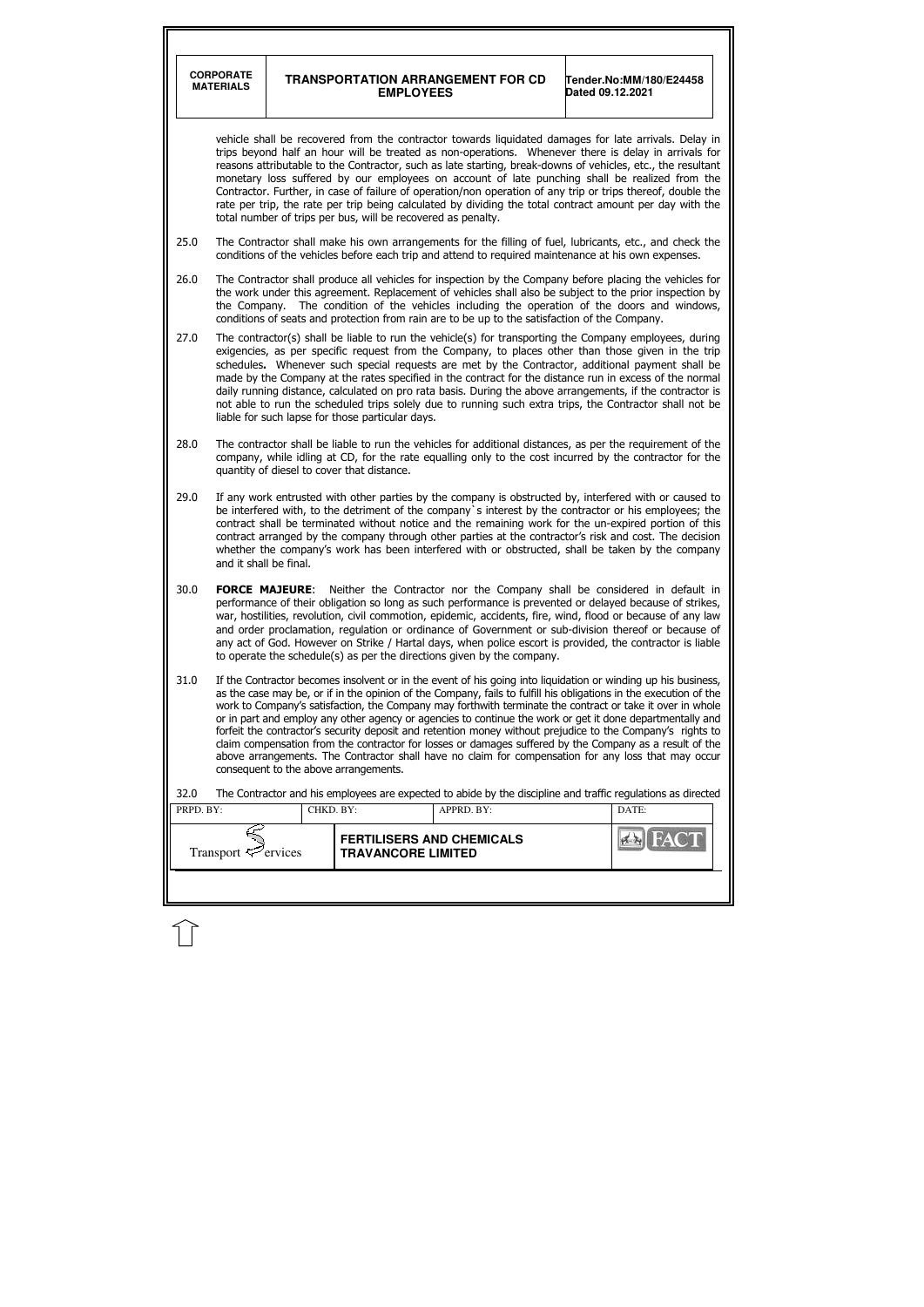| <b>CORPORATE</b><br><b>MATERIALS</b><br>25.0<br>26.0<br>27.0<br>28.0<br>29.0<br>30.0<br>31.0<br>32.0<br>PRPD. BY: |                                                                                                                                                                                                                                                                                                                                                                                                                                                                                                                                                                                                                                                                                                                           |                                                                                                                                                                                                                                                                                                                                                                                                                                                                                                                                                                                                                                                                                                                                                                                                                                       |                                                                                               |                                                                                                                                                                                                                                                                                                                                                                                                                                                                                                                                                                                                                                                     |  |  |  |
|-------------------------------------------------------------------------------------------------------------------|---------------------------------------------------------------------------------------------------------------------------------------------------------------------------------------------------------------------------------------------------------------------------------------------------------------------------------------------------------------------------------------------------------------------------------------------------------------------------------------------------------------------------------------------------------------------------------------------------------------------------------------------------------------------------------------------------------------------------|---------------------------------------------------------------------------------------------------------------------------------------------------------------------------------------------------------------------------------------------------------------------------------------------------------------------------------------------------------------------------------------------------------------------------------------------------------------------------------------------------------------------------------------------------------------------------------------------------------------------------------------------------------------------------------------------------------------------------------------------------------------------------------------------------------------------------------------|-----------------------------------------------------------------------------------------------|-----------------------------------------------------------------------------------------------------------------------------------------------------------------------------------------------------------------------------------------------------------------------------------------------------------------------------------------------------------------------------------------------------------------------------------------------------------------------------------------------------------------------------------------------------------------------------------------------------------------------------------------------------|--|--|--|
|                                                                                                                   |                                                                                                                                                                                                                                                                                                                                                                                                                                                                                                                                                                                                                                                                                                                           | <b>EMPLOYEES</b>                                                                                                                                                                                                                                                                                                                                                                                                                                                                                                                                                                                                                                                                                                                                                                                                                      | <b>TRANSPORTATION ARRANGEMENT FOR CD</b>                                                      | Tender.No:MM/180/E24458<br>Dated 09.12.2021                                                                                                                                                                                                                                                                                                                                                                                                                                                                                                                                                                                                         |  |  |  |
|                                                                                                                   | vehicle shall be recovered from the contractor towards liquidated damages for late arrivals. Delay in<br>trips beyond half an hour will be treated as non-operations. Whenever there is delay in arrivals for<br>reasons attributable to the Contractor, such as late starting, break-downs of vehicles, etc., the resultant<br>monetary loss suffered by our employees on account of late punching shall be realized from the<br>Contractor. Further, in case of failure of operation/non operation of any trip or trips thereof, double the<br>rate per trip, the rate per trip being calculated by dividing the total contract amount per day with the<br>total number of trips per bus, will be recovered as penalty. |                                                                                                                                                                                                                                                                                                                                                                                                                                                                                                                                                                                                                                                                                                                                                                                                                                       |                                                                                               |                                                                                                                                                                                                                                                                                                                                                                                                                                                                                                                                                                                                                                                     |  |  |  |
|                                                                                                                   |                                                                                                                                                                                                                                                                                                                                                                                                                                                                                                                                                                                                                                                                                                                           | The Contractor shall make his own arrangements for the filling of fuel, lubricants, etc., and check the<br>conditions of the vehicles before each trip and attend to required maintenance at his own expenses.                                                                                                                                                                                                                                                                                                                                                                                                                                                                                                                                                                                                                        |                                                                                               |                                                                                                                                                                                                                                                                                                                                                                                                                                                                                                                                                                                                                                                     |  |  |  |
|                                                                                                                   | the Company.                                                                                                                                                                                                                                                                                                                                                                                                                                                                                                                                                                                                                                                                                                              |                                                                                                                                                                                                                                                                                                                                                                                                                                                                                                                                                                                                                                                                                                                                                                                                                                       | conditions of seats and protection from rain are to be up to the satisfaction of the Company. | The Contractor shall produce all vehicles for inspection by the Company before placing the vehicles for<br>the work under this agreement. Replacement of vehicles shall also be subject to the prior inspection by<br>The condition of the vehicles including the operation of the doors and windows,                                                                                                                                                                                                                                                                                                                                               |  |  |  |
|                                                                                                                   |                                                                                                                                                                                                                                                                                                                                                                                                                                                                                                                                                                                                                                                                                                                           | liable for such lapse for those particular days.                                                                                                                                                                                                                                                                                                                                                                                                                                                                                                                                                                                                                                                                                                                                                                                      |                                                                                               | The contractor(s) shall be liable to run the vehicle(s) for transporting the Company employees, during<br>exigencies, as per specific request from the Company, to places other than those given in the trip<br>schedules. Whenever such special requests are met by the Contractor, additional payment shall be<br>made by the Company at the rates specified in the contract for the distance run in excess of the normal<br>daily running distance, calculated on pro rata basis. During the above arrangements, if the contractor is<br>not able to run the scheduled trips solely due to running such extra trips, the Contractor shall not be |  |  |  |
|                                                                                                                   |                                                                                                                                                                                                                                                                                                                                                                                                                                                                                                                                                                                                                                                                                                                           | The contractor shall be liable to run the vehicles for additional distances, as per the requirement of the<br>company, while idling at CD, for the rate equalling only to the cost incurred by the contractor for the<br>quantity of diesel to cover that distance.                                                                                                                                                                                                                                                                                                                                                                                                                                                                                                                                                                   |                                                                                               |                                                                                                                                                                                                                                                                                                                                                                                                                                                                                                                                                                                                                                                     |  |  |  |
|                                                                                                                   |                                                                                                                                                                                                                                                                                                                                                                                                                                                                                                                                                                                                                                                                                                                           | If any work entrusted with other parties by the company is obstructed by, interfered with or caused to<br>be interfered with, to the detriment of the company's interest by the contractor or his employees; the<br>contract shall be terminated without notice and the remaining work for the un-expired portion of this<br>contract arranged by the company through other parties at the contractor's risk and cost. The decision<br>whether the company's work has been interfered with or obstructed, shall be taken by the company<br>and it shall be final.                                                                                                                                                                                                                                                                     |                                                                                               |                                                                                                                                                                                                                                                                                                                                                                                                                                                                                                                                                                                                                                                     |  |  |  |
|                                                                                                                   |                                                                                                                                                                                                                                                                                                                                                                                                                                                                                                                                                                                                                                                                                                                           | <b>FORCE MAJEURE:</b><br>Neither the Contractor nor the Company shall be considered in default in<br>performance of their obligation so long as such performance is prevented or delayed because of strikes,<br>war, hostilities, revolution, civil commotion, epidemic, accidents, fire, wind, flood or because of any law<br>and order proclamation, regulation or ordinance of Government or sub-division thereof or because of<br>any act of God. However on Strike / Hartal days, when police escort is provided, the contractor is liable<br>to operate the schedule(s) as per the directions given by the company.                                                                                                                                                                                                             |                                                                                               |                                                                                                                                                                                                                                                                                                                                                                                                                                                                                                                                                                                                                                                     |  |  |  |
|                                                                                                                   |                                                                                                                                                                                                                                                                                                                                                                                                                                                                                                                                                                                                                                                                                                                           | If the Contractor becomes insolvent or in the event of his going into liquidation or winding up his business,<br>as the case may be, or if in the opinion of the Company, fails to fulfill his obligations in the execution of the<br>work to Company's satisfaction, the Company may forthwith terminate the contract or take it over in whole<br>or in part and employ any other agency or agencies to continue the work or get it done departmentally and<br>forfeit the contractor's security deposit and retention money without prejudice to the Company's rights to<br>claim compensation from the contractor for losses or damages suffered by the Company as a result of the<br>above arrangements. The Contractor shall have no claim for compensation for any loss that may occur<br>consequent to the above arrangements. |                                                                                               |                                                                                                                                                                                                                                                                                                                                                                                                                                                                                                                                                                                                                                                     |  |  |  |
|                                                                                                                   |                                                                                                                                                                                                                                                                                                                                                                                                                                                                                                                                                                                                                                                                                                                           |                                                                                                                                                                                                                                                                                                                                                                                                                                                                                                                                                                                                                                                                                                                                                                                                                                       |                                                                                               | The Contractor and his employees are expected to abide by the discipline and traffic regulations as directed                                                                                                                                                                                                                                                                                                                                                                                                                                                                                                                                        |  |  |  |
|                                                                                                                   | Transport $\leq$ ervices                                                                                                                                                                                                                                                                                                                                                                                                                                                                                                                                                                                                                                                                                                  | CHKD. BY:<br><b>TRAVANCORE LIMITED</b>                                                                                                                                                                                                                                                                                                                                                                                                                                                                                                                                                                                                                                                                                                                                                                                                | APPRD. BY:<br><b>FERTILISERS AND CHEMICALS</b>                                                | DATE:                                                                                                                                                                                                                                                                                                                                                                                                                                                                                                                                                                                                                                               |  |  |  |
|                                                                                                                   |                                                                                                                                                                                                                                                                                                                                                                                                                                                                                                                                                                                                                                                                                                                           |                                                                                                                                                                                                                                                                                                                                                                                                                                                                                                                                                                                                                                                                                                                                                                                                                                       |                                                                                               |                                                                                                                                                                                                                                                                                                                                                                                                                                                                                                                                                                                                                                                     |  |  |  |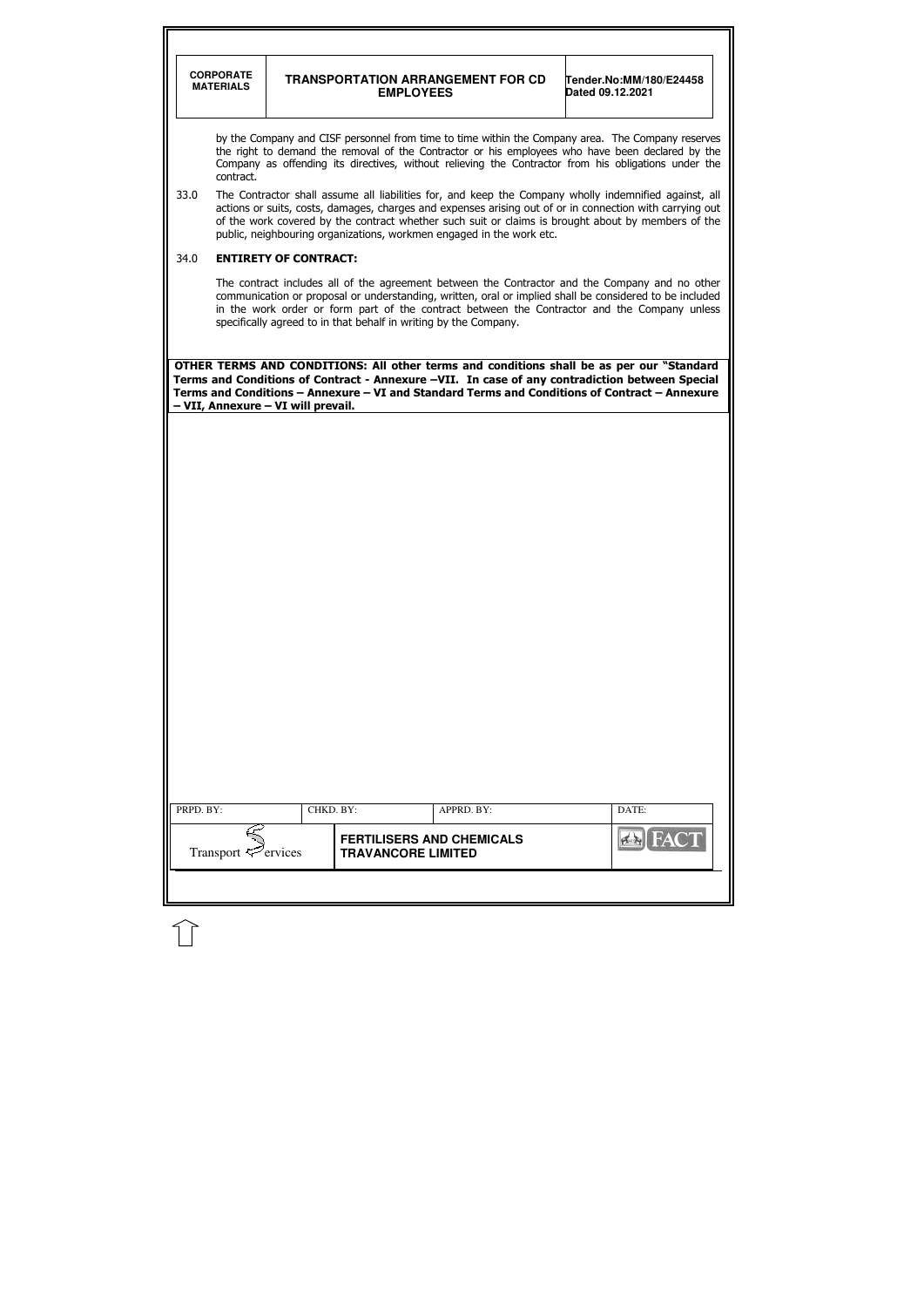|                                                                                                                                                                                                                                                                                                                            | <b>CORPORATE</b><br><b>MATERIALS</b> |                                    | <b>EMPLOYEES</b>          | <b>TRANSPORTATION ARRANGEMENT FOR CD</b>                             | Tender.No:MM/180/E24458<br>Dated 09.12.2021                                                                                                                                                                                                                                                                             |  |  |
|----------------------------------------------------------------------------------------------------------------------------------------------------------------------------------------------------------------------------------------------------------------------------------------------------------------------------|--------------------------------------|------------------------------------|---------------------------|----------------------------------------------------------------------|-------------------------------------------------------------------------------------------------------------------------------------------------------------------------------------------------------------------------------------------------------------------------------------------------------------------------|--|--|
| by the Company and CISF personnel from time to time within the Company area. The Company reserves<br>the right to demand the removal of the Contractor or his employees who have been declared by the<br>Company as offending its directives, without relieving the Contractor from his obligations under the<br>contract. |                                      |                                    |                           |                                                                      |                                                                                                                                                                                                                                                                                                                         |  |  |
| 33.0                                                                                                                                                                                                                                                                                                                       |                                      |                                    |                           | public, neighbouring organizations, workmen engaged in the work etc. | The Contractor shall assume all liabilities for, and keep the Company wholly indemnified against, all<br>actions or suits, costs, damages, charges and expenses arising out of or in connection with carrying out<br>of the work covered by the contract whether such suit or claims is brought about by members of the |  |  |
| 34.0                                                                                                                                                                                                                                                                                                                       |                                      | <b>ENTIRETY OF CONTRACT:</b>       |                           |                                                                      |                                                                                                                                                                                                                                                                                                                         |  |  |
|                                                                                                                                                                                                                                                                                                                            |                                      |                                    |                           | specifically agreed to in that behalf in writing by the Company.     | The contract includes all of the agreement between the Contractor and the Company and no other<br>communication or proposal or understanding, written, oral or implied shall be considered to be included<br>in the work order or form part of the contract between the Contractor and the Company unless               |  |  |
|                                                                                                                                                                                                                                                                                                                            |                                      | - VII, Annexure - VI will prevail. |                           |                                                                      | OTHER TERMS AND CONDITIONS: All other terms and conditions shall be as per our "Standard<br>Terms and Conditions of Contract - Annexure -VII. In case of any contradiction between Special<br>Terms and Conditions - Annexure - VI and Standard Terms and Conditions of Contract - Annexure                             |  |  |
|                                                                                                                                                                                                                                                                                                                            |                                      |                                    |                           |                                                                      |                                                                                                                                                                                                                                                                                                                         |  |  |
|                                                                                                                                                                                                                                                                                                                            |                                      |                                    |                           |                                                                      |                                                                                                                                                                                                                                                                                                                         |  |  |
|                                                                                                                                                                                                                                                                                                                            |                                      |                                    |                           |                                                                      |                                                                                                                                                                                                                                                                                                                         |  |  |
|                                                                                                                                                                                                                                                                                                                            |                                      |                                    |                           |                                                                      |                                                                                                                                                                                                                                                                                                                         |  |  |
|                                                                                                                                                                                                                                                                                                                            |                                      |                                    |                           |                                                                      |                                                                                                                                                                                                                                                                                                                         |  |  |
|                                                                                                                                                                                                                                                                                                                            |                                      |                                    |                           |                                                                      |                                                                                                                                                                                                                                                                                                                         |  |  |
|                                                                                                                                                                                                                                                                                                                            |                                      |                                    |                           |                                                                      |                                                                                                                                                                                                                                                                                                                         |  |  |
|                                                                                                                                                                                                                                                                                                                            |                                      |                                    |                           |                                                                      |                                                                                                                                                                                                                                                                                                                         |  |  |
|                                                                                                                                                                                                                                                                                                                            |                                      |                                    |                           |                                                                      |                                                                                                                                                                                                                                                                                                                         |  |  |
|                                                                                                                                                                                                                                                                                                                            |                                      |                                    |                           |                                                                      |                                                                                                                                                                                                                                                                                                                         |  |  |
|                                                                                                                                                                                                                                                                                                                            |                                      |                                    |                           |                                                                      |                                                                                                                                                                                                                                                                                                                         |  |  |
|                                                                                                                                                                                                                                                                                                                            |                                      |                                    |                           |                                                                      |                                                                                                                                                                                                                                                                                                                         |  |  |
|                                                                                                                                                                                                                                                                                                                            |                                      |                                    |                           |                                                                      |                                                                                                                                                                                                                                                                                                                         |  |  |
|                                                                                                                                                                                                                                                                                                                            |                                      |                                    |                           |                                                                      |                                                                                                                                                                                                                                                                                                                         |  |  |
|                                                                                                                                                                                                                                                                                                                            |                                      |                                    |                           |                                                                      |                                                                                                                                                                                                                                                                                                                         |  |  |
|                                                                                                                                                                                                                                                                                                                            |                                      |                                    |                           |                                                                      |                                                                                                                                                                                                                                                                                                                         |  |  |
| PRPD. BY:                                                                                                                                                                                                                                                                                                                  |                                      | CHKD. BY:                          |                           | APPRD. BY:<br><b>FERTILISERS AND CHEMICALS</b>                       | DATE:<br><b>FACT</b>                                                                                                                                                                                                                                                                                                    |  |  |
|                                                                                                                                                                                                                                                                                                                            | Transport $\mathcal{F}$ ervices      |                                    | <b>TRAVANCORE LIMITED</b> |                                                                      |                                                                                                                                                                                                                                                                                                                         |  |  |

 $\widehat{\mathbb{U}}$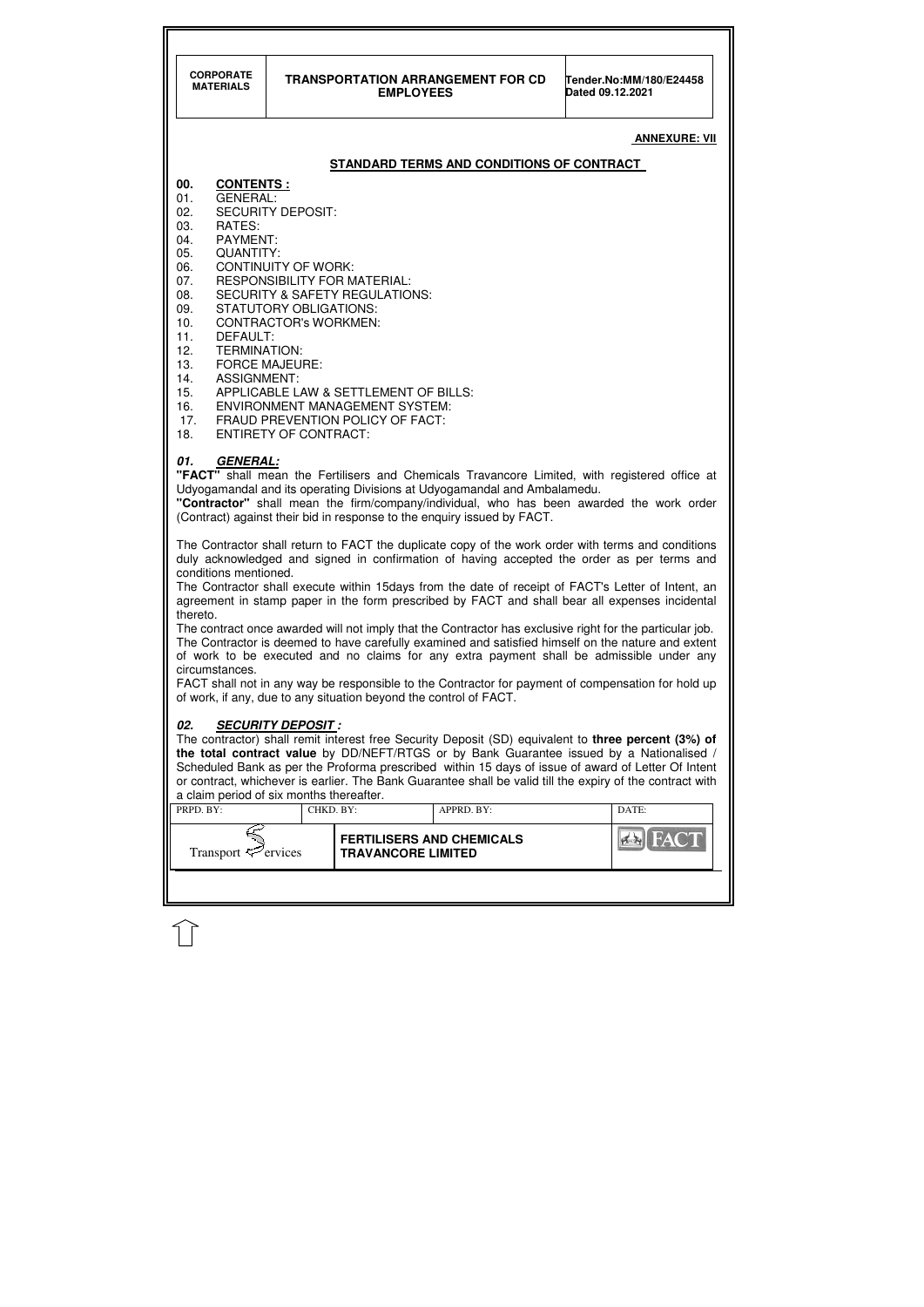| <b>CORPORATE</b><br><b>TRANSPORTATION ARRANGEMENT FOR CD</b><br><b>MATERIALS</b><br><b>EMPLOYEES</b>                                                                                                                                                                                                                                                                                                                                                                                                                                                                                                                                                                                                                 |  |                                                               |  | Dated 09.12.2021 | Tender.No:MM/180/E24458 |  |  |
|----------------------------------------------------------------------------------------------------------------------------------------------------------------------------------------------------------------------------------------------------------------------------------------------------------------------------------------------------------------------------------------------------------------------------------------------------------------------------------------------------------------------------------------------------------------------------------------------------------------------------------------------------------------------------------------------------------------------|--|---------------------------------------------------------------|--|------------------|-------------------------|--|--|
| <b>ANNEXURE: VII</b>                                                                                                                                                                                                                                                                                                                                                                                                                                                                                                                                                                                                                                                                                                 |  |                                                               |  |                  |                         |  |  |
| STANDARD TERMS AND CONDITIONS OF CONTRACT                                                                                                                                                                                                                                                                                                                                                                                                                                                                                                                                                                                                                                                                            |  |                                                               |  |                  |                         |  |  |
| 00.<br><b>CONTENTS:</b><br><b>GENERAL:</b><br>01.<br><b>SECURITY DEPOSIT:</b><br>02.<br>03.<br>RATES:<br>04.<br><b>PAYMENT:</b><br>QUANTITY:<br>05.<br><b>CONTINUITY OF WORK:</b><br>06.<br><b>RESPONSIBILITY FOR MATERIAL:</b><br>07.<br><b>SECURITY &amp; SAFETY REGULATIONS:</b><br>08.<br><b>STATUTORY OBLIGATIONS:</b><br>09.<br>10.<br><b>CONTRACTOR's WORKMEN:</b><br>11.<br>DEFAULT:<br>12.<br><b>TERMINATION:</b><br>13.<br><b>FORCE MAJEURE:</b><br><b>ASSIGNMENT:</b><br>14.<br>APPLICABLE LAW & SETTLEMENT OF BILLS:<br>15.<br><b>ENVIRONMENT MANAGEMENT SYSTEM:</b><br>16.<br>FRAUD PREVENTION POLICY OF FACT:<br>17.                                                                                   |  |                                                               |  |                  |                         |  |  |
| 01.<br><b>GENERAL:</b><br><b>"FACT"</b> shall mean the Fertilisers and Chemicals Travancore Limited, with registered office at<br>Udyogamandal and its operating Divisions at Udyogamandal and Ambalamedu.<br>"Contractor" shall mean the firm/company/individual, who has been awarded the work order<br>(Contract) against their bid in response to the enquiry issued by FACT.<br>The Contractor shall return to FACT the duplicate copy of the work order with terms and conditions<br>duly acknowledged and signed in confirmation of having accepted the order as per terms and<br>conditions mentioned.<br>The Contractor shall execute within 15days from the date of receipt of FACT's Letter of Intent, an |  |                                                               |  |                  |                         |  |  |
| agreement in stamp paper in the form prescribed by FACT and shall bear all expenses incidental<br>thereto.<br>The contract once awarded will not imply that the Contractor has exclusive right for the particular job.<br>The Contractor is deemed to have carefully examined and satisfied himself on the nature and extent<br>of work to be executed and no claims for any extra payment shall be admissible under any<br>circumstances.<br>FACT shall not in any way be responsible to the Contractor for payment of compensation for hold up<br>of work, if any, due to any situation beyond the control of FACT.                                                                                                |  |                                                               |  |                  |                         |  |  |
| 02.<br><b>SECURITY DEPOSIT:</b><br>The contractor) shall remit interest free Security Deposit (SD) equivalent to <b>three percent (3%) of</b><br>the total contract value by DD/NEFT/RTGS or by Bank Guarantee issued by a Nationalised /<br>Scheduled Bank as per the Proforma prescribed within 15 days of issue of award of Letter Of Intent<br>or contract, whichever is earlier. The Bank Guarantee shall be valid till the expiry of the contract with<br>a claim period of six months thereafter.<br>PRPD. BY:<br>CHKD. BY:<br>APPRD. BY:<br>DATE:                                                                                                                                                            |  |                                                               |  |                  |                         |  |  |
| Transport $\mathcal{F}$ ervices                                                                                                                                                                                                                                                                                                                                                                                                                                                                                                                                                                                                                                                                                      |  | <b>FERTILISERS AND CHEMICALS</b><br><b>TRAVANCORE LIMITED</b> |  |                  | $7 - 1$                 |  |  |
|                                                                                                                                                                                                                                                                                                                                                                                                                                                                                                                                                                                                                                                                                                                      |  |                                                               |  |                  |                         |  |  |

 $\widehat{1}$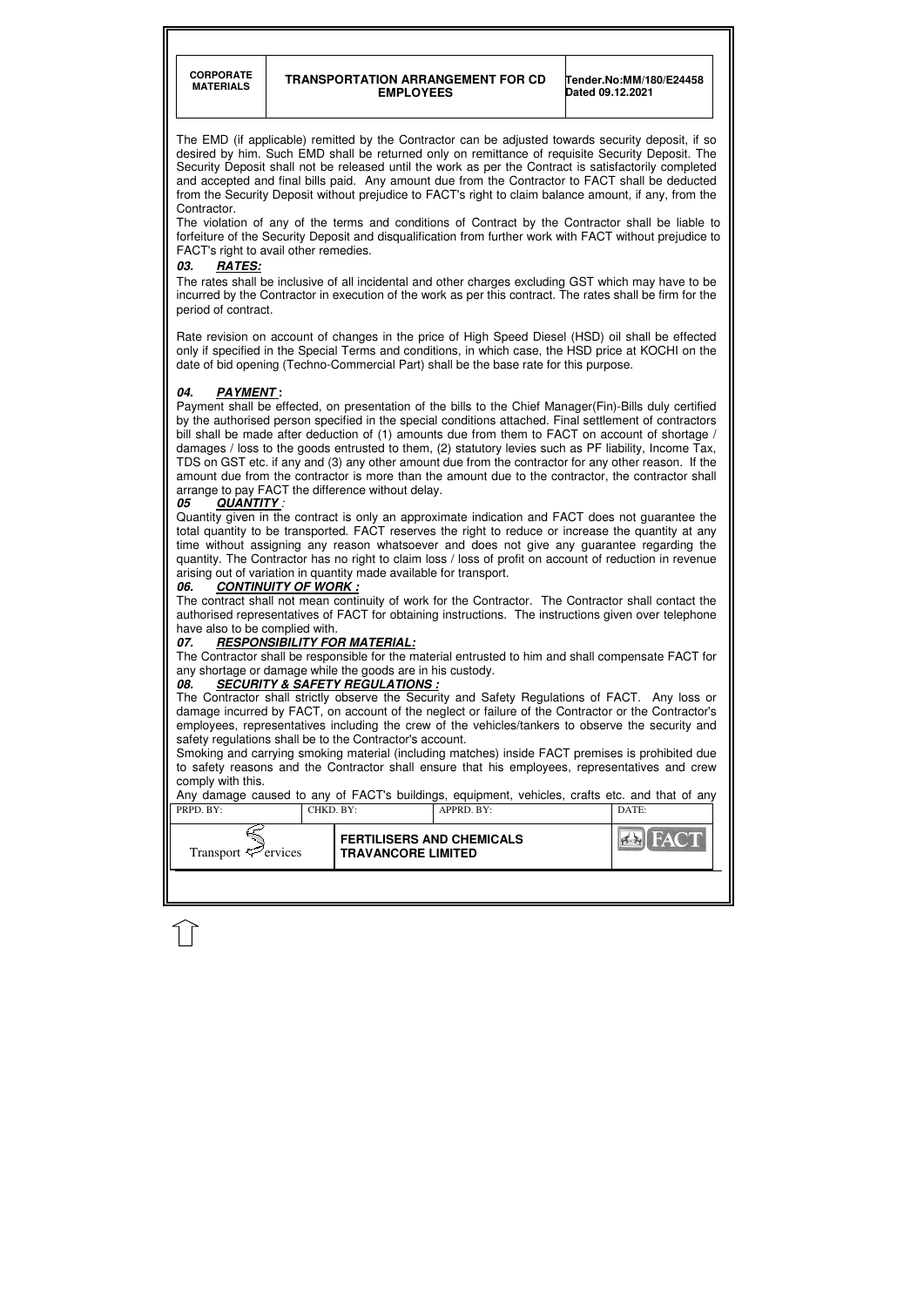**CORPORATE** 

#### **TRANSPORTATION ARRANGEMENT FOR CD EMPLOYEES**

**Tender.No:MM/180/E24458 Dated 09.12.2021** 

| PRPD. BY:                       | CHKD. BY: |                                                               | APPRD. BY: | DATE: |
|---------------------------------|-----------|---------------------------------------------------------------|------------|-------|
| Transport $\mathcal{P}$ ervices |           | <b>FERTILISERS AND CHEMICALS</b><br><b>TRAVANCORE LIMITED</b> |            | HACT  |
|                                 |           |                                                               |            |       |

The EMD (if applicable) remitted by the Contractor can be adjusted towards security deposit, if so desired by him. Such EMD shall be returned only on remittance of requisite Security Deposit. The Security Deposit shall not be released until the work as per the Contract is satisfactorily completed and accepted and final bills paid. Any amount due from the Contractor to FACT shall be deducted from the Security Deposit without prejudice to FACT's right to claim balance amount, if any, from the Contractor.

The violation of any of the terms and conditions of Contract by the Contractor shall be liable to forfeiture of the Security Deposit and disqualification from further work with FACT without prejudice to FACT's right to avail other remedies.

#### **03. RATES:**

The rates shall be inclusive of all incidental and other charges excluding GST which may have to be incurred by the Contractor in execution of the work as per this contract. The rates shall be firm for the period of contract.

Rate revision on account of changes in the price of High Speed Diesel (HSD) oil shall be effected only if specified in the Special Terms and conditions, in which case, the HSD price at KOCHI on the date of bid opening (Techno-Commercial Part) shall be the base rate for this purpose.

### **04. PAYMENT :**

Payment shall be effected, on presentation of the bills to the Chief Manager(Fin)-Bills duly certified by the authorised person specified in the special conditions attached. Final settlement of contractors bill shall be made after deduction of (1) amounts due from them to FACT on account of shortage / damages / loss to the goods entrusted to them, (2) statutory levies such as PF liability, Income Tax, TDS on GST etc. if any and (3) any other amount due from the contractor for any other reason. If the amount due from the contractor is more than the amount due to the contractor, the contractor shall arrange to pay FACT the difference without delay.

### **05 QUANTITY** :

Quantity given in the contract is only an approximate indication and FACT does not guarantee the total quantity to be transported. FACT reserves the right to reduce or increase the quantity at any time without assigning any reason whatsoever and does not give any guarantee regarding the quantity. The Contractor has no right to claim loss / loss of profit on account of reduction in revenue arising out of variation in quantity made available for transport.

## 06. CONTINUITY OF WORK :

The contract shall not mean continuity of work for the Contractor. The Contractor shall contact the authorised representatives of FACT for obtaining instructions. The instructions given over telephone have also to be complied with.

### **07. RESPONSIBILITY FOR MATERIAL:**

The Contractor shall be responsible for the material entrusted to him and shall compensate FACT for any shortage or damage while the goods are in his custody.

### **08. SECURITY & SAFETY REGULATIONS :**

The Contractor shall strictly observe the Security and Safety Regulations of FACT. Any loss or damage incurred by FACT, on account of the neglect or failure of the Contractor or the Contractor's employees, representatives including the crew of the vehicles/tankers to observe the security and safety regulations shall be to the Contractor's account.

Smoking and carrying smoking material (including matches) inside FACT premises is prohibited due to safety reasons and the Contractor shall ensure that his employees, representatives and crew comply with this.

Any damage caused to any of FACT's buildings, equipment, vehicles, crafts etc. and that of any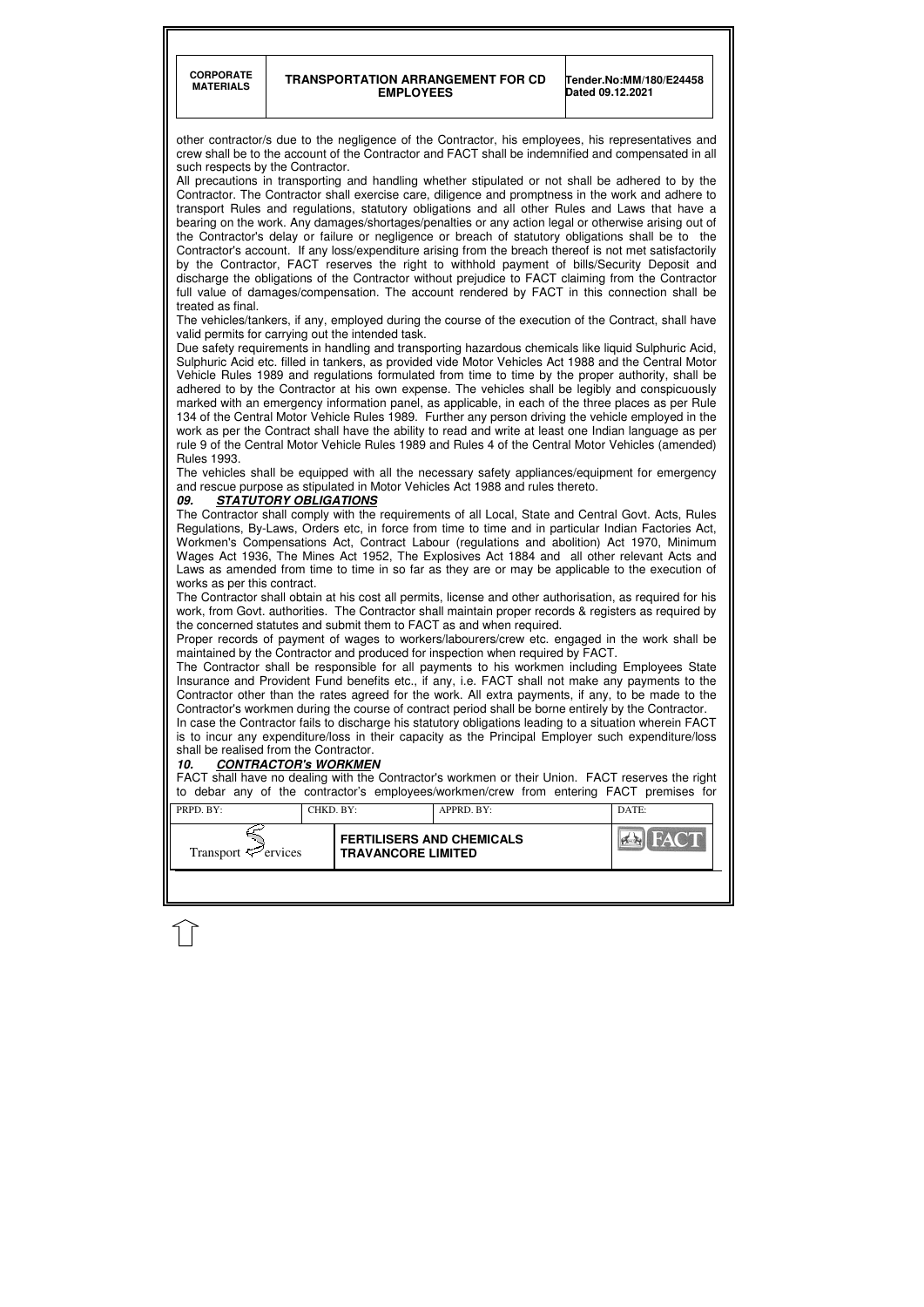**CORPORATE** 

#### **TRANSPORTATION ARRANGEMENT FOR CD EMPLOYEES**

**Tender.No:MM/180/E24458 Dated 09.12.2021** 

| <b>FERTILISERS AND CHEMICALS</b><br>Transport $\leq$ ervices<br><b>TRAVANCORE LIMITED</b> | PRPD. BY: | CHKD. BY: | $APPRD$ . $BY$ : | DATE: |
|-------------------------------------------------------------------------------------------|-----------|-----------|------------------|-------|
|                                                                                           |           |           |                  |       |

other contractor/s due to the negligence of the Contractor, his employees, his representatives and crew shall be to the account of the Contractor and FACT shall be indemnified and compensated in all such respects by the Contractor.

All precautions in transporting and handling whether stipulated or not shall be adhered to by the Contractor. The Contractor shall exercise care, diligence and promptness in the work and adhere to transport Rules and regulations, statutory obligations and all other Rules and Laws that have a bearing on the work. Any damages/shortages/penalties or any action legal or otherwise arising out of the Contractor's delay or failure or negligence or breach of statutory obligations shall be to the Contractor's account. If any loss/expenditure arising from the breach thereof is not met satisfactorily by the Contractor, FACT reserves the right to withhold payment of bills/Security Deposit and discharge the obligations of the Contractor without prejudice to FACT claiming from the Contractor full value of damages/compensation. The account rendered by FACT in this connection shall be treated as final.

The vehicles/tankers, if any, employed during the course of the execution of the Contract, shall have valid permits for carrying out the intended task.

Due safety requirements in handling and transporting hazardous chemicals like liquid Sulphuric Acid, Sulphuric Acid etc. filled in tankers, as provided vide Motor Vehicles Act 1988 and the Central Motor Vehicle Rules 1989 and regulations formulated from time to time by the proper authority, shall be adhered to by the Contractor at his own expense. The vehicles shall be legibly and conspicuously marked with an emergency information panel, as applicable, in each of the three places as per Rule 134 of the Central Motor Vehicle Rules 1989. Further any person driving the vehicle employed in the work as per the Contract shall have the ability to read and write at least one Indian language as per rule 9 of the Central Motor Vehicle Rules 1989 and Rules 4 of the Central Motor Vehicles (amended) Rules 1993.

The vehicles shall be equipped with all the necessary safety appliances/equipment for emergency and rescue purpose as stipulated in Motor Vehicles Act 1988 and rules thereto.

#### **09. STATUTORY OBLIGATIONS**

The Contractor shall comply with the requirements of all Local, State and Central Govt. Acts, Rules Regulations, By-Laws, Orders etc, in force from time to time and in particular Indian Factories Act, Workmen's Compensations Act, Contract Labour (regulations and abolition) Act 1970, Minimum Wages Act 1936, The Mines Act 1952, The Explosives Act 1884 and all other relevant Acts and Laws as amended from time to time in so far as they are or may be applicable to the execution of works as per this contract.

The Contractor shall obtain at his cost all permits, license and other authorisation, as required for his work, from Govt. authorities. The Contractor shall maintain proper records & registers as required by the concerned statutes and submit them to FACT as and when required.

Proper records of payment of wages to workers/labourers/crew etc. engaged in the work shall be maintained by the Contractor and produced for inspection when required by FACT.

The Contractor shall be responsible for all payments to his workmen including Employees State Insurance and Provident Fund benefits etc., if any, i.e. FACT shall not make any payments to the Contractor other than the rates agreed for the work. All extra payments, if any, to be made to the Contractor's workmen during the course of contract period shall be borne entirely by the Contractor.

In case the Contractor fails to discharge his statutory obligations leading to a situation wherein FACT is to incur any expenditure/loss in their capacity as the Principal Employer such expenditure/loss shall be realised from the Contractor.

#### **10. CONTRACTOR's WORKMEN**

FACT shall have no dealing with the Contractor's workmen or their Union. FACT reserves the right to debar any of the contractor's employees/workmen/crew from entering FACT premises for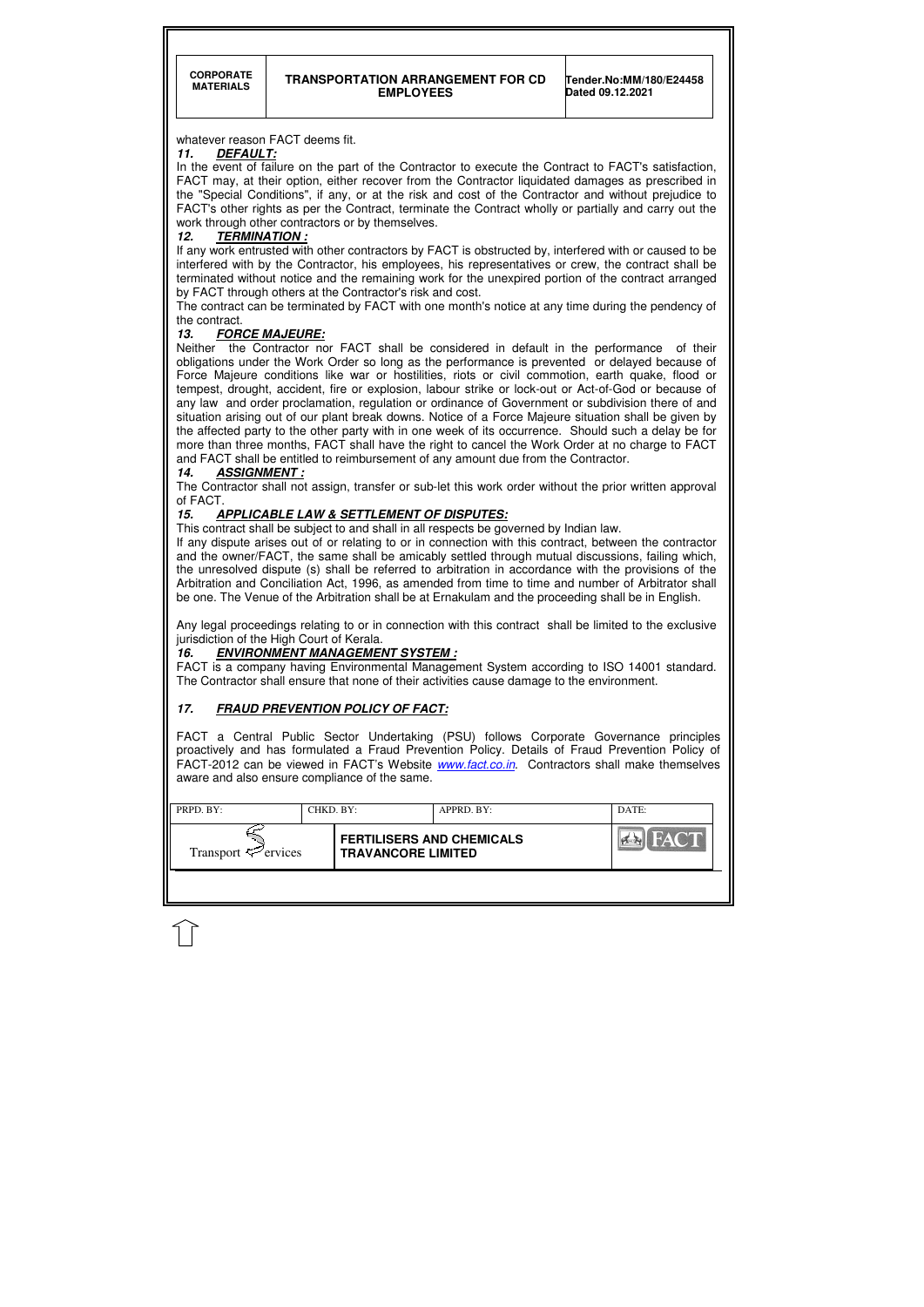| PRPD. BY:<br>CHKD. BY:          |  | $APPRD$ . BY:                                                 |  | DATE: |
|---------------------------------|--|---------------------------------------------------------------|--|-------|
| Transport $\mathcal{P}$ ervices |  | <b>FERTILISERS AND CHEMICALS</b><br><b>TRAVANCORE LIMITED</b> |  |       |
|                                 |  |                                                               |  |       |

### whatever reason FACT deems fit.

### **11. DEFAULT:**

In the event of failure on the part of the Contractor to execute the Contract to FACT's satisfaction, FACT may, at their option, either recover from the Contractor liquidated damages as prescribed in the "Special Conditions", if any, or at the risk and cost of the Contractor and without prejudice to FACT's other rights as per the Contract, terminate the Contract wholly or partially and carry out the work through other contractors or by themselves.

#### **12. TERMINATION :**

If any work entrusted with other contractors by FACT is obstructed by, interfered with or caused to be interfered with by the Contractor, his employees, his representatives or crew, the contract shall be terminated without notice and the remaining work for the unexpired portion of the contract arranged by FACT through others at the Contractor's risk and cost.

Neither the Contractor nor FACT shall be considered in default in the performance of their obligations under the Work Order so long as the performance is prevented or delayed because of Force Majeure conditions like war or hostilities, riots or civil commotion, earth quake, flood or tempest, drought, accident, fire or explosion, labour strike or lock-out or Act-of-God or because of any law and order proclamation, regulation or ordinance of Government or subdivision there of and situation arising out of our plant break downs. Notice of a Force Majeure situation shall be given by the affected party to the other party with in one week of its occurrence. Should such a delay be for more than three months, FACT shall have the right to cancel the Work Order at no charge to FACT and FACT shall be entitled to reimbursement of any amount due from the Contractor.

The contract can be terminated by FACT with one month's notice at any time during the pendency of the contract.

## **13. FORCE MAJEURE:**

#### **14. ASSIGNMENT :**

The Contractor shall not assign, transfer or sub-let this work order without the prior written approval of FACT.

### **15. APPLICABLE LAW & SETTLEMENT OF DISPUTES:**

This contract shall be subject to and shall in all respects be governed by Indian law.

If any dispute arises out of or relating to or in connection with this contract, between the contractor and the owner/FACT, the same shall be amicably settled through mutual discussions, failing which, the unresolved dispute (s) shall be referred to arbitration in accordance with the provisions of the Arbitration and Conciliation Act, 1996, as amended from time to time and number of Arbitrator shall be one. The Venue of the Arbitration shall be at Ernakulam and the proceeding shall be in English.

Any legal proceedings relating to or in connection with this contract shall be limited to the exclusive jurisdiction of the High Court of Kerala.

### **16. ENVIRONMENT MANAGEMENT SYSTEM :**

FACT is a company having Environmental Management System according to ISO 14001 standard. The Contractor shall ensure that none of their activities cause damage to the environment.

# **17. FRAUD PREVENTION POLICY OF FACT:**

FACT a Central Public Sector Undertaking (PSU) follows Corporate Governance principles proactively and has formulated a Fraud Prevention Policy. Details of Fraud Prevention Policy of FACT-2012 can be viewed in FACT's Website **www.fact.co.in**. Contractors shall make themselves aware and also ensure compliance of the same.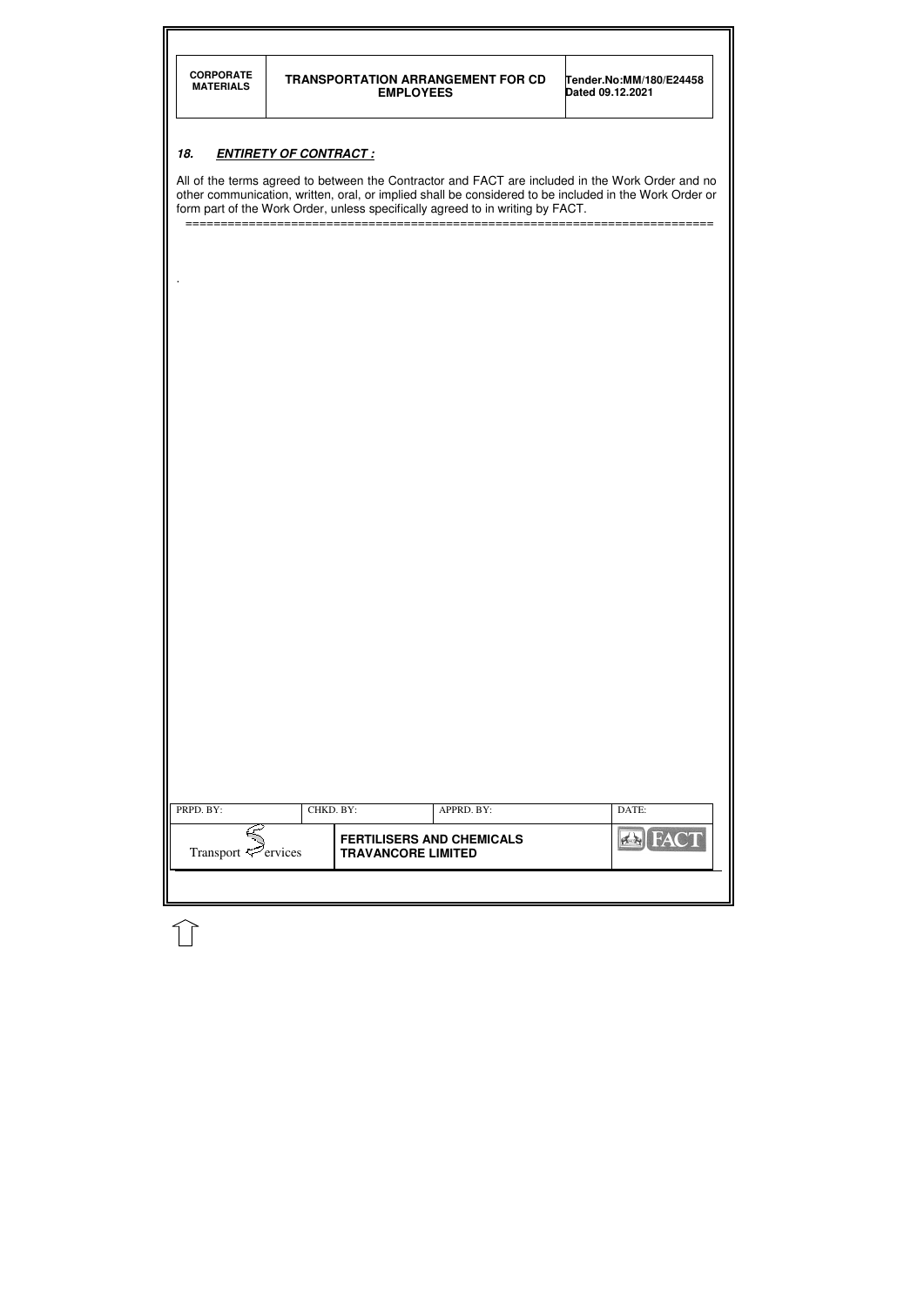| <b>CORPORATE</b><br><b>MATERIALS</b>                                                                                                                                                                       |                              | <b>TRANSPORTATION ARRANGEMENT FOR CD</b><br><b>EMPLOYEES</b>                   | Tender.No:MM/180/E24458<br>Dated 09.12.2021 |  |  |  |
|------------------------------------------------------------------------------------------------------------------------------------------------------------------------------------------------------------|------------------------------|--------------------------------------------------------------------------------|---------------------------------------------|--|--|--|
|                                                                                                                                                                                                            |                              |                                                                                |                                             |  |  |  |
| 18.                                                                                                                                                                                                        | <b>ENTIRETY OF CONTRACT:</b> |                                                                                |                                             |  |  |  |
| All of the terms agreed to between the Contractor and FACT are included in the Work Order and no<br>other communication, written, oral, or implied shall be considered to be included in the Work Order or |                              |                                                                                |                                             |  |  |  |
|                                                                                                                                                                                                            |                              | form part of the Work Order, unless specifically agreed to in writing by FACT. |                                             |  |  |  |
|                                                                                                                                                                                                            |                              |                                                                                |                                             |  |  |  |
|                                                                                                                                                                                                            |                              |                                                                                |                                             |  |  |  |
|                                                                                                                                                                                                            |                              |                                                                                |                                             |  |  |  |
|                                                                                                                                                                                                            |                              |                                                                                |                                             |  |  |  |
|                                                                                                                                                                                                            |                              |                                                                                |                                             |  |  |  |
|                                                                                                                                                                                                            |                              |                                                                                |                                             |  |  |  |
|                                                                                                                                                                                                            |                              |                                                                                |                                             |  |  |  |
|                                                                                                                                                                                                            |                              |                                                                                |                                             |  |  |  |
|                                                                                                                                                                                                            |                              |                                                                                |                                             |  |  |  |
|                                                                                                                                                                                                            |                              |                                                                                |                                             |  |  |  |
|                                                                                                                                                                                                            |                              |                                                                                |                                             |  |  |  |
|                                                                                                                                                                                                            |                              |                                                                                |                                             |  |  |  |
|                                                                                                                                                                                                            |                              |                                                                                |                                             |  |  |  |
|                                                                                                                                                                                                            |                              |                                                                                |                                             |  |  |  |
|                                                                                                                                                                                                            |                              |                                                                                |                                             |  |  |  |
|                                                                                                                                                                                                            |                              |                                                                                |                                             |  |  |  |
|                                                                                                                                                                                                            |                              |                                                                                |                                             |  |  |  |
|                                                                                                                                                                                                            |                              |                                                                                |                                             |  |  |  |
|                                                                                                                                                                                                            |                              |                                                                                |                                             |  |  |  |
|                                                                                                                                                                                                            |                              |                                                                                |                                             |  |  |  |
|                                                                                                                                                                                                            |                              |                                                                                |                                             |  |  |  |
| PRPD. BY:                                                                                                                                                                                                  | CHKD. BY:                    | APPRD. BY:                                                                     | DATE:                                       |  |  |  |
| Transport <sup>ext</sup> ervices                                                                                                                                                                           |                              | <b>FERTILISERS AND CHEMICALS</b><br><b>TRAVANCORE LIMITED</b>                  | <b>Ex FACT</b>                              |  |  |  |
|                                                                                                                                                                                                            |                              |                                                                                |                                             |  |  |  |

 $\widehat{\mathbb{U}}$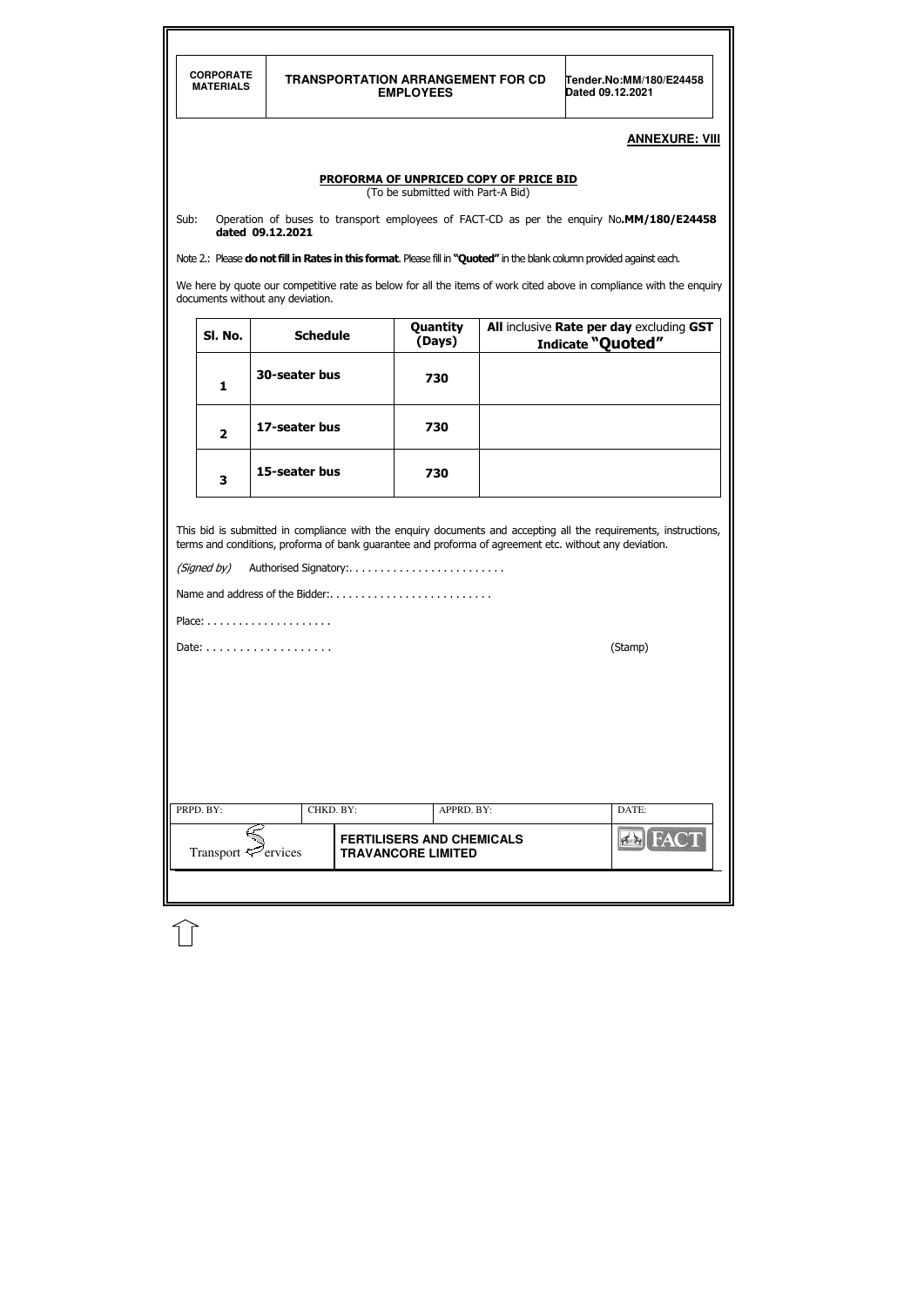|                                                                                                                                                                                                                                                                              | <b>CORPORATE</b><br><b>MATERIALS</b> |                                 | <b>TRANSPORTATION ARRANGEMENT FOR CD</b><br><b>EMPLOYEES</b>                |  | Tender.No:MM/180/E24458<br>Dated 09.12.2021                                                                             |  |  |
|------------------------------------------------------------------------------------------------------------------------------------------------------------------------------------------------------------------------------------------------------------------------------|--------------------------------------|---------------------------------|-----------------------------------------------------------------------------|--|-------------------------------------------------------------------------------------------------------------------------|--|--|
|                                                                                                                                                                                                                                                                              |                                      |                                 |                                                                             |  |                                                                                                                         |  |  |
|                                                                                                                                                                                                                                                                              |                                      |                                 |                                                                             |  | <b>ANNEXURE: VIII</b>                                                                                                   |  |  |
|                                                                                                                                                                                                                                                                              |                                      |                                 | PROFORMA OF UNPRICED COPY OF PRICE BID<br>(To be submitted with Part-A Bid) |  |                                                                                                                         |  |  |
| Sub:                                                                                                                                                                                                                                                                         |                                      | dated 09.12.2021                |                                                                             |  | Operation of buses to transport employees of FACT-CD as per the enquiry No.MM/180/E24458                                |  |  |
|                                                                                                                                                                                                                                                                              |                                      |                                 |                                                                             |  | Note 2.: Please do not fill in Rates in this format. Please fill in "Quoted" in the blank column provided against each. |  |  |
| We here by quote our competitive rate as below for all the items of work cited above in compliance with the enquiry<br>documents without any deviation.                                                                                                                      |                                      |                                 |                                                                             |  |                                                                                                                         |  |  |
|                                                                                                                                                                                                                                                                              | SI. No.                              | <b>Schedule</b>                 | Quantity<br>(Days)                                                          |  | All inclusive Rate per day excluding GST<br>Indicate "Quoted"                                                           |  |  |
|                                                                                                                                                                                                                                                                              | 1                                    | 30-seater bus                   | 730                                                                         |  |                                                                                                                         |  |  |
|                                                                                                                                                                                                                                                                              | $\overline{2}$                       | 17-seater bus                   | 730                                                                         |  |                                                                                                                         |  |  |
|                                                                                                                                                                                                                                                                              | 3                                    | 15-seater bus                   | 730                                                                         |  |                                                                                                                         |  |  |
| This bid is submitted in compliance with the enquiry documents and accepting all the requirements, instructions,<br>terms and conditions, proforma of bank guarantee and proforma of agreement etc. without any deviation.<br>(Signed by)<br>Name and address of the Bidder: |                                      |                                 |                                                                             |  |                                                                                                                         |  |  |
|                                                                                                                                                                                                                                                                              |                                      |                                 |                                                                             |  |                                                                                                                         |  |  |
|                                                                                                                                                                                                                                                                              |                                      |                                 |                                                                             |  | (Stamp)                                                                                                                 |  |  |
|                                                                                                                                                                                                                                                                              |                                      |                                 |                                                                             |  |                                                                                                                         |  |  |
|                                                                                                                                                                                                                                                                              | PRPD. BY:                            | CHKD. BY:                       | APPRD. BY:                                                                  |  | DATE:                                                                                                                   |  |  |
|                                                                                                                                                                                                                                                                              |                                      | Transport $\mathcal{P}$ ervices | <b>FERTILISERS AND CHEMICALS</b><br><b>TRAVANCORE LIMITED</b>               |  | <b>ERIFAC</b>                                                                                                           |  |  |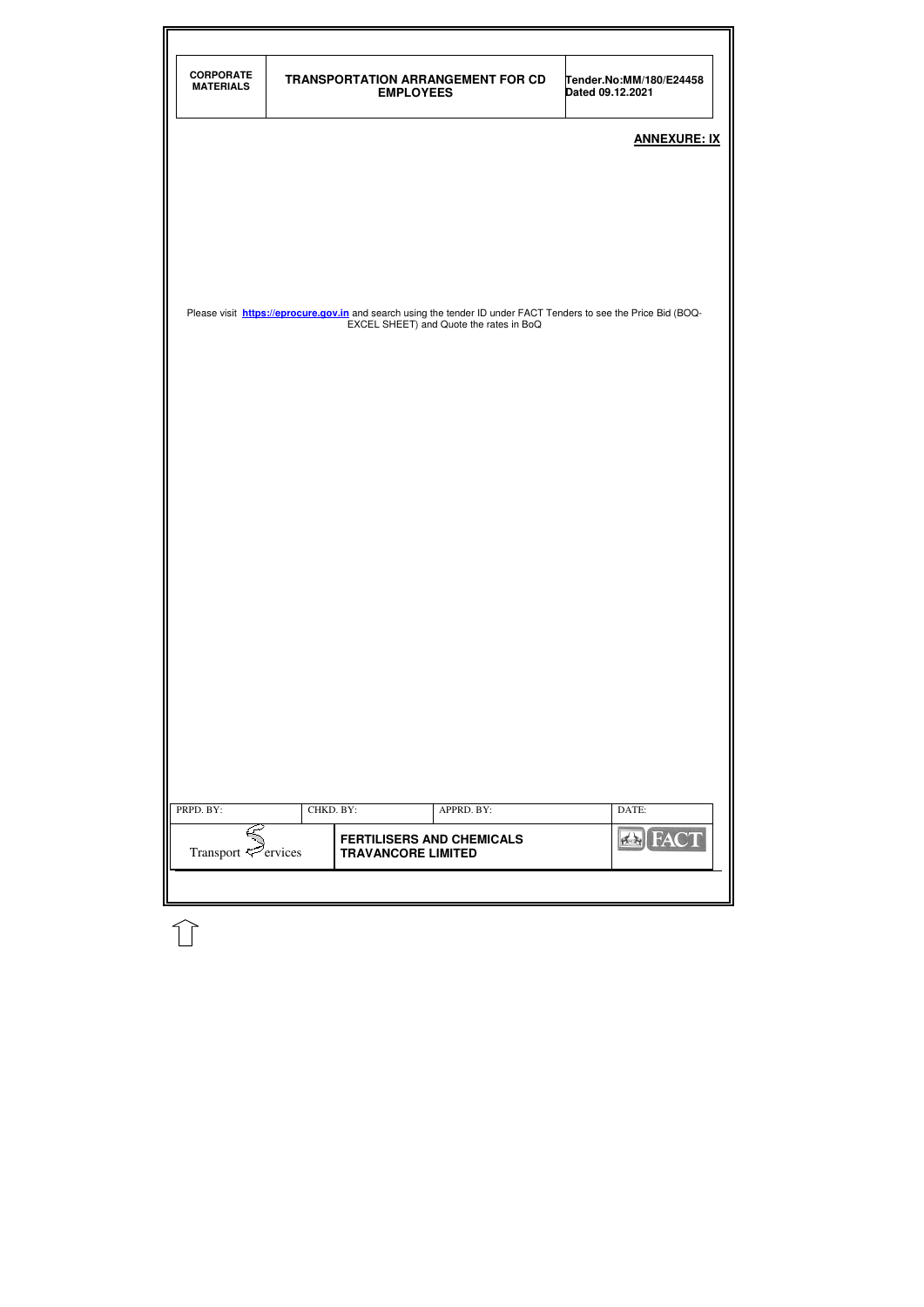| <b>CORPORATE</b><br><b>MATERIALS</b> |           | <b>TRANSPORTATION ARRANGEMENT FOR CD</b><br><b>EMPLOYEES</b>                                                                                                        | Tender.No:MM/180/E24458<br>Dated 09.12.2021 |
|--------------------------------------|-----------|---------------------------------------------------------------------------------------------------------------------------------------------------------------------|---------------------------------------------|
|                                      |           |                                                                                                                                                                     |                                             |
|                                      |           |                                                                                                                                                                     | <b>ANNEXURE: IX</b>                         |
|                                      |           |                                                                                                                                                                     |                                             |
|                                      |           |                                                                                                                                                                     |                                             |
|                                      |           |                                                                                                                                                                     |                                             |
|                                      |           |                                                                                                                                                                     |                                             |
|                                      |           | Please visit <b>https://eprocure.gov.in</b> and search using the tender ID under FACT Tenders to see the Price Bid (BOQ-<br>EXCEL SHEET) and Quote the rates in BoQ |                                             |
|                                      |           |                                                                                                                                                                     |                                             |
|                                      |           |                                                                                                                                                                     |                                             |
|                                      |           |                                                                                                                                                                     |                                             |
|                                      |           |                                                                                                                                                                     |                                             |
|                                      |           |                                                                                                                                                                     |                                             |
|                                      |           |                                                                                                                                                                     |                                             |
|                                      |           |                                                                                                                                                                     |                                             |
|                                      |           |                                                                                                                                                                     |                                             |
|                                      |           |                                                                                                                                                                     |                                             |
|                                      |           |                                                                                                                                                                     |                                             |
|                                      |           |                                                                                                                                                                     |                                             |
|                                      |           |                                                                                                                                                                     |                                             |
|                                      |           |                                                                                                                                                                     |                                             |
|                                      |           |                                                                                                                                                                     |                                             |
|                                      |           |                                                                                                                                                                     |                                             |
|                                      |           |                                                                                                                                                                     |                                             |
| PRPD. BY:                            | CHKD. BY: | APPRD. BY:                                                                                                                                                          | DATE:                                       |

 $\mathbb{C}$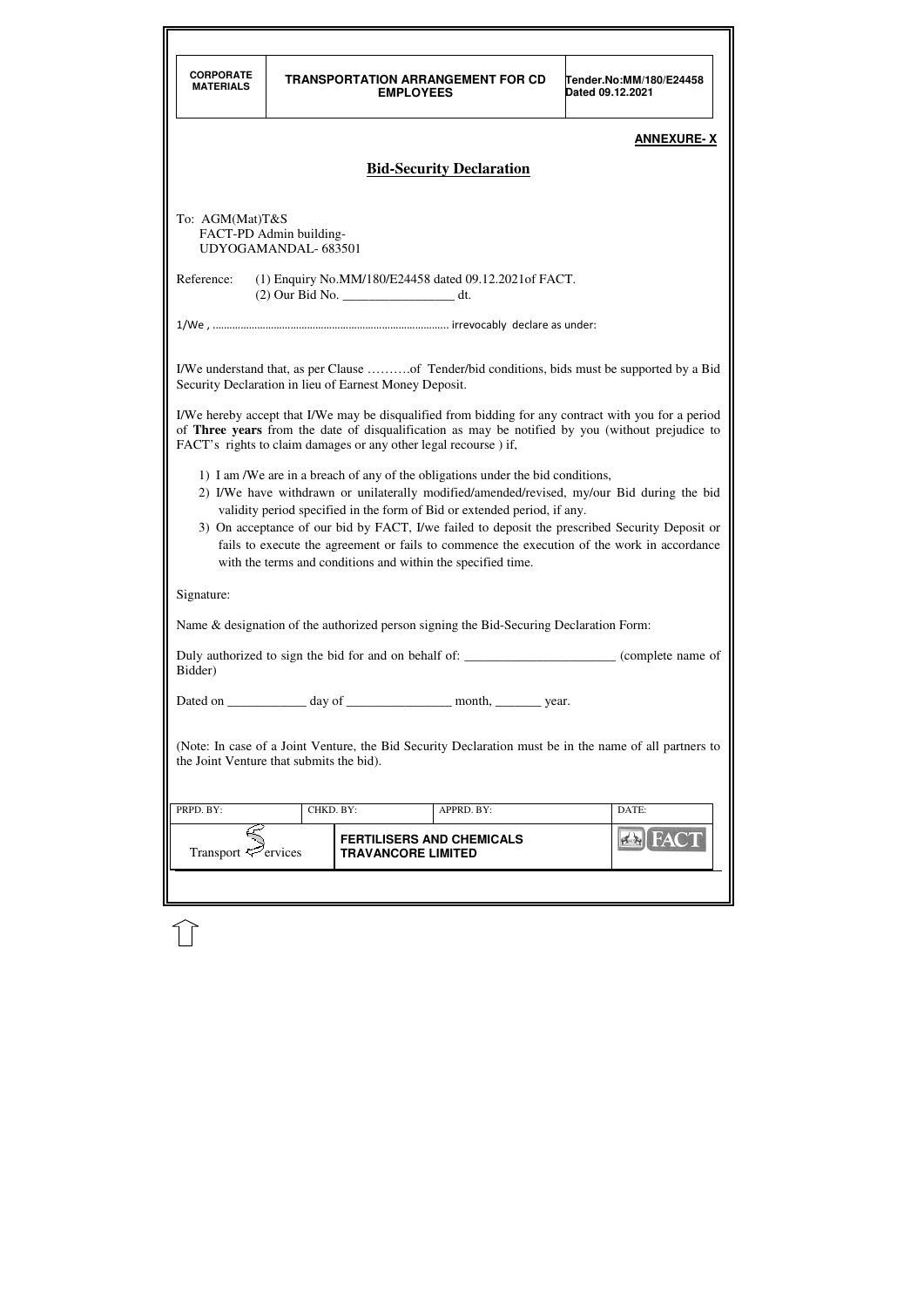| <b>CORPORATE</b><br><b>MATERIALS</b>                                                                                                               |                                                                                                                                                                                                                                                                                                                                                                                                                                                                                                                            | <b>EMPLOYEES</b>                                                | <b>TRANSPORTATION ARRANGEMENT FOR CD</b>                                               | Tender.No:MM/180/E24458<br>Dated 09.12.2021                                                                                                                                                              |  |  |  |  |
|----------------------------------------------------------------------------------------------------------------------------------------------------|----------------------------------------------------------------------------------------------------------------------------------------------------------------------------------------------------------------------------------------------------------------------------------------------------------------------------------------------------------------------------------------------------------------------------------------------------------------------------------------------------------------------------|-----------------------------------------------------------------|----------------------------------------------------------------------------------------|----------------------------------------------------------------------------------------------------------------------------------------------------------------------------------------------------------|--|--|--|--|
|                                                                                                                                                    | <b>ANNEXURE-X</b>                                                                                                                                                                                                                                                                                                                                                                                                                                                                                                          |                                                                 |                                                                                        |                                                                                                                                                                                                          |  |  |  |  |
| <b>Bid-Security Declaration</b>                                                                                                                    |                                                                                                                                                                                                                                                                                                                                                                                                                                                                                                                            |                                                                 |                                                                                        |                                                                                                                                                                                                          |  |  |  |  |
|                                                                                                                                                    |                                                                                                                                                                                                                                                                                                                                                                                                                                                                                                                            |                                                                 |                                                                                        |                                                                                                                                                                                                          |  |  |  |  |
| To: AGM(Mat)T&S<br>FACT-PD Admin building-                                                                                                         | UDYOGAMANDAL-683501                                                                                                                                                                                                                                                                                                                                                                                                                                                                                                        |                                                                 |                                                                                        |                                                                                                                                                                                                          |  |  |  |  |
| Reference:                                                                                                                                         |                                                                                                                                                                                                                                                                                                                                                                                                                                                                                                                            | (2) Our Bid No. __________________________ dt.                  | (1) Enquiry No.MM/180/E24458 dated 09.12.2021 of FACT.                                 |                                                                                                                                                                                                          |  |  |  |  |
|                                                                                                                                                    |                                                                                                                                                                                                                                                                                                                                                                                                                                                                                                                            |                                                                 |                                                                                        |                                                                                                                                                                                                          |  |  |  |  |
|                                                                                                                                                    |                                                                                                                                                                                                                                                                                                                                                                                                                                                                                                                            | Security Declaration in lieu of Earnest Money Deposit.          |                                                                                        | I/We understand that, as per Clause of Tender/bid conditions, bids must be supported by a Bid                                                                                                            |  |  |  |  |
|                                                                                                                                                    |                                                                                                                                                                                                                                                                                                                                                                                                                                                                                                                            | FACT's rights to claim damages or any other legal recourse) if, |                                                                                        | I/We hereby accept that I/We may be disqualified from bidding for any contract with you for a period<br>of Three years from the date of disqualification as may be notified by you (without prejudice to |  |  |  |  |
|                                                                                                                                                    | 1) I am /We are in a breach of any of the obligations under the bid conditions,<br>2) I/We have withdrawn or unilaterally modified/amended/revised, my/our Bid during the bid<br>validity period specified in the form of Bid or extended period, if any.<br>3) On acceptance of our bid by FACT, I/we failed to deposit the prescribed Security Deposit or<br>fails to execute the agreement or fails to commence the execution of the work in accordance<br>with the terms and conditions and within the specified time. |                                                                 |                                                                                        |                                                                                                                                                                                                          |  |  |  |  |
| Signature:                                                                                                                                         |                                                                                                                                                                                                                                                                                                                                                                                                                                                                                                                            |                                                                 |                                                                                        |                                                                                                                                                                                                          |  |  |  |  |
|                                                                                                                                                    |                                                                                                                                                                                                                                                                                                                                                                                                                                                                                                                            |                                                                 | Name & designation of the authorized person signing the Bid-Securing Declaration Form: |                                                                                                                                                                                                          |  |  |  |  |
| Duly authorized to sign the bid for and on behalf of: ______________________ (complete name of<br>Bidder)                                          |                                                                                                                                                                                                                                                                                                                                                                                                                                                                                                                            |                                                                 |                                                                                        |                                                                                                                                                                                                          |  |  |  |  |
|                                                                                                                                                    |                                                                                                                                                                                                                                                                                                                                                                                                                                                                                                                            |                                                                 | Dated on _______________ day of _____________________ month, __________ year.          |                                                                                                                                                                                                          |  |  |  |  |
| (Note: In case of a Joint Venture, the Bid Security Declaration must be in the name of all partners to<br>the Joint Venture that submits the bid). |                                                                                                                                                                                                                                                                                                                                                                                                                                                                                                                            |                                                                 |                                                                                        |                                                                                                                                                                                                          |  |  |  |  |
| PRPD. BY:                                                                                                                                          | CHKD. BY:                                                                                                                                                                                                                                                                                                                                                                                                                                                                                                                  |                                                                 | APPRD. BY:                                                                             | DATE:                                                                                                                                                                                                    |  |  |  |  |
| Transport $\leq$ ervices                                                                                                                           |                                                                                                                                                                                                                                                                                                                                                                                                                                                                                                                            | <b>FERTILISERS AND CHEMICALS</b><br><b>TRAVANCORE LIMITED</b>   |                                                                                        | $4 - 1$                                                                                                                                                                                                  |  |  |  |  |
|                                                                                                                                                    |                                                                                                                                                                                                                                                                                                                                                                                                                                                                                                                            |                                                                 |                                                                                        |                                                                                                                                                                                                          |  |  |  |  |

 $\widehat{\mathbb{U}}$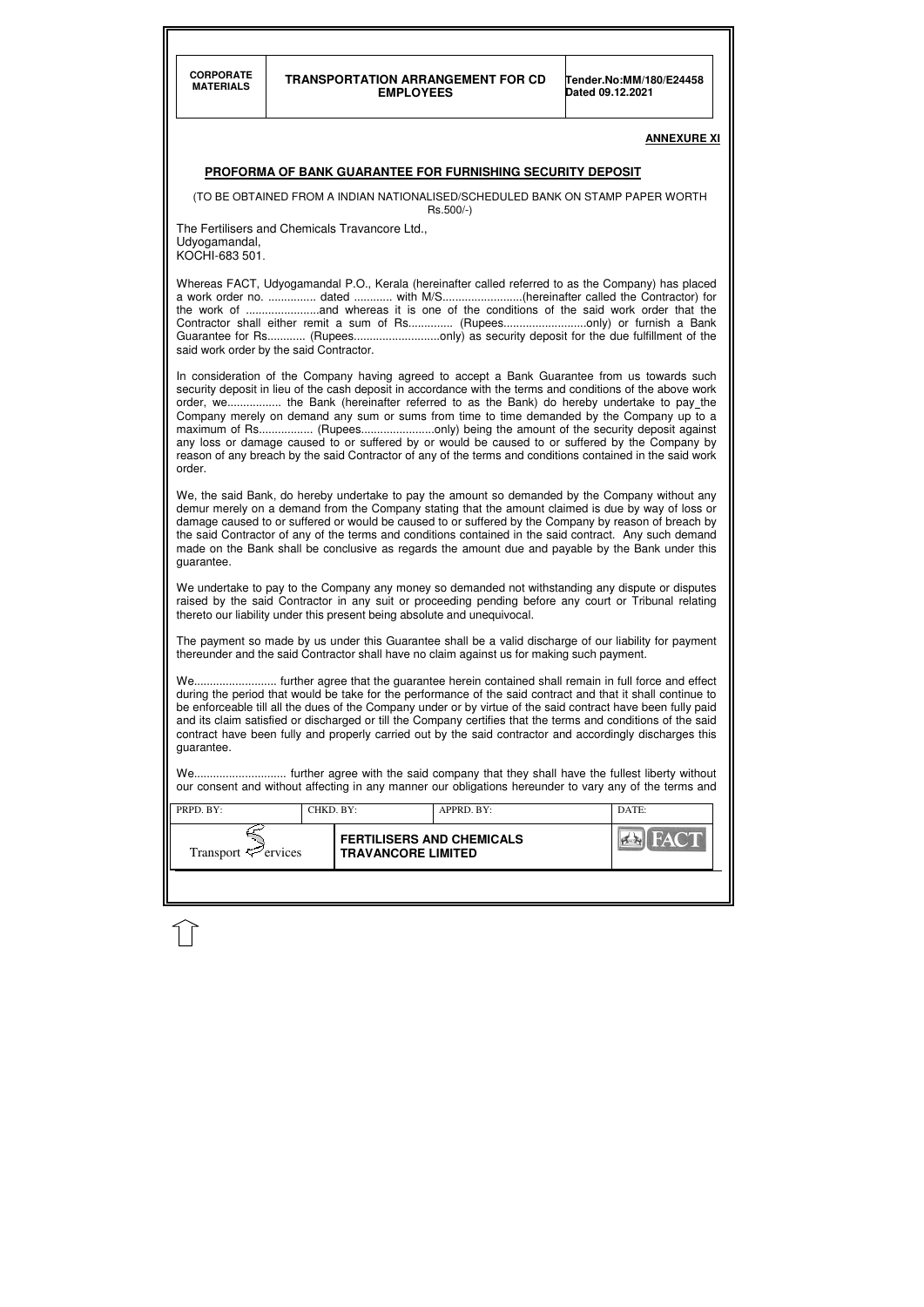#### **TRANSPORTATION ARRANGEMENT FOR CD EMPLOYEES**

**Tender.No:MM/180/E24458 Dated 09.12.2021** 

| PRPD. BY:                       | CHKD. BY: |                                                               | APPRD. BY: | DATE: |
|---------------------------------|-----------|---------------------------------------------------------------|------------|-------|
| Transport $\mathcal{F}$ ervices |           | <b>FERTILISERS AND CHEMICALS</b><br><b>TRAVANCORE LIMITED</b> |            | HAC T |
|                                 |           |                                                               |            |       |

#### **ANNEXURE XI**

#### **PROFORMA OF BANK GUARANTEE FOR FURNISHING SECURITY DEPOSIT**

(TO BE OBTAINED FROM A INDIAN NATIONALISED/SCHEDULED BANK ON STAMP PAPER WORTH Rs.500/-)

The Fertilisers and Chemicals Travancore Ltd., Udyogamandal, KOCHI-683 501.

Whereas FACT, Udyogamandal P.O., Kerala (hereinafter called referred to as the Company) has placed a work order no. ............... dated ............ with M/S.........................(hereinafter called the Contractor) for the work of .......................and whereas it is one of the conditions of the said work order that the Contractor shall either remit a sum of Rs............... (Rupees..............................only) or furnish a Bank Guarantee for Rs............ (Rupees...........................only) as security deposit for the due fulfillment of the said work order by the said Contractor.

In consideration of the Company having agreed to accept a Bank Guarantee from us towards such security deposit in lieu of the cash deposit in accordance with the terms and conditions of the above work order, we................. the Bank (hereinafter referred to as the Bank) do hereby undertake to pay the Company merely on demand any sum or sums from time to time demanded by the Company up to a maximum of Rs................. (Rupees.......................only) being the amount of the security deposit against any loss or damage caused to or suffered by or would be caused to or suffered by the Company by reason of any breach by the said Contractor of any of the terms and conditions contained in the said work order.

We, the said Bank, do hereby undertake to pay the amount so demanded by the Company without any demur merely on a demand from the Company stating that the amount claimed is due by way of loss or damage caused to or suffered or would be caused to or suffered by the Company by reason of breach by the said Contractor of any of the terms and conditions contained in the said contract. Any such demand made on the Bank shall be conclusive as regards the amount due and payable by the Bank under this guarantee.

We undertake to pay to the Company any money so demanded not withstanding any dispute or disputes raised by the said Contractor in any suit or proceeding pending before any court or Tribunal relating thereto our liability under this present being absolute and unequivocal.

The payment so made by us under this Guarantee shall be a valid discharge of our liability for payment thereunder and the said Contractor shall have no claim against us for making such payment.

We.......................... further agree that the guarantee herein contained shall remain in full force and effect during the period that would be take for the performance of the said contract and that it shall continue to be enforceable till all the dues of the Company under or by virtue of the said contract have been fully paid and its claim satisfied or discharged or till the Company certifies that the terms and conditions of the said contract have been fully and properly carried out by the said contractor and accordingly discharges this guarantee.

We............................. further agree with the said company that they shall have the fullest liberty without our consent and without affecting in any manner our obligations hereunder to vary any of the terms and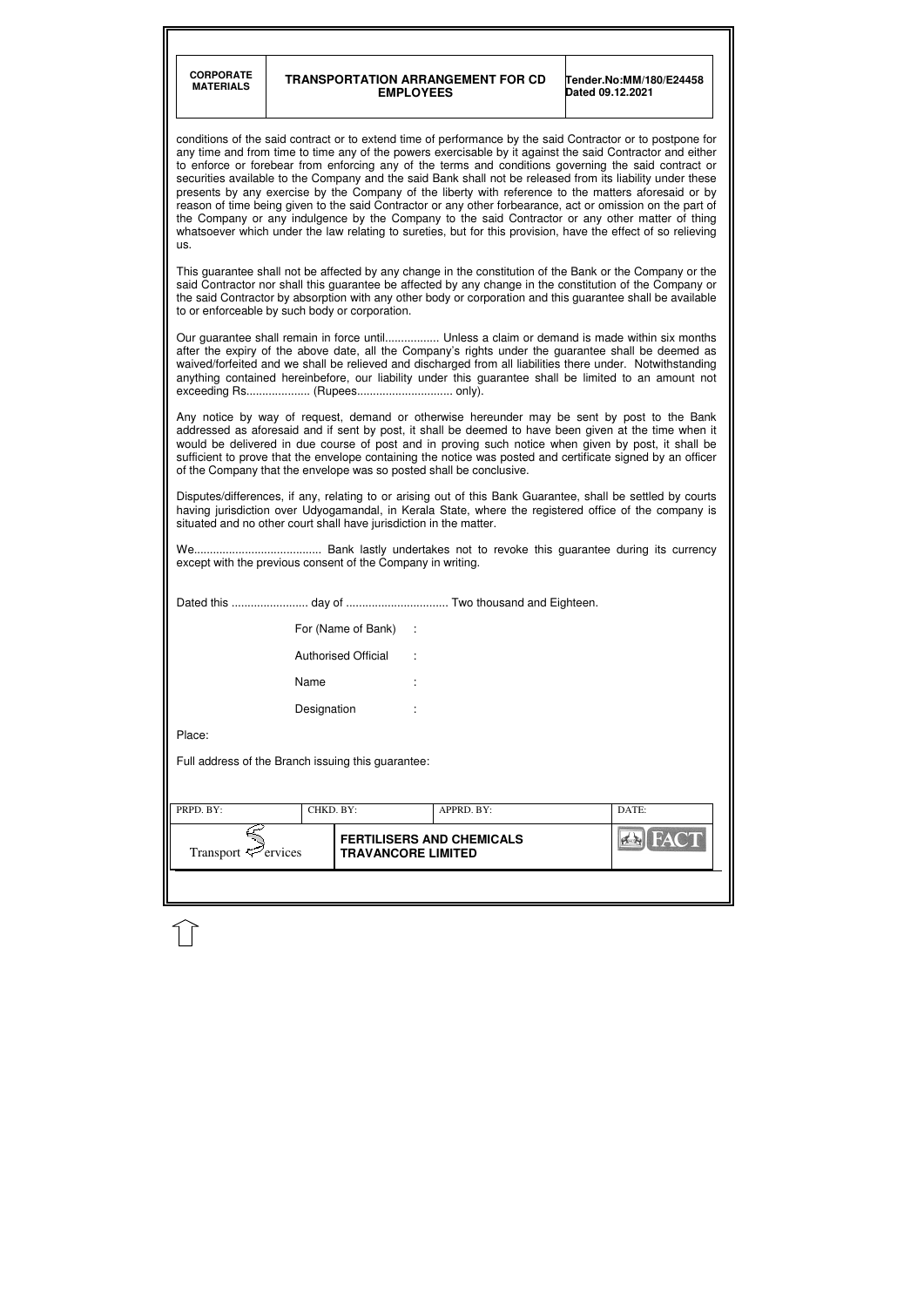| <b>CORPORATE</b><br><b>MATERIALS</b>                               |             | <b>EMPLOYEES</b>           | <b>TRANSPORTATION ARRANGEMENT FOR CD</b>                            | Tender.No:MM/180/E24458<br>Dated 09.12.2021                                                                                                                                                                                                                                                                                                                                                                                                                                                                                                                                                                                                                                                                                                                                                                                                                                             |
|--------------------------------------------------------------------|-------------|----------------------------|---------------------------------------------------------------------|-----------------------------------------------------------------------------------------------------------------------------------------------------------------------------------------------------------------------------------------------------------------------------------------------------------------------------------------------------------------------------------------------------------------------------------------------------------------------------------------------------------------------------------------------------------------------------------------------------------------------------------------------------------------------------------------------------------------------------------------------------------------------------------------------------------------------------------------------------------------------------------------|
| us.                                                                |             |                            |                                                                     | conditions of the said contract or to extend time of performance by the said Contractor or to postpone for<br>any time and from time to time any of the powers exercisable by it against the said Contractor and either<br>to enforce or forebear from enforcing any of the terms and conditions governing the said contract or<br>securities available to the Company and the said Bank shall not be released from its liability under these<br>presents by any exercise by the Company of the liberty with reference to the matters aforesaid or by<br>reason of time being given to the said Contractor or any other forbearance, act or omission on the part of<br>the Company or any indulgence by the Company to the said Contractor or any other matter of thing<br>whatsoever which under the law relating to sureties, but for this provision, have the effect of so relieving |
| to or enforceable by such body or corporation.                     |             |                            |                                                                     | This guarantee shall not be affected by any change in the constitution of the Bank or the Company or the<br>said Contractor nor shall this guarantee be affected by any change in the constitution of the Company or<br>the said Contractor by absorption with any other body or corporation and this guarantee shall be available                                                                                                                                                                                                                                                                                                                                                                                                                                                                                                                                                      |
| exceeding Rs (Rupees only).                                        |             |                            |                                                                     | Our guarantee shall remain in force until Unless a claim or demand is made within six months<br>after the expiry of the above date, all the Company's rights under the guarantee shall be deemed as<br>waived/forfeited and we shall be relieved and discharged from all liabilities there under. Notwithstanding<br>anything contained hereinbefore, our liability under this guarantee shall be limited to an amount not                                                                                                                                                                                                                                                                                                                                                                                                                                                              |
|                                                                    |             |                            | of the Company that the envelope was so posted shall be conclusive. | Any notice by way of request, demand or otherwise hereunder may be sent by post to the Bank<br>addressed as aforesaid and if sent by post, it shall be deemed to have been given at the time when it<br>would be delivered in due course of post and in proving such notice when given by post, it shall be<br>sufficient to prove that the envelope containing the notice was posted and certificate signed by an officer                                                                                                                                                                                                                                                                                                                                                                                                                                                              |
| situated and no other court shall have jurisdiction in the matter. |             |                            |                                                                     | Disputes/differences, if any, relating to or arising out of this Bank Guarantee, shall be settled by courts<br>having jurisdiction over Udyogamandal, in Kerala State, where the registered office of the company is                                                                                                                                                                                                                                                                                                                                                                                                                                                                                                                                                                                                                                                                    |
| except with the previous consent of the Company in writing.        |             |                            |                                                                     |                                                                                                                                                                                                                                                                                                                                                                                                                                                                                                                                                                                                                                                                                                                                                                                                                                                                                         |
|                                                                    |             |                            |                                                                     |                                                                                                                                                                                                                                                                                                                                                                                                                                                                                                                                                                                                                                                                                                                                                                                                                                                                                         |
|                                                                    |             | For (Name of Bank) :       |                                                                     |                                                                                                                                                                                                                                                                                                                                                                                                                                                                                                                                                                                                                                                                                                                                                                                                                                                                                         |
|                                                                    |             | <b>Authorised Official</b> |                                                                     |                                                                                                                                                                                                                                                                                                                                                                                                                                                                                                                                                                                                                                                                                                                                                                                                                                                                                         |
|                                                                    | Name        |                            |                                                                     |                                                                                                                                                                                                                                                                                                                                                                                                                                                                                                                                                                                                                                                                                                                                                                                                                                                                                         |
|                                                                    | Designation |                            |                                                                     |                                                                                                                                                                                                                                                                                                                                                                                                                                                                                                                                                                                                                                                                                                                                                                                                                                                                                         |
| Place:                                                             |             |                            |                                                                     |                                                                                                                                                                                                                                                                                                                                                                                                                                                                                                                                                                                                                                                                                                                                                                                                                                                                                         |
| Full address of the Branch issuing this guarantee:                 |             |                            |                                                                     |                                                                                                                                                                                                                                                                                                                                                                                                                                                                                                                                                                                                                                                                                                                                                                                                                                                                                         |
|                                                                    |             | CHKD. BY:                  | APPRD. BY:                                                          | DATE:                                                                                                                                                                                                                                                                                                                                                                                                                                                                                                                                                                                                                                                                                                                                                                                                                                                                                   |
| PRPD. BY:                                                          |             |                            |                                                                     |                                                                                                                                                                                                                                                                                                                                                                                                                                                                                                                                                                                                                                                                                                                                                                                                                                                                                         |

 $\mathbb{\hat{}}$